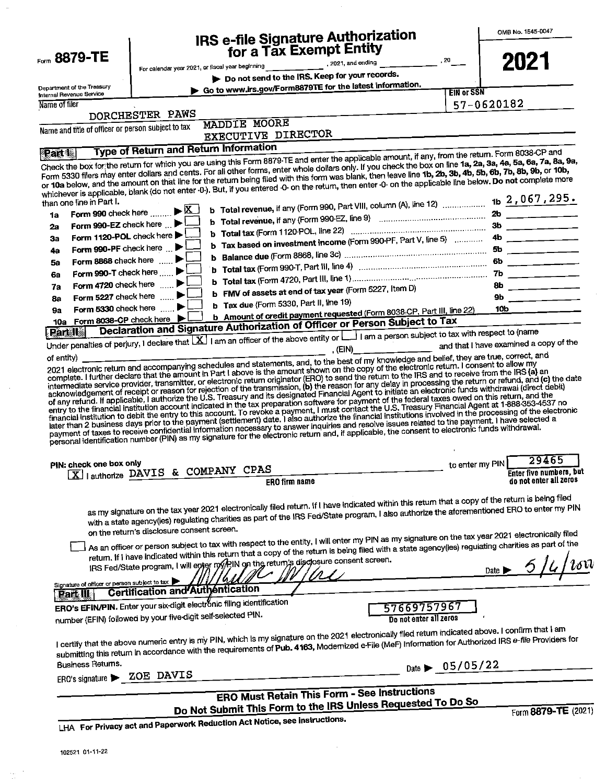|                                                    | IRS e-file Signature Authorization                                                                                                                                                                                                                                                                                                                                                                                                                                                                                                                                                                                                                                                                                                                                                                                                                                                                                                                                                                                                                                                                            | OMB No. 1545-0047                          |
|----------------------------------------------------|---------------------------------------------------------------------------------------------------------------------------------------------------------------------------------------------------------------------------------------------------------------------------------------------------------------------------------------------------------------------------------------------------------------------------------------------------------------------------------------------------------------------------------------------------------------------------------------------------------------------------------------------------------------------------------------------------------------------------------------------------------------------------------------------------------------------------------------------------------------------------------------------------------------------------------------------------------------------------------------------------------------------------------------------------------------------------------------------------------------|--------------------------------------------|
|                                                    | for a Tax Exempt Entity                                                                                                                                                                                                                                                                                                                                                                                                                                                                                                                                                                                                                                                                                                                                                                                                                                                                                                                                                                                                                                                                                       |                                            |
| Form 8879-TE                                       | $\frac{1}{\sqrt{1-\frac{1}{2}}\sqrt{1-\frac{1}{2}}\sqrt{1-\frac{1}{2}}\sqrt{1-\frac{1}{2}}\sqrt{1-\frac{1}{2}}\sqrt{1-\frac{1}{2}}\sqrt{1-\frac{1}{2}}\sqrt{1-\frac{1}{2}}\sqrt{1-\frac{1}{2}}\sqrt{1-\frac{1}{2}}\sqrt{1-\frac{1}{2}}\sqrt{1-\frac{1}{2}}\sqrt{1-\frac{1}{2}}\sqrt{1-\frac{1}{2}}\sqrt{1-\frac{1}{2}}\sqrt{1-\frac{1}{2}}\sqrt{1-\frac{1}{2}}\sqrt{1-\frac{1}{2}}\sqrt{1-\frac{1}{2}}\sqrt{1-\frac$                                                                                                                                                                                                                                                                                                                                                                                                                                                                                                                                                                                                                                                                                          | 2021                                       |
|                                                    | Do not send to the IRS. Keep for your records.                                                                                                                                                                                                                                                                                                                                                                                                                                                                                                                                                                                                                                                                                                                                                                                                                                                                                                                                                                                                                                                                |                                            |
| Department of the Treasury                         | Go to www.irs.gov/Form8879TE for the latest information.<br><b>EIN or SSN</b>                                                                                                                                                                                                                                                                                                                                                                                                                                                                                                                                                                                                                                                                                                                                                                                                                                                                                                                                                                                                                                 |                                            |
| Internal Revenue Service<br>Name of filer          |                                                                                                                                                                                                                                                                                                                                                                                                                                                                                                                                                                                                                                                                                                                                                                                                                                                                                                                                                                                                                                                                                                               | 57-0620182                                 |
|                                                    | DORCHESTER PAWS                                                                                                                                                                                                                                                                                                                                                                                                                                                                                                                                                                                                                                                                                                                                                                                                                                                                                                                                                                                                                                                                                               |                                            |
|                                                    | <b>MADDIE MOORE</b>                                                                                                                                                                                                                                                                                                                                                                                                                                                                                                                                                                                                                                                                                                                                                                                                                                                                                                                                                                                                                                                                                           |                                            |
| Name and title of officer or person subject to tax | EXECUTIVE DIRECTOR                                                                                                                                                                                                                                                                                                                                                                                                                                                                                                                                                                                                                                                                                                                                                                                                                                                                                                                                                                                                                                                                                            |                                            |
|                                                    | <b>Type of Return and Return Information</b>                                                                                                                                                                                                                                                                                                                                                                                                                                                                                                                                                                                                                                                                                                                                                                                                                                                                                                                                                                                                                                                                  |                                            |
| than one line in Part I.                           | Check the box for the return for which you are using this Form 8879-TE and enter the applicable amount, if any, from the return. Form 8038-CP and<br>Form 5330 filers may enter dollars and cents. For all other forms, enter whole dollars only. If you check the box on line 1a, 2a, 3a, 4a, 5a, 6a, 7a, 8a, 9a,<br>or 10a below, and the amount on that line for the return being filed with this form was blank, then leave line 1b, 2b, 3b, 4b, 5b, 6b, 7b, 8b, 9b, or 10b,<br>whichever is applicable, blank (do not enter 0-). But, if you entered -0- on the return, then enter -0- on the applicable line below. Do not complete more<br><b>b</b> Total revenue, if any (Form 990, Part VIII, column (A), line 12)                                                                                                                                                                                                                                                                                                                                                                                   | tb 2,067,295.                              |
| 1a                                                 | Form 990 check here $\ldots$ $\blacktriangleright$ $\overline{\mathbf{X}}$                                                                                                                                                                                                                                                                                                                                                                                                                                                                                                                                                                                                                                                                                                                                                                                                                                                                                                                                                                                                                                    | 2b                                         |
| Form 990-EZ check here<br>2а                       |                                                                                                                                                                                                                                                                                                                                                                                                                                                                                                                                                                                                                                                                                                                                                                                                                                                                                                                                                                                                                                                                                                               | $3b$ ________                              |
| Form 1120-POL check here<br>За                     | <b>b</b> Tax based on investment income (Form 990-PF, Part V, line 5)                                                                                                                                                                                                                                                                                                                                                                                                                                                                                                                                                                                                                                                                                                                                                                                                                                                                                                                                                                                                                                         | $4b$ ________                              |
| Form 990-PF check here<br>49                       |                                                                                                                                                                                                                                                                                                                                                                                                                                                                                                                                                                                                                                                                                                                                                                                                                                                                                                                                                                                                                                                                                                               |                                            |
| Form 8868 check here<br>5a                         |                                                                                                                                                                                                                                                                                                                                                                                                                                                                                                                                                                                                                                                                                                                                                                                                                                                                                                                                                                                                                                                                                                               | $6b$ _________                             |
| Form 990-T check here<br>6a                        |                                                                                                                                                                                                                                                                                                                                                                                                                                                                                                                                                                                                                                                                                                                                                                                                                                                                                                                                                                                                                                                                                                               |                                            |
| Form 4720 check here $\ldots$<br>7а                | b FMV of assets at end of tax year (Form 5227, Item D)                                                                                                                                                                                                                                                                                                                                                                                                                                                                                                                                                                                                                                                                                                                                                                                                                                                                                                                                                                                                                                                        | $8b$ ________                              |
| 8а                                                 | Form 5227 check here                                                                                                                                                                                                                                                                                                                                                                                                                                                                                                                                                                                                                                                                                                                                                                                                                                                                                                                                                                                                                                                                                          | $9b$ _____________                         |
| 9а                                                 | b Tax due (Form 5330, Part II, line 19)<br>Form 5330 check here $\ldots$ .<br>b Amount of credit payment requested (Form 8038-CP, Part III, line 22)                                                                                                                                                                                                                                                                                                                                                                                                                                                                                                                                                                                                                                                                                                                                                                                                                                                                                                                                                          | 10b                                        |
| 10a Form 8038-CP check here                        | Declaration and Signature Authorization of Officer or Person Subject to Tax                                                                                                                                                                                                                                                                                                                                                                                                                                                                                                                                                                                                                                                                                                                                                                                                                                                                                                                                                                                                                                   |                                            |
|                                                    | Under penalties of perjury, I declare that X   I am an officer of the above entity or   I am a person subject to tax with respect to (name                                                                                                                                                                                                                                                                                                                                                                                                                                                                                                                                                                                                                                                                                                                                                                                                                                                                                                                                                                    |                                            |
|                                                    | , (EIN)____________<br>2021 electronic return and accompanying schedules and statements, and, to the best of my knowledge and belief, they are true, correct, and<br>complete. I further declare that the amount in Part I above is the amount shown on the copy of the electronic return. I consent to allow my<br>intermediate service provider, transmitter, or electronic return originator (ERO) to send the return to the IRS and to receive from the IRS (a) an<br>acknowledgement of receipt or reason for rejection of the transmission, (b) the reason for any delay in processing the return or refund, and (c) the date<br>of any refund. If applicable, I authorize the U.S. Treasury and its designated Financial Agent to initiate an electronic funds withdrawal (direct debit)<br>entry to the financial institution account indicated in the tax preparation software for payment of the federal taxes owed on this return, and the<br>financial institution to debit the entry to this account. To revoke a payment, I must contact the U.S. Treasury Financial Agent at 1-888-353-4537 no |                                            |
|                                                    | later than 2 business days prior to the payment (settlement) date. I also authorize the financial institutions involved in the processing of the electronic<br>payment of taxes to receive confidential information necessary to answer inquiries and resolve issues related to the payment. I have selected a<br>personal identification number (PIN) as my signature for the electronic return and, if applicable, the consent to electronic funds withdrawal.                                                                                                                                                                                                                                                                                                                                                                                                                                                                                                                                                                                                                                              |                                            |
| PIN: check one box only                            |                                                                                                                                                                                                                                                                                                                                                                                                                                                                                                                                                                                                                                                                                                                                                                                                                                                                                                                                                                                                                                                                                                               | 29465                                      |
|                                                    |                                                                                                                                                                                                                                                                                                                                                                                                                                                                                                                                                                                                                                                                                                                                                                                                                                                                                                                                                                                                                                                                                                               | to enter my PIN<br>Enter five numbers, but |
|                                                    | $\boxed{\mathbf{X}}$   authorize DAVIS & COMPANY CPAS<br><b>ERO firm name</b>                                                                                                                                                                                                                                                                                                                                                                                                                                                                                                                                                                                                                                                                                                                                                                                                                                                                                                                                                                                                                                 | do not enter all zeros                     |
|                                                    | as my signature on the tax year 2021 electronically filed return. If I have indicated within this return that a copy of the return is being filed<br>with a state agency(ies) regulating charities as part of the IRS Fed/State program, I also authorize the aforementioned ERO to enter my PIN                                                                                                                                                                                                                                                                                                                                                                                                                                                                                                                                                                                                                                                                                                                                                                                                              |                                            |
|                                                    | on the return's disclosure consent screen.                                                                                                                                                                                                                                                                                                                                                                                                                                                                                                                                                                                                                                                                                                                                                                                                                                                                                                                                                                                                                                                                    |                                            |
|                                                    |                                                                                                                                                                                                                                                                                                                                                                                                                                                                                                                                                                                                                                                                                                                                                                                                                                                                                                                                                                                                                                                                                                               |                                            |
|                                                    | As an officer or person subject to tax with respect to the entity, I will enter my PIN as my signature on the tax year 2021 electronically filed<br>return. If I have indicated within this return that a copy of the return is being filed with a state agency(ies) regulating charities as part of the<br>IRS Fed/State program, I will enter my PIN on the return's disclosure consent screen.                                                                                                                                                                                                                                                                                                                                                                                                                                                                                                                                                                                                                                                                                                             |                                            |
|                                                    |                                                                                                                                                                                                                                                                                                                                                                                                                                                                                                                                                                                                                                                                                                                                                                                                                                                                                                                                                                                                                                                                                                               |                                            |
| Signature of officer or person subject to tax      |                                                                                                                                                                                                                                                                                                                                                                                                                                                                                                                                                                                                                                                                                                                                                                                                                                                                                                                                                                                                                                                                                                               |                                            |
| Part III                                           | Certification and Authentication                                                                                                                                                                                                                                                                                                                                                                                                                                                                                                                                                                                                                                                                                                                                                                                                                                                                                                                                                                                                                                                                              |                                            |
|                                                    | ERO's EFIN/PIN. Enter your six-digit electronic filing identification<br>57669757967                                                                                                                                                                                                                                                                                                                                                                                                                                                                                                                                                                                                                                                                                                                                                                                                                                                                                                                                                                                                                          |                                            |
|                                                    | number (EFIN) followed by your five-digit self-selected PIN.<br>Do not enter all zeros<br>I certify that the above numeric entry is my PIN, which is my signature on the 2021 electronically filed retum indicated above. I confirm that I am                                                                                                                                                                                                                                                                                                                                                                                                                                                                                                                                                                                                                                                                                                                                                                                                                                                                 |                                            |
| <b>Business Returns.</b>                           | submitting this return in accordance with the requirements of Pub. 4163, Modemized e-File (MeF) Information for Authorized IRS e-file Providers for                                                                                                                                                                                                                                                                                                                                                                                                                                                                                                                                                                                                                                                                                                                                                                                                                                                                                                                                                           |                                            |
|                                                    | Date $\triangleright$ 05/05/22                                                                                                                                                                                                                                                                                                                                                                                                                                                                                                                                                                                                                                                                                                                                                                                                                                                                                                                                                                                                                                                                                |                                            |
| ERO's signature > _ZOE DAVIS                       |                                                                                                                                                                                                                                                                                                                                                                                                                                                                                                                                                                                                                                                                                                                                                                                                                                                                                                                                                                                                                                                                                                               |                                            |
|                                                    | <b>ERO Must Retain This Form - See Instructions</b>                                                                                                                                                                                                                                                                                                                                                                                                                                                                                                                                                                                                                                                                                                                                                                                                                                                                                                                                                                                                                                                           | $_{\text{Date}}$ 5/4/1600                  |
|                                                    | Do Not Submit This Form to the IRS Unless Requested To Do So<br>LHA For Privacy act and Paperwork Reduction Act Notice, see instructions.                                                                                                                                                                                                                                                                                                                                                                                                                                                                                                                                                                                                                                                                                                                                                                                                                                                                                                                                                                     | Form 8879-TE (2021)                        |

 $\cdot$ 

 $\sim$ 

 $\hat{\boldsymbol{\beta}}$ 

 $\frac{16}{16}$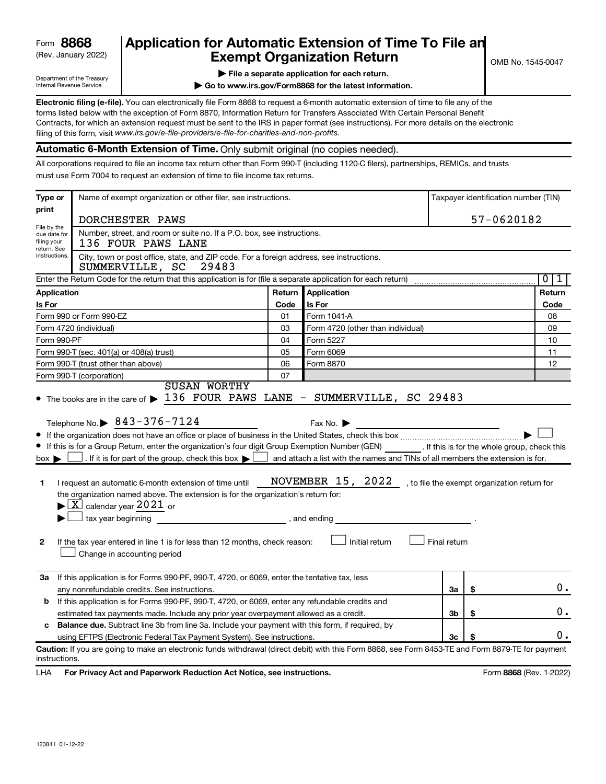## (Rev. January 2022) **Exempt Organization Return** Manuary 2022) and MS 1545-0047 **8868 Application for Automatic Extension of Time To File an**

Department of the Treasury Internal Revenue Service

|  |  |  |  | $\blacktriangleright$ File a separate application for each return. |
|--|--|--|--|--------------------------------------------------------------------|
|  |  |  |  |                                                                    |

**| Go to www.irs.gov/Form8868 for the latest information.**

**Electronic filing (e-file).** You can electronically file Form 8868 to request a 6-month automatic extension of time to file any of the filing of this form, visit www.irs.gov/e-file-providers/e-file-for-charities-and-non-profits. forms listed below with the exception of Form 8870, Information Return for Transfers Associated With Certain Personal Benefit Contracts, for which an extension request must be sent to the IRS in paper format (see instructions). For more details on the electronic

**Automatic 6-Month Extension of Time.** Only submit original (no copies needed).

All corporations required to file an income tax return other than Form 990-T (including 1120-C filers), partnerships, REMICs, and trusts must use Form 7004 to request an extension of time to file income tax returns.

| Type or                                        | Name of exempt organization or other filer, see instructions.<br>Taxpayer identification number (TIN)                                                                                                                                                                                                                                                                                                                                                                                                                                                                                                                       |              |                                                                                                                                                                                                    |                |            |        |
|------------------------------------------------|-----------------------------------------------------------------------------------------------------------------------------------------------------------------------------------------------------------------------------------------------------------------------------------------------------------------------------------------------------------------------------------------------------------------------------------------------------------------------------------------------------------------------------------------------------------------------------------------------------------------------------|--------------|----------------------------------------------------------------------------------------------------------------------------------------------------------------------------------------------------|----------------|------------|--------|
| print                                          | DORCHESTER PAWS                                                                                                                                                                                                                                                                                                                                                                                                                                                                                                                                                                                                             |              |                                                                                                                                                                                                    |                | 57-0620182 |        |
| File by the<br>due date for<br>filing your     | Number, street, and room or suite no. If a P.O. box, see instructions.<br>136 FOUR PAWS LANE                                                                                                                                                                                                                                                                                                                                                                                                                                                                                                                                |              |                                                                                                                                                                                                    |                |            |        |
| return. See<br>instructions.                   | City, town or post office, state, and ZIP code. For a foreign address, see instructions.<br>29483<br>SUMMERVILLE, SC                                                                                                                                                                                                                                                                                                                                                                                                                                                                                                        |              |                                                                                                                                                                                                    |                |            |        |
|                                                | Enter the Return Code for the return that this application is for (file a separate application for each return)                                                                                                                                                                                                                                                                                                                                                                                                                                                                                                             |              |                                                                                                                                                                                                    |                |            | 011    |
| Application                                    |                                                                                                                                                                                                                                                                                                                                                                                                                                                                                                                                                                                                                             | Return       | <b>Application</b>                                                                                                                                                                                 |                |            | Return |
| <b>Is For</b>                                  |                                                                                                                                                                                                                                                                                                                                                                                                                                                                                                                                                                                                                             | Code         | Is For                                                                                                                                                                                             |                |            | Code   |
|                                                | Form 990 or Form 990-EZ                                                                                                                                                                                                                                                                                                                                                                                                                                                                                                                                                                                                     | 01           | Form 1041-A                                                                                                                                                                                        |                |            | 08     |
|                                                | Form 4720 (individual)                                                                                                                                                                                                                                                                                                                                                                                                                                                                                                                                                                                                      | 03           | Form 4720 (other than individual)                                                                                                                                                                  |                |            | 09     |
| Form 990-PF                                    |                                                                                                                                                                                                                                                                                                                                                                                                                                                                                                                                                                                                                             | 04           | Form 5227                                                                                                                                                                                          |                |            | 10     |
|                                                | Form 990-T (sec. 401(a) or 408(a) trust)                                                                                                                                                                                                                                                                                                                                                                                                                                                                                                                                                                                    | 05           | Form 6069                                                                                                                                                                                          |                |            | 11     |
|                                                | Form 990-T (trust other than above)                                                                                                                                                                                                                                                                                                                                                                                                                                                                                                                                                                                         | 06           | Form 8870                                                                                                                                                                                          |                |            | 12     |
|                                                | Form 990-T (corporation)<br><b>SUSAN WORTHY</b>                                                                                                                                                                                                                                                                                                                                                                                                                                                                                                                                                                             | 07           |                                                                                                                                                                                                    |                |            |        |
| $box \blacktriangleright$<br>1<br>$\mathbf{2}$ | Telephone No. 3843-376-7124<br>• If this is for a Group Return, enter the organization's four digit Group Exemption Number (GEN) [16] If this is for the whole group, check this<br>. If it is for part of the group, check this box $\blacktriangleright$ [<br>I request an automatic 6-month extension of time until<br>the organization named above. The extension is for the organization's return for:<br>$\blacktriangleright$ $\lfloor$ X $\rfloor$ calendar year 2021 or<br>$\Box$ tax year beginning<br>If the tax year entered in line 1 is for less than 12 months, check reason:<br>Change in accounting period | , and ending | Fax No. $\blacktriangleright$<br>and attach a list with the names and TINs of all members the extension is for.<br>NOVEMBER 15, 2022, to file the exempt organization return for<br>Initial return | Final return   |            |        |
| За                                             | If this application is for Forms 990-PF, 990-T, 4720, or 6069, enter the tentative tax, less                                                                                                                                                                                                                                                                                                                                                                                                                                                                                                                                |              |                                                                                                                                                                                                    |                |            | $0$ .  |
|                                                | any nonrefundable credits. See instructions.                                                                                                                                                                                                                                                                                                                                                                                                                                                                                                                                                                                |              |                                                                                                                                                                                                    | За             | \$         |        |
| b                                              | If this application is for Forms 990-PF, 990-T, 4720, or 6069, enter any refundable credits and                                                                                                                                                                                                                                                                                                                                                                                                                                                                                                                             |              |                                                                                                                                                                                                    | 3 <sub>b</sub> | \$         | 0.     |
|                                                | estimated tax payments made. Include any prior year overpayment allowed as a credit.<br><b>Balance due.</b> Subtract line 3b from line 3a. Include your payment with this form, if required, by                                                                                                                                                                                                                                                                                                                                                                                                                             |              |                                                                                                                                                                                                    |                |            |        |
| c                                              | using EFTPS (Electronic Federal Tax Payment System). See instructions.                                                                                                                                                                                                                                                                                                                                                                                                                                                                                                                                                      |              |                                                                                                                                                                                                    | 3c             | S          | 0.     |
| instructions.                                  | Caution: If you are going to make an electronic funds withdrawal (direct debit) with this Form 8868, see Form 8453-TE and Form 8879-TE for payment                                                                                                                                                                                                                                                                                                                                                                                                                                                                          |              |                                                                                                                                                                                                    |                |            |        |

LHA For Privacy Act and Paperwork Reduction Act Notice, see instructions. **8868** CREV. 1-2022)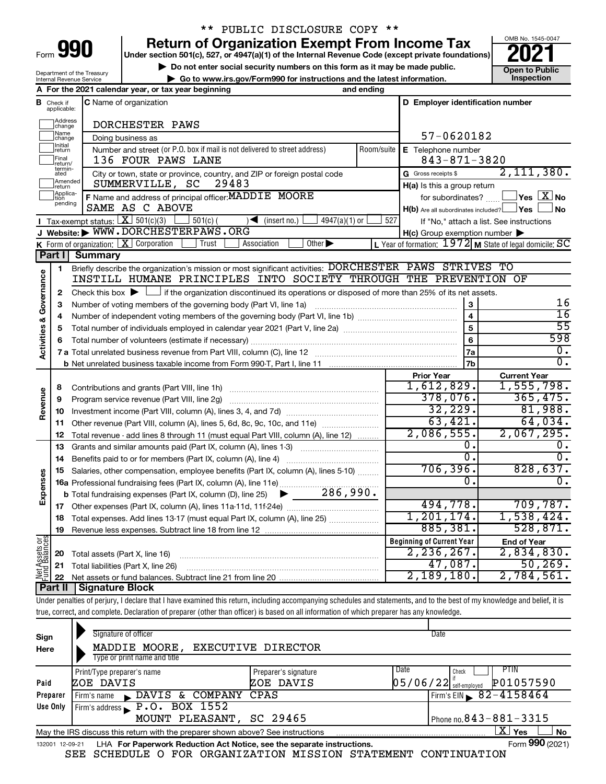# \*\* PUBLIC DISCLOSURE COPY \*\*

**990 Return of Organization Exempt From Income Tax Punce 1845-004 2021** 

**b** Do not enter social security numbers on this form as it may be made public.<br> **Go to www.irs.gov/Form990 for instructions and the latest information. This impection | Go to www.irs.gov/Form990 for instructions and the latest information. Inspection**



Department of the Treasury Internal Revenue Service

|                                |                                                                                                               | A For the 2021 calendar year, or tax year beginning                                                                                                                        | and ending |                                                     |                                                                    |
|--------------------------------|---------------------------------------------------------------------------------------------------------------|----------------------------------------------------------------------------------------------------------------------------------------------------------------------------|------------|-----------------------------------------------------|--------------------------------------------------------------------|
|                                | <b>B</b> Check if<br>applicable:                                                                              | C Name of organization                                                                                                                                                     |            | D Employer identification number                    |                                                                    |
|                                | Address<br> change                                                                                            | DORCHESTER PAWS                                                                                                                                                            |            |                                                     |                                                                    |
|                                | Name<br> change                                                                                               | Doing business as                                                                                                                                                          | 57-0620182 |                                                     |                                                                    |
|                                | Initial<br>Number and street (or P.O. box if mail is not delivered to street address)<br>Room/suite<br>return |                                                                                                                                                                            |            | E Telephone number                                  |                                                                    |
|                                | Final<br>return/                                                                                              | 136 FOUR PAWS LANE                                                                                                                                                         |            | $843 - 871 - 3820$                                  |                                                                    |
|                                | termin-<br>ated                                                                                               | City or town, state or province, country, and ZIP or foreign postal code                                                                                                   |            | G Gross receipts \$                                 | 2,111,380.                                                         |
|                                | Amended<br>return                                                                                             | SUMMERVILLE, SC<br>29483                                                                                                                                                   |            | H(a) Is this a group return                         |                                                                    |
|                                | Applica-<br>tion<br>pending                                                                                   | F Name and address of principal officer: MADDIE MOORE                                                                                                                      |            | for subordinates?                                   | $\sqrt{\mathsf{Yes}\mathord{\;\mathbb{X}}\mathord{\;\mathsf{No}}}$ |
|                                |                                                                                                               | SAME AS C ABOVE                                                                                                                                                            |            | $H(b)$ Are all subordinates included? $\Box$ Yes    | No                                                                 |
|                                |                                                                                                               | Tax-exempt status: $X \mid 501(c)(3)$<br>$501(c)$ (<br>$\sqrt{\bullet}$ (insert no.)<br>$4947(a)(1)$ or<br>J Website: WWW.DORCHESTERPAWS.ORG                               | 527        |                                                     | If "No," attach a list. See instructions                           |
|                                |                                                                                                               | <b>K</b> Form of organization: $\boxed{\textbf{X}}$ Corporation<br>Other $\blacktriangleright$<br>Trust<br>Association                                                     |            | $H(c)$ Group exemption number $\blacktriangleright$ | L Year of formation: $1972$ M State of legal domicile: SC          |
|                                | Part I                                                                                                        | <b>Summary</b>                                                                                                                                                             |            |                                                     |                                                                    |
|                                |                                                                                                               | Briefly describe the organization's mission or most significant activities: DORCHESTER PAWS STRIVES TO                                                                     |            |                                                     |                                                                    |
| Governance                     | 1                                                                                                             | INSTILL HUMANE PRINCIPLES INTO SOCIETY THROUGH THE PREVENTION OF                                                                                                           |            |                                                     |                                                                    |
|                                | 2                                                                                                             | Check this box $\blacktriangleright \Box$ if the organization discontinued its operations or disposed of more than 25% of its net assets.                                  |            |                                                     |                                                                    |
|                                | з                                                                                                             | Number of voting members of the governing body (Part VI, line 1a)                                                                                                          |            | 3                                                   | 16                                                                 |
|                                | 4                                                                                                             |                                                                                                                                                                            |            |                                                     | $\overline{16}$                                                    |
|                                | 5                                                                                                             |                                                                                                                                                                            |            | 5                                                   | $\overline{55}$                                                    |
|                                | 6                                                                                                             |                                                                                                                                                                            |            | 6                                                   | 598                                                                |
| <b>Activities &amp;</b>        |                                                                                                               |                                                                                                                                                                            |            | 7a                                                  | 0.                                                                 |
|                                |                                                                                                               |                                                                                                                                                                            |            | 7b                                                  | σ.                                                                 |
|                                |                                                                                                               |                                                                                                                                                                            |            | <b>Prior Year</b>                                   | <b>Current Year</b>                                                |
|                                | 8                                                                                                             |                                                                                                                                                                            |            | 1,612,829.                                          | 1,555,798.                                                         |
|                                | 9                                                                                                             |                                                                                                                                                                            |            | 378,076.                                            | 365,475.                                                           |
| Revenue                        | 10                                                                                                            |                                                                                                                                                                            |            | 32, 229.                                            | 81,988.                                                            |
|                                | 11                                                                                                            | Other revenue (Part VIII, column (A), lines 5, 6d, 8c, 9c, 10c, and 11e)                                                                                                   |            | 63,421.                                             | 64,034.                                                            |
|                                | 12                                                                                                            | Total revenue - add lines 8 through 11 (must equal Part VIII, column (A), line 12)                                                                                         |            | 2,086,555.                                          | 2,067,295.                                                         |
|                                | 13                                                                                                            | Grants and similar amounts paid (Part IX, column (A), lines 1-3)                                                                                                           |            | Ο.                                                  | ο.                                                                 |
|                                | 14                                                                                                            | Benefits paid to or for members (Part IX, column (A), line 4)                                                                                                              |            | σ.                                                  | $\overline{0}$ .                                                   |
|                                | 15                                                                                                            | Salaries, other compensation, employee benefits (Part IX, column (A), lines 5-10)                                                                                          |            | 706, 396.                                           | 828,637.                                                           |
| Expenses                       |                                                                                                               | 16a Professional fundraising fees (Part IX, column (A), line 11e)                                                                                                          |            | 0.                                                  | 0.                                                                 |
|                                |                                                                                                               | <b>b</b> Total fundraising expenses (Part IX, column (D), line 25) $\bullet$ 286, 990.                                                                                     |            |                                                     |                                                                    |
|                                |                                                                                                               |                                                                                                                                                                            |            | 494,778.<br>1, 201, 174.                            | 709,787.                                                           |
|                                | 18                                                                                                            | Total expenses. Add lines 13-17 (must equal Part IX, column (A), line 25)                                                                                                  |            |                                                     | 1,538,424.                                                         |
|                                |                                                                                                               | 19 Revenue less expenses. Subtract line 18 from line 12                                                                                                                    |            | 885,381.                                            | 528,871.                                                           |
| Net Assets or<br>Fund Balances |                                                                                                               |                                                                                                                                                                            |            | <b>Beginning of Current Year</b><br>$2, 236, 267$ . | <b>End of Year</b><br>2,834,830.                                   |
|                                | 20                                                                                                            | Total assets (Part X, line 16)                                                                                                                                             |            | 47,087.                                             | 50, 269.                                                           |
|                                | 21                                                                                                            | Total liabilities (Part X, line 26)                                                                                                                                        |            | 2,189,180.                                          | 2,784,561.                                                         |
|                                | 22<br><b>Part II</b>                                                                                          | <b>Signature Block</b>                                                                                                                                                     |            |                                                     |                                                                    |
|                                |                                                                                                               | Under penalties of perjury, I declare that I have examined this return, including accompanying schedules and statements, and to the best of my knowledge and belief, it is |            |                                                     |                                                                    |
|                                |                                                                                                               | true, correct, and complete. Declaration of preparer (other than officer) is based on all information of which preparer has any knowledge.                                 |            |                                                     |                                                                    |
|                                |                                                                                                               |                                                                                                                                                                            |            |                                                     |                                                                    |

| Sign<br>Here    | Signature of officer<br>MADDIE MOORE, EXECUTIVE DIRECTOR<br>Type or print name and title |                                   |      | Date                                                   |
|-----------------|------------------------------------------------------------------------------------------|-----------------------------------|------|--------------------------------------------------------|
| Paid            | Print/Type preparer's name<br>ZOE DAVIS                                                  | Preparer's signature<br>ZOE DAVIS | Date | PTIN<br>Check<br>P01057590<br>$05/06/22$ self-employed |
| Preparer        | DAVIS &<br>COMPANY<br>Firm's name<br>$\mathbf{E}$                                        | CPAS                              |      | Firm's EIN $\sqrt{82-4158464}$                         |
| Use Only        | Firm's address $\blacktriangleright$ P.O. BOX 1552                                       |                                   |      |                                                        |
|                 | MOUNT PLEASANT, SC 29465                                                                 |                                   |      | Phone no. $843 - 881 - 3315$                           |
|                 | May the IRS discuss this return with the preparer shown above? See instructions          |                                   |      | ΧI<br>Yes<br>No                                        |
| 132001 12-09-21 | LHA For Paperwork Reduction Act Notice, see the separate instructions.                   |                                   |      | Form 990 (2021)                                        |

SEE SCHEDULE O FOR ORGANIZATION MISSION STATEMENT CONTINUATION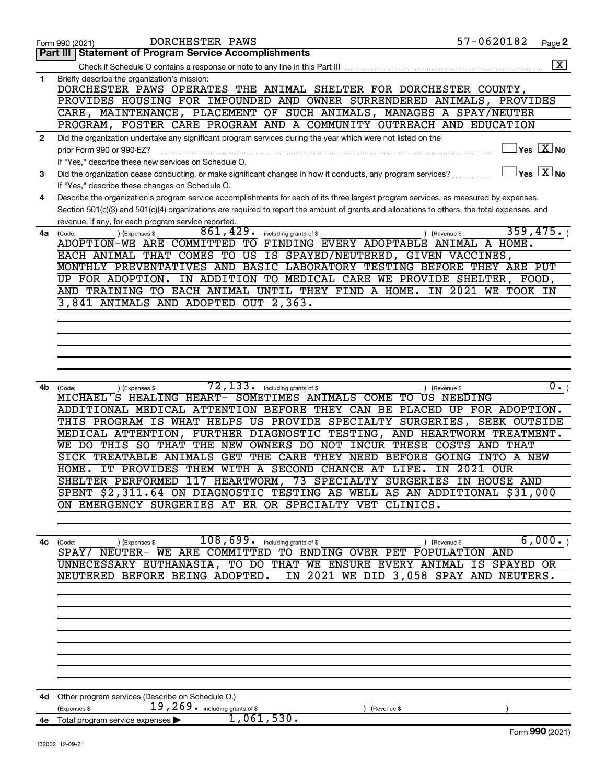|              | DORCHESTER PAWS<br>Form 990 (2021)                                                                                                                                   | 57-0620182                 | Page 2                                                                     |
|--------------|----------------------------------------------------------------------------------------------------------------------------------------------------------------------|----------------------------|----------------------------------------------------------------------------|
|              | Part III   Statement of Program Service Accomplishments                                                                                                              |                            |                                                                            |
|              |                                                                                                                                                                      |                            | $\overline{\mathbf{x}}$                                                    |
| 1            | Briefly describe the organization's mission:                                                                                                                         |                            |                                                                            |
|              | DORCHESTER PAWS OPERATES THE ANIMAL SHELTER FOR DORCHESTER COUNTY,                                                                                                   |                            |                                                                            |
|              | PROVIDES HOUSING FOR IMPOUNDED AND OWNER SURRENDERED ANIMALS, PROVIDES<br>CARE, MAINTENANCE, PLACEMENT OF SUCH ANIMALS, MANAGES A SPAY/NEUTER                        |                            |                                                                            |
|              | PROGRAM, FOSTER CARE PROGRAM AND A COMMUNITY OUTREACH AND EDUCATION                                                                                                  |                            |                                                                            |
| $\mathbf{2}$ | Did the organization undertake any significant program services during the year which were not listed on the                                                         |                            |                                                                            |
|              | prior Form 990 or 990-EZ?                                                                                                                                            |                            | $\overline{\ }$ Yes $\overline{\phantom{a}X}$ No                           |
|              | If "Yes," describe these new services on Schedule O.                                                                                                                 |                            |                                                                            |
| 3            | Did the organization cease conducting, or make significant changes in how it conducts, any program services?                                                         |                            | $\left\vert \mathsf{Yes}\right\vert$ $\left\vert \mathsf{X}\right\vert$ No |
|              | If "Yes," describe these changes on Schedule O.                                                                                                                      |                            |                                                                            |
| 4            | Describe the organization's program service accomplishments for each of its three largest program services, as measured by expenses.                                 |                            |                                                                            |
|              | Section 501(c)(3) and 501(c)(4) organizations are required to report the amount of grants and allocations to others, the total expenses, and                         |                            |                                                                            |
|              | revenue, if any, for each program service reported.                                                                                                                  |                            |                                                                            |
| 4a           | 861,429.<br>) (Expenses \$<br>including grants of \$<br>(Code:<br>(Revenue \$                                                                                        |                            | 359,475.                                                                   |
|              | ADOPTION-WE ARE COMMITTED<br>TO FINDING EVERY ADOPTABLE ANIMAL A HOME.                                                                                               |                            |                                                                            |
|              | EACH ANIMAL THAT COMES TO US IS SPAYED/NEUTERED, GIVEN VACCINES,                                                                                                     |                            |                                                                            |
|              | MONTHLY PREVENTATIVES AND BASIC LABORATORY TESTING BEFORE THEY ARE PUT<br>UP FOR ADOPTION.                                                                           |                            |                                                                            |
|              | IN ADDITION TO MEDICAL CARE WE PROVIDE SHELTER, FOOD,<br>AND TRAINING TO EACH ANIMAL UNTIL THEY FIND A HOME.                                                         | IN 2021 WE TOOK IN         |                                                                            |
|              | 3,841 ANIMALS AND ADOPTED OUT 2,363.                                                                                                                                 |                            |                                                                            |
|              |                                                                                                                                                                      |                            |                                                                            |
|              |                                                                                                                                                                      |                            |                                                                            |
|              |                                                                                                                                                                      |                            |                                                                            |
|              |                                                                                                                                                                      |                            |                                                                            |
|              |                                                                                                                                                                      |                            |                                                                            |
|              |                                                                                                                                                                      |                            |                                                                            |
| 4b           | 72,133.<br>including grants of \$<br>) (Expenses \$<br>(Revenue \$<br>(Code:                                                                                         |                            | $\overline{\mathbf{0}}$ .                                                  |
|              | MICHAEL'S HEALING HEART- SOMETIMES ANIMALS COME TO US NEEDING                                                                                                        |                            |                                                                            |
|              | ADDITIONAL MEDICAL ATTENTION BEFORE THEY CAN BE PLACED UP FOR ADOPTION.                                                                                              |                            |                                                                            |
|              | THIS PROGRAM IS WHAT HELPS US PROVIDE SPECIALTY SURGERIES, SEEK OUTSIDE<br>MEDICAL ATTENTION, FURTHER DIAGNOSTIC TESTING, AND HEARTWORM TREATMENT.                   |                            |                                                                            |
|              | .SO<br>THE NEW<br>OWNERS DO NOT<br>INCUR THESE COSTS<br>WE DO THIS<br>THAT                                                                                           | AND THAT                   |                                                                            |
|              | SICK TREATABLE ANIMALS GET THE CARE THEY<br>NEED<br><b>BEFORE</b>                                                                                                    | GOING<br><b>INTO A NEW</b> |                                                                            |
|              | HOME. IT PROVIDES THEM WITH A SECOND CHANCE AT LIFE.                                                                                                                 | <b>IN 2021 OUR</b>         |                                                                            |
|              | SHELTER PERFORMED 117 HEARTWORM, 73 SPECIALTY SURGERIES IN HOUSE AND                                                                                                 |                            |                                                                            |
|              | SPENT \$2,311.64 ON DIAGNOSTIC TESTING AS WELL AS AN ADDITIONAL \$31,000                                                                                             |                            |                                                                            |
|              | ON EMERGENCY SURGERIES AT ER OR SPECIALTY VET CLINICS.                                                                                                               |                            |                                                                            |
|              |                                                                                                                                                                      |                            |                                                                            |
|              |                                                                                                                                                                      |                            |                                                                            |
|              | $108,699$ $\frac{1}{100}$ including grants of \$<br>4c (Code:<br>) (Expenses \$<br>) (Revenue \$<br>SPAY/ NEUTER- WE ARE COMMITTED TO ENDING OVER PET POPULATION AND |                            | 6,000.                                                                     |
|              | UNNECESSARY EUTHANASIA, TO DO THAT WE ENSURE EVERY ANIMAL IS SPAYED OR                                                                                               |                            |                                                                            |
|              | NEUTERED BEFORE BEING ADOPTED. IN 2021 WE DID 3,058 SPAY AND NEUTERS.                                                                                                |                            |                                                                            |
|              |                                                                                                                                                                      |                            |                                                                            |
|              |                                                                                                                                                                      |                            |                                                                            |
|              |                                                                                                                                                                      |                            |                                                                            |
|              |                                                                                                                                                                      |                            |                                                                            |
|              |                                                                                                                                                                      |                            |                                                                            |
|              |                                                                                                                                                                      |                            |                                                                            |
|              |                                                                                                                                                                      |                            |                                                                            |
|              |                                                                                                                                                                      |                            |                                                                            |
|              |                                                                                                                                                                      |                            |                                                                            |
|              | 4d Other program services (Describe on Schedule O.)<br>$19,269$ $\cdot$ including grants of \$<br>(Expenses \$                                                       |                            |                                                                            |
|              | (Revenue \$<br>1,061,530.<br>4e Total program service expenses                                                                                                       |                            |                                                                            |
|              |                                                                                                                                                                      |                            | Form 990 (2021)                                                            |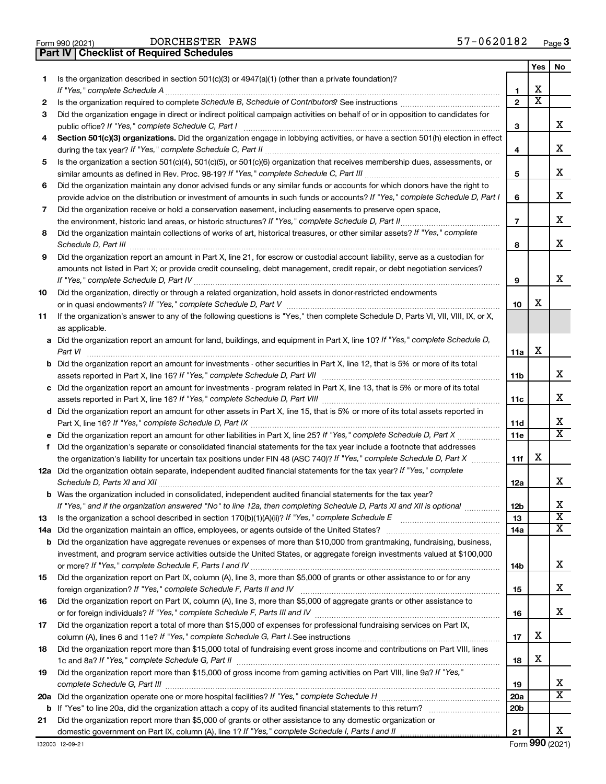| Form 990 (2021) | DORCHESTER P                                   |  |
|-----------------|------------------------------------------------|--|
|                 | <b>Part IV Checklist of Required Schedules</b> |  |

|     |                                                                                                                                          |                 | Yes | No                    |
|-----|------------------------------------------------------------------------------------------------------------------------------------------|-----------------|-----|-----------------------|
| 1.  | Is the organization described in section $501(c)(3)$ or $4947(a)(1)$ (other than a private foundation)?<br>If "Yes," complete Schedule A | 1               | x   |                       |
| 2   |                                                                                                                                          | $\mathbf{2}$    | х   |                       |
| З   | Did the organization engage in direct or indirect political campaign activities on behalf of or in opposition to candidates for          |                 |     |                       |
|     | public office? If "Yes," complete Schedule C, Part I                                                                                     | З               |     | х                     |
| 4   | Section 501(c)(3) organizations. Did the organization engage in lobbying activities, or have a section 501(h) election in effect         |                 |     |                       |
|     |                                                                                                                                          | 4               |     | х                     |
| 5   | Is the organization a section 501(c)(4), 501(c)(5), or 501(c)(6) organization that receives membership dues, assessments, or             |                 |     |                       |
|     |                                                                                                                                          | 5               |     | х                     |
| 6   | Did the organization maintain any donor advised funds or any similar funds or accounts for which donors have the right to                |                 |     |                       |
|     | provide advice on the distribution or investment of amounts in such funds or accounts? If "Yes," complete Schedule D, Part I             | 6               |     | х                     |
| 7   | Did the organization receive or hold a conservation easement, including easements to preserve open space,                                |                 |     |                       |
|     |                                                                                                                                          | $\overline{7}$  |     | х                     |
| 8   | Did the organization maintain collections of works of art, historical treasures, or other similar assets? If "Yes," complete             |                 |     |                       |
|     |                                                                                                                                          | 8               |     | x                     |
| 9   | Did the organization report an amount in Part X, line 21, for escrow or custodial account liability, serve as a custodian for            |                 |     |                       |
|     | amounts not listed in Part X; or provide credit counseling, debt management, credit repair, or debt negotiation services?                |                 |     |                       |
|     |                                                                                                                                          | 9               |     | х                     |
| 10  | Did the organization, directly or through a related organization, hold assets in donor-restricted endowments                             |                 |     |                       |
|     |                                                                                                                                          | 10              | х   |                       |
| 11  | If the organization's answer to any of the following questions is "Yes," then complete Schedule D, Parts VI, VII, VIII, IX, or X,        |                 |     |                       |
|     | as applicable.                                                                                                                           |                 |     |                       |
|     | a Did the organization report an amount for land, buildings, and equipment in Part X, line 10? If "Yes," complete Schedule D,            |                 |     |                       |
|     |                                                                                                                                          | 11a             | х   |                       |
|     | <b>b</b> Did the organization report an amount for investments - other securities in Part X, line 12, that is 5% or more of its total    |                 |     | х                     |
|     |                                                                                                                                          | 11b             |     |                       |
|     | c Did the organization report an amount for investments - program related in Part X, line 13, that is 5% or more of its total            | 11c             |     | х                     |
|     | d Did the organization report an amount for other assets in Part X, line 15, that is 5% or more of its total assets reported in          |                 |     |                       |
|     |                                                                                                                                          | 11d             |     | х                     |
|     |                                                                                                                                          | 11e             |     | X                     |
| f   | Did the organization's separate or consolidated financial statements for the tax year include a footnote that addresses                  |                 |     |                       |
|     | the organization's liability for uncertain tax positions under FIN 48 (ASC 740)? If "Yes," complete Schedule D, Part X                   | 11f             | х   |                       |
|     | 12a Did the organization obtain separate, independent audited financial statements for the tax year? If "Yes," complete                  |                 |     |                       |
|     |                                                                                                                                          | 12a             |     | x                     |
|     | <b>b</b> Was the organization included in consolidated, independent audited financial statements for the tax year?                       |                 |     |                       |
|     | If "Yes," and if the organization answered "No" to line 12a, then completing Schedule D, Parts XI and XII is optional                    | 12 <sub>b</sub> |     | х                     |
| 13  |                                                                                                                                          | 13              |     | $\overline{\text{x}}$ |
| 14a |                                                                                                                                          | 14a             |     | x                     |
|     | <b>b</b> Did the organization have aggregate revenues or expenses of more than \$10,000 from grantmaking, fundraising, business,         |                 |     |                       |
|     | investment, and program service activities outside the United States, or aggregate foreign investments valued at \$100,000               |                 |     |                       |
|     |                                                                                                                                          | 14b             |     | х                     |
| 15  | Did the organization report on Part IX, column (A), line 3, more than \$5,000 of grants or other assistance to or for any                |                 |     |                       |
|     |                                                                                                                                          | 15              |     | х                     |
| 16  | Did the organization report on Part IX, column (A), line 3, more than \$5,000 of aggregate grants or other assistance to                 |                 |     | x                     |
|     |                                                                                                                                          | 16              |     |                       |
| 17  | Did the organization report a total of more than \$15,000 of expenses for professional fundraising services on Part IX,                  | 17              | х   |                       |
| 18  | Did the organization report more than \$15,000 total of fundraising event gross income and contributions on Part VIII, lines             |                 |     |                       |
|     |                                                                                                                                          | 18              | х   |                       |
| 19  | Did the organization report more than \$15,000 of gross income from gaming activities on Part VIII, line 9a? If "Yes,"                   |                 |     |                       |
|     |                                                                                                                                          | 19              |     | х                     |
|     |                                                                                                                                          | 20a             |     | х                     |
|     |                                                                                                                                          | 20 <sub>b</sub> |     |                       |
| 21  | Did the organization report more than \$5,000 of grants or other assistance to any domestic organization or                              |                 |     |                       |
|     |                                                                                                                                          | 21              |     | x                     |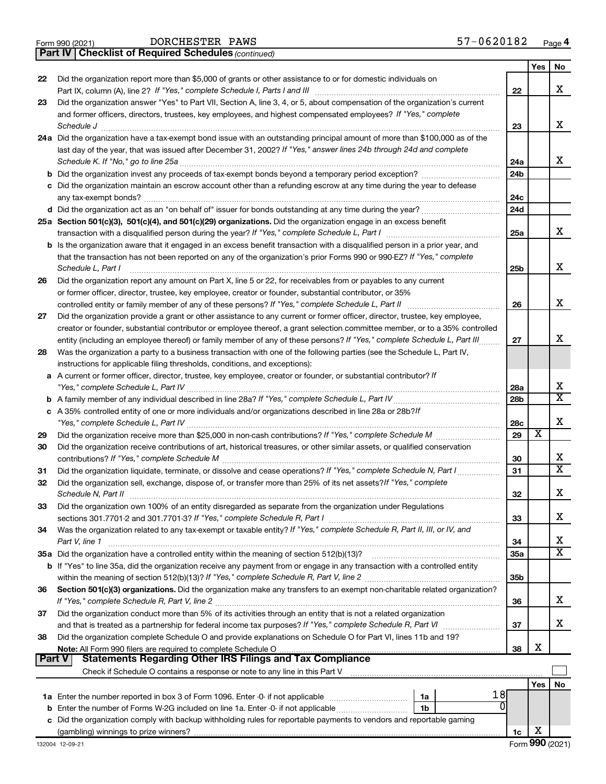|  | Form 990 (2021) |
|--|-----------------|
|  |                 |

DORCHESTER PAWS

*(continued)* **Part IV Checklist of Required Schedules**

|               |                                                                                                                                                                                                                                                            |                 | Yes | No                      |
|---------------|------------------------------------------------------------------------------------------------------------------------------------------------------------------------------------------------------------------------------------------------------------|-----------------|-----|-------------------------|
| 22            | Did the organization report more than \$5,000 of grants or other assistance to or for domestic individuals on                                                                                                                                              |                 |     |                         |
|               |                                                                                                                                                                                                                                                            | 22              |     | х                       |
| 23            | Did the organization answer "Yes" to Part VII, Section A, line 3, 4, or 5, about compensation of the organization's current                                                                                                                                |                 |     |                         |
|               | and former officers, directors, trustees, key employees, and highest compensated employees? If "Yes," complete                                                                                                                                             |                 |     |                         |
|               | Schedule J                                                                                                                                                                                                                                                 | 23              |     | x                       |
|               | 24a Did the organization have a tax-exempt bond issue with an outstanding principal amount of more than \$100,000 as of the                                                                                                                                |                 |     |                         |
|               | last day of the year, that was issued after December 31, 2002? If "Yes," answer lines 24b through 24d and complete                                                                                                                                         |                 |     |                         |
|               | Schedule K. If "No," go to line 25a                                                                                                                                                                                                                        | 24a             |     | x                       |
|               |                                                                                                                                                                                                                                                            | 24 <sub>b</sub> |     |                         |
|               | c Did the organization maintain an escrow account other than a refunding escrow at any time during the year to defease                                                                                                                                     |                 |     |                         |
|               |                                                                                                                                                                                                                                                            | 24c             |     |                         |
|               |                                                                                                                                                                                                                                                            | 24d             |     |                         |
|               | 25a Section 501(c)(3), 501(c)(4), and 501(c)(29) organizations. Did the organization engage in an excess benefit                                                                                                                                           |                 |     | x                       |
|               |                                                                                                                                                                                                                                                            | 25a             |     |                         |
|               | b Is the organization aware that it engaged in an excess benefit transaction with a disqualified person in a prior year, and                                                                                                                               |                 |     |                         |
|               | that the transaction has not been reported on any of the organization's prior Forms 990 or 990-EZ? If "Yes," complete                                                                                                                                      |                 |     | х                       |
|               | Schedule L, Part I                                                                                                                                                                                                                                         | 25b             |     |                         |
| 26            | Did the organization report any amount on Part X, line 5 or 22, for receivables from or payables to any current                                                                                                                                            |                 |     |                         |
|               | or former officer, director, trustee, key employee, creator or founder, substantial contributor, or 35%                                                                                                                                                    | 26              |     | x                       |
| 27            |                                                                                                                                                                                                                                                            |                 |     |                         |
|               | Did the organization provide a grant or other assistance to any current or former officer, director, trustee, key employee,<br>creator or founder, substantial contributor or employee thereof, a grant selection committee member, or to a 35% controlled |                 |     |                         |
|               | entity (including an employee thereof) or family member of any of these persons? If "Yes," complete Schedule L, Part III                                                                                                                                   | 27              |     | x                       |
| 28            | Was the organization a party to a business transaction with one of the following parties (see the Schedule L, Part IV,                                                                                                                                     |                 |     |                         |
|               | instructions for applicable filing thresholds, conditions, and exceptions):                                                                                                                                                                                |                 |     |                         |
|               | a A current or former officer, director, trustee, key employee, creator or founder, or substantial contributor? If                                                                                                                                         |                 |     |                         |
|               |                                                                                                                                                                                                                                                            | 28a             |     | x                       |
|               |                                                                                                                                                                                                                                                            | 28 <sub>b</sub> |     | $\overline{\mathtt{x}}$ |
|               | c A 35% controlled entity of one or more individuals and/or organizations described in line 28a or 28b?If                                                                                                                                                  |                 |     |                         |
|               |                                                                                                                                                                                                                                                            | 28c             |     | X                       |
| 29            |                                                                                                                                                                                                                                                            | 29              | х   |                         |
| 30            | Did the organization receive contributions of art, historical treasures, or other similar assets, or qualified conservation                                                                                                                                |                 |     |                         |
|               |                                                                                                                                                                                                                                                            | 30              |     | x                       |
| 31            |                                                                                                                                                                                                                                                            | 31              |     | $\overline{\mathbf{X}}$ |
| 32            | Did the organization sell, exchange, dispose of, or transfer more than 25% of its net assets? If "Yes," complete                                                                                                                                           |                 |     |                         |
|               | Schedule N, Part II                                                                                                                                                                                                                                        | 32              |     | x                       |
| 33            | Did the organization own 100% of an entity disregarded as separate from the organization under Regulations                                                                                                                                                 |                 |     |                         |
|               |                                                                                                                                                                                                                                                            | 33              |     | х                       |
| 34            | Was the organization related to any tax-exempt or taxable entity? If "Yes," complete Schedule R, Part II, III, or IV, and                                                                                                                                  |                 |     |                         |
|               | Part V, line 1                                                                                                                                                                                                                                             | 34              |     | х                       |
|               | 35a Did the organization have a controlled entity within the meaning of section 512(b)(13)?                                                                                                                                                                | 35a             |     | $\overline{\mathbf{X}}$ |
|               | <b>b</b> If "Yes" to line 35a, did the organization receive any payment from or engage in any transaction with a controlled entity                                                                                                                         |                 |     |                         |
|               |                                                                                                                                                                                                                                                            | 35 <sub>b</sub> |     |                         |
| 36            | Section 501(c)(3) organizations. Did the organization make any transfers to an exempt non-charitable related organization?                                                                                                                                 |                 |     |                         |
|               |                                                                                                                                                                                                                                                            | 36              |     | x                       |
| 37            | Did the organization conduct more than 5% of its activities through an entity that is not a related organization                                                                                                                                           |                 |     |                         |
|               |                                                                                                                                                                                                                                                            | 37              |     | x                       |
| 38            | Did the organization complete Schedule O and provide explanations on Schedule O for Part VI, lines 11b and 19?                                                                                                                                             |                 |     |                         |
| <b>Part V</b> | <b>Statements Regarding Other IRS Filings and Tax Compliance</b>                                                                                                                                                                                           | 38              | х   |                         |
|               |                                                                                                                                                                                                                                                            |                 |     |                         |
|               |                                                                                                                                                                                                                                                            |                 |     |                         |
|               | 18                                                                                                                                                                                                                                                         |                 | Yes | No                      |
|               | 1a<br><sup>0</sup>                                                                                                                                                                                                                                         |                 |     |                         |
| b             | Enter the number of Forms W-2G included on line 1a. Enter -0- if not applicable<br>1b<br>Did the organization comply with backup withholding rules for reportable payments to vendors and reportable gaming                                                |                 |     |                         |
| с             |                                                                                                                                                                                                                                                            | 1c              | X   |                         |
|               |                                                                                                                                                                                                                                                            |                 |     |                         |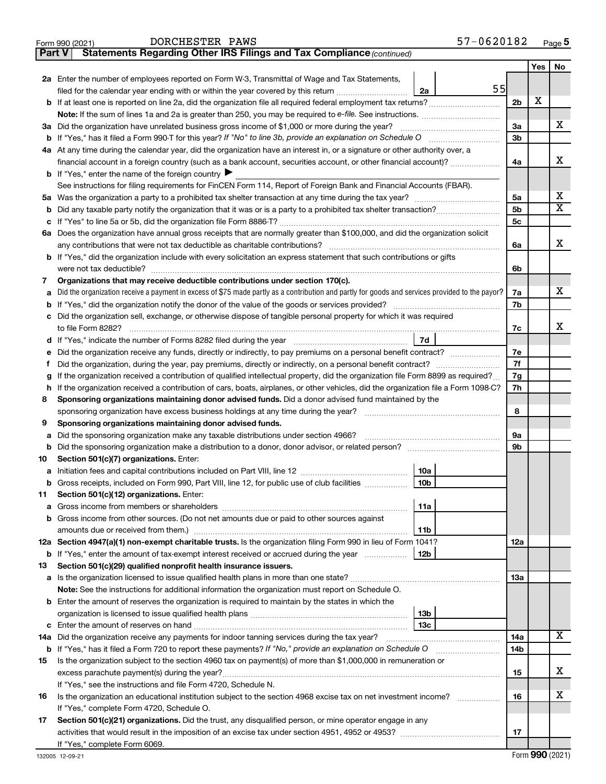| DORCHESTER | PAW. |
|------------|------|
|------------|------|

**Part V Statements Regarding Other IRS Filings and Tax Compliance**

*(continued)*

|                                                                                                                                                   |                                                                                                                                    |                | Yes | No                      |  |  |  |  |
|---------------------------------------------------------------------------------------------------------------------------------------------------|------------------------------------------------------------------------------------------------------------------------------------|----------------|-----|-------------------------|--|--|--|--|
|                                                                                                                                                   | 2a Enter the number of employees reported on Form W-3, Transmittal of Wage and Tax Statements,                                     |                |     |                         |  |  |  |  |
|                                                                                                                                                   | 55<br>filed for the calendar year ending with or within the year covered by this return <i>manumumumum</i><br>2a                   |                |     |                         |  |  |  |  |
|                                                                                                                                                   |                                                                                                                                    | 2 <sub>b</sub> | х   |                         |  |  |  |  |
|                                                                                                                                                   |                                                                                                                                    |                |     |                         |  |  |  |  |
|                                                                                                                                                   | 3a Did the organization have unrelated business gross income of \$1,000 or more during the year?                                   | 3a             |     | x                       |  |  |  |  |
|                                                                                                                                                   |                                                                                                                                    | 3b             |     |                         |  |  |  |  |
|                                                                                                                                                   | 4a At any time during the calendar year, did the organization have an interest in, or a signature or other authority over, a       |                |     | х                       |  |  |  |  |
|                                                                                                                                                   | financial account in a foreign country (such as a bank account, securities account, or other financial account)?                   | 4a             |     |                         |  |  |  |  |
|                                                                                                                                                   | <b>b</b> If "Yes," enter the name of the foreign country I                                                                         |                |     |                         |  |  |  |  |
|                                                                                                                                                   | See instructions for filing requirements for FinCEN Form 114, Report of Foreign Bank and Financial Accounts (FBAR).                |                |     | х                       |  |  |  |  |
| b                                                                                                                                                 |                                                                                                                                    | 5a<br>5b       |     | $\overline{\mathbf{X}}$ |  |  |  |  |
|                                                                                                                                                   |                                                                                                                                    |                |     |                         |  |  |  |  |
|                                                                                                                                                   | 6a Does the organization have annual gross receipts that are normally greater than \$100,000, and did the organization solicit     | 5c             |     |                         |  |  |  |  |
|                                                                                                                                                   | any contributions that were not tax deductible as charitable contributions?                                                        | 6a             |     | x                       |  |  |  |  |
| <b>b</b> If "Yes," did the organization include with every solicitation an express statement that such contributions or gifts                     |                                                                                                                                    |                |     |                         |  |  |  |  |
| were not tax deductible?                                                                                                                          |                                                                                                                                    |                |     |                         |  |  |  |  |
| Organizations that may receive deductible contributions under section 170(c).<br>7                                                                |                                                                                                                                    |                |     |                         |  |  |  |  |
| a Did the organization receive a payment in excess of \$75 made partly as a contribution and partly for goods and services provided to the payor? |                                                                                                                                    |                |     |                         |  |  |  |  |
|                                                                                                                                                   |                                                                                                                                    | 7a<br>7b       |     |                         |  |  |  |  |
|                                                                                                                                                   | c Did the organization sell, exchange, or otherwise dispose of tangible personal property for which it was required                |                |     |                         |  |  |  |  |
|                                                                                                                                                   | to file Form 8282?                                                                                                                 | 7c             |     | х                       |  |  |  |  |
|                                                                                                                                                   | 7d                                                                                                                                 |                |     |                         |  |  |  |  |
| е                                                                                                                                                 | Did the organization receive any funds, directly or indirectly, to pay premiums on a personal benefit contract?                    |                |     |                         |  |  |  |  |
| f.                                                                                                                                                |                                                                                                                                    | 7f             |     |                         |  |  |  |  |
| g                                                                                                                                                 | If the organization received a contribution of qualified intellectual property, did the organization file Form 8899 as required?   | 7g             |     |                         |  |  |  |  |
| h.                                                                                                                                                | If the organization received a contribution of cars, boats, airplanes, or other vehicles, did the organization file a Form 1098-C? | 7h             |     |                         |  |  |  |  |
| 8                                                                                                                                                 | Sponsoring organizations maintaining donor advised funds. Did a donor advised fund maintained by the                               |                |     |                         |  |  |  |  |
|                                                                                                                                                   | sponsoring organization have excess business holdings at any time during the year?                                                 | 8              |     |                         |  |  |  |  |
| 9                                                                                                                                                 | Sponsoring organizations maintaining donor advised funds.                                                                          | 9а             |     |                         |  |  |  |  |
| Did the sponsoring organization make any taxable distributions under section 4966?<br>a                                                           |                                                                                                                                    |                |     |                         |  |  |  |  |
| b                                                                                                                                                 |                                                                                                                                    |                |     |                         |  |  |  |  |
| 10                                                                                                                                                | Section 501(c)(7) organizations. Enter:                                                                                            |                |     |                         |  |  |  |  |
|                                                                                                                                                   | 10a<br>10 <sub>b</sub><br>b Gross receipts, included on Form 990, Part VIII, line 12, for public use of club facilities            |                |     |                         |  |  |  |  |
| 11                                                                                                                                                | Section 501(c)(12) organizations. Enter:                                                                                           |                |     |                         |  |  |  |  |
|                                                                                                                                                   | l 11a<br><b>a</b> Gross income from members or shareholders                                                                        |                |     |                         |  |  |  |  |
|                                                                                                                                                   | <b>b</b> Gross income from other sources. (Do not net amounts due or paid to other sources against                                 |                |     |                         |  |  |  |  |
|                                                                                                                                                   | amounts due or received from them.)<br>11b                                                                                         |                |     |                         |  |  |  |  |
|                                                                                                                                                   | 12a Section 4947(a)(1) non-exempt charitable trusts. Is the organization filing Form 990 in lieu of Form 1041?                     | 12a            |     |                         |  |  |  |  |
|                                                                                                                                                   | <b>b</b> If "Yes," enter the amount of tax-exempt interest received or accrued during the year<br>  12b                            |                |     |                         |  |  |  |  |
| 13                                                                                                                                                | Section 501(c)(29) qualified nonprofit health insurance issuers.                                                                   |                |     |                         |  |  |  |  |
|                                                                                                                                                   | a Is the organization licensed to issue qualified health plans in more than one state?                                             | 1За            |     |                         |  |  |  |  |
|                                                                                                                                                   | Note: See the instructions for additional information the organization must report on Schedule O.                                  |                |     |                         |  |  |  |  |
|                                                                                                                                                   | <b>b</b> Enter the amount of reserves the organization is required to maintain by the states in which the                          |                |     |                         |  |  |  |  |
|                                                                                                                                                   | 13 <sub>b</sub>                                                                                                                    |                |     |                         |  |  |  |  |
|                                                                                                                                                   | 13с                                                                                                                                |                |     | x                       |  |  |  |  |
| 14a Did the organization receive any payments for indoor tanning services during the tax year?                                                    |                                                                                                                                    |                |     |                         |  |  |  |  |
| <b>b</b> If "Yes," has it filed a Form 720 to report these payments? If "No," provide an explanation on Schedule O                                |                                                                                                                                    |                |     |                         |  |  |  |  |
| Is the organization subject to the section 4960 tax on payment(s) of more than \$1,000,000 in remuneration or<br>15                               |                                                                                                                                    |                |     |                         |  |  |  |  |
|                                                                                                                                                   |                                                                                                                                    | 15             |     | x                       |  |  |  |  |
|                                                                                                                                                   | If "Yes," see the instructions and file Form 4720, Schedule N.                                                                     |                |     |                         |  |  |  |  |
| 16                                                                                                                                                | Is the organization an educational institution subject to the section 4968 excise tax on net investment income?                    | 16             |     | x                       |  |  |  |  |
|                                                                                                                                                   | If "Yes," complete Form 4720, Schedule O.                                                                                          |                |     |                         |  |  |  |  |
| 17                                                                                                                                                | Section 501(c)(21) organizations. Did the trust, any disqualified person, or mine operator engage in any                           |                |     |                         |  |  |  |  |
|                                                                                                                                                   | If "Yes," complete Form 6069.                                                                                                      | 17             |     |                         |  |  |  |  |
|                                                                                                                                                   |                                                                                                                                    |                |     |                         |  |  |  |  |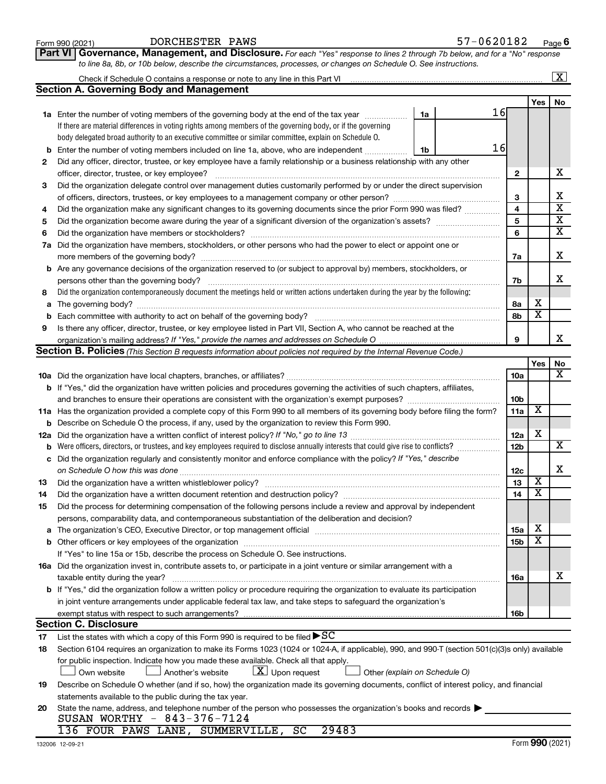|     | <b>Section A. Governing Body and Management</b>                                                                                                                                                                                |    |  |    |                         |                         |                         |  |  |  |  |
|-----|--------------------------------------------------------------------------------------------------------------------------------------------------------------------------------------------------------------------------------|----|--|----|-------------------------|-------------------------|-------------------------|--|--|--|--|
|     |                                                                                                                                                                                                                                |    |  |    |                         | Yes                     | No                      |  |  |  |  |
|     | 1a Enter the number of voting members of the governing body at the end of the tax year <i>manumum</i>                                                                                                                          | 1a |  | 16 |                         |                         |                         |  |  |  |  |
|     | If there are material differences in voting rights among members of the governing body, or if the governing                                                                                                                    |    |  |    |                         |                         |                         |  |  |  |  |
|     | body delegated broad authority to an executive committee or similar committee, explain on Schedule O.                                                                                                                          |    |  |    |                         |                         |                         |  |  |  |  |
| b   | Enter the number of voting members included on line 1a, above, who are independent                                                                                                                                             | 1b |  | 16 |                         |                         |                         |  |  |  |  |
| 2   | Did any officer, director, trustee, or key employee have a family relationship or a business relationship with any other                                                                                                       |    |  |    |                         |                         |                         |  |  |  |  |
|     | officer, director, trustee, or key employee?                                                                                                                                                                                   |    |  |    | $\mathbf{2}$            |                         | х                       |  |  |  |  |
| З   | Did the organization delegate control over management duties customarily performed by or under the direct supervision                                                                                                          |    |  |    |                         |                         |                         |  |  |  |  |
|     |                                                                                                                                                                                                                                |    |  |    | 3                       |                         | Х                       |  |  |  |  |
| 4   | Did the organization make any significant changes to its governing documents since the prior Form 990 was filed?                                                                                                               |    |  |    | $\overline{\mathbf{4}}$ |                         | $\overline{\text{x}}$   |  |  |  |  |
| 5   |                                                                                                                                                                                                                                |    |  |    | $\overline{\mathbf{5}}$ |                         | $\overline{\textbf{x}}$ |  |  |  |  |
|     | 6                                                                                                                                                                                                                              |    |  |    |                         |                         |                         |  |  |  |  |
|     | 7a Did the organization have members, stockholders, or other persons who had the power to elect or appoint one or                                                                                                              |    |  |    | 6                       |                         | $\overline{\mathbf{x}}$ |  |  |  |  |
|     |                                                                                                                                                                                                                                |    |  |    | 7a                      |                         | х                       |  |  |  |  |
|     | <b>b</b> Are any governance decisions of the organization reserved to (or subject to approval by) members, stockholders, or                                                                                                    |    |  |    |                         |                         |                         |  |  |  |  |
|     | persons other than the governing body?                                                                                                                                                                                         |    |  |    | 7b                      |                         | X                       |  |  |  |  |
| 8   | Did the organization contemporaneously document the meetings held or written actions undertaken during the year by the following:                                                                                              |    |  |    |                         |                         |                         |  |  |  |  |
|     |                                                                                                                                                                                                                                |    |  |    | 8а                      | х                       |                         |  |  |  |  |
| а   |                                                                                                                                                                                                                                |    |  |    | 8b                      | $\overline{\textbf{x}}$ |                         |  |  |  |  |
|     |                                                                                                                                                                                                                                |    |  |    |                         |                         |                         |  |  |  |  |
| 9   | Is there any officer, director, trustee, or key employee listed in Part VII, Section A, who cannot be reached at the                                                                                                           |    |  |    | 9                       |                         | х                       |  |  |  |  |
|     | organization's mailing address? If "Yes," provide the names and addresses on Schedule O<br><b>Section B. Policies</b> (This Section B requests information about policies not required by the Internal Revenue Code.)          |    |  |    |                         |                         |                         |  |  |  |  |
|     |                                                                                                                                                                                                                                |    |  |    |                         | Yes                     |                         |  |  |  |  |
|     |                                                                                                                                                                                                                                |    |  |    | 10a                     |                         | No<br>х                 |  |  |  |  |
|     |                                                                                                                                                                                                                                |    |  |    |                         |                         |                         |  |  |  |  |
|     | <b>b</b> If "Yes," did the organization have written policies and procedures governing the activities of such chapters, affiliates,                                                                                            |    |  |    |                         |                         |                         |  |  |  |  |
|     |                                                                                                                                                                                                                                |    |  |    | 10 <sub>b</sub>         | х                       |                         |  |  |  |  |
|     | 11a Has the organization provided a complete copy of this Form 990 to all members of its governing body before filing the form?                                                                                                |    |  |    | 11a                     |                         |                         |  |  |  |  |
|     | <b>b</b> Describe on Schedule O the process, if any, used by the organization to review this Form 990.                                                                                                                         |    |  |    |                         | х                       |                         |  |  |  |  |
| 12a |                                                                                                                                                                                                                                |    |  |    | 12a                     |                         | $\overline{\mathbf{x}}$ |  |  |  |  |
| b   | Were officers, directors, or trustees, and key employees required to disclose annually interests that could give rise to conflicts?                                                                                            |    |  |    | 12 <sub>b</sub>         |                         |                         |  |  |  |  |
| с   | Did the organization regularly and consistently monitor and enforce compliance with the policy? If "Yes," describe                                                                                                             |    |  |    |                         |                         | X                       |  |  |  |  |
|     |                                                                                                                                                                                                                                |    |  |    | 12 <sub>c</sub>         | х                       |                         |  |  |  |  |
| 13  |                                                                                                                                                                                                                                |    |  |    | 13                      | $\overline{\textbf{x}}$ |                         |  |  |  |  |
| 14  |                                                                                                                                                                                                                                |    |  |    | 14                      |                         |                         |  |  |  |  |
| 15  | Did the process for determining compensation of the following persons include a review and approval by independent                                                                                                             |    |  |    |                         |                         |                         |  |  |  |  |
|     | persons, comparability data, and contemporaneous substantiation of the deliberation and decision?                                                                                                                              |    |  |    |                         | X                       |                         |  |  |  |  |
|     | The organization's CEO, Executive Director, or top management official [111] [12] manuscription and an intervention of the organization's CEO, Executive Director, or top management official [11] manuscription and an interv |    |  |    | 15a                     | $\overline{\texttt{x}}$ |                         |  |  |  |  |
|     |                                                                                                                                                                                                                                |    |  |    | 15b                     |                         |                         |  |  |  |  |
|     | If "Yes" to line 15a or 15b, describe the process on Schedule O. See instructions.                                                                                                                                             |    |  |    |                         |                         |                         |  |  |  |  |
|     | 16a Did the organization invest in, contribute assets to, or participate in a joint venture or similar arrangement with a                                                                                                      |    |  |    |                         |                         |                         |  |  |  |  |
|     | taxable entity during the year?                                                                                                                                                                                                |    |  |    | 16a                     |                         | X                       |  |  |  |  |
|     | b If "Yes," did the organization follow a written policy or procedure requiring the organization to evaluate its participation                                                                                                 |    |  |    |                         |                         |                         |  |  |  |  |
|     | in joint venture arrangements under applicable federal tax law, and take steps to safeguard the organization's                                                                                                                 |    |  |    |                         |                         |                         |  |  |  |  |
|     | exempt status with respect to such arrangements?                                                                                                                                                                               |    |  |    | 16b                     |                         |                         |  |  |  |  |
|     | <b>Section C. Disclosure</b>                                                                                                                                                                                                   |    |  |    |                         |                         |                         |  |  |  |  |
| 17  | List the states with which a copy of this Form 990 is required to be filed $\blacktriangleright$ SC                                                                                                                            |    |  |    |                         |                         |                         |  |  |  |  |
| 18  | Section 6104 requires an organization to make its Forms 1023 (1024 or 1024-A, if applicable), 990, and 990-T (section 501(c)(3)s only) available                                                                               |    |  |    |                         |                         |                         |  |  |  |  |
|     | for public inspection. Indicate how you made these available. Check all that apply.                                                                                                                                            |    |  |    |                         |                         |                         |  |  |  |  |
|     | $\lfloor x \rfloor$ Upon request<br>Own website<br>Another's website<br>Other (explain on Schedule O)                                                                                                                          |    |  |    |                         |                         |                         |  |  |  |  |
| 19  | Describe on Schedule O whether (and if so, how) the organization made its governing documents, conflict of interest policy, and financial                                                                                      |    |  |    |                         |                         |                         |  |  |  |  |
|     | statements available to the public during the tax year.                                                                                                                                                                        |    |  |    |                         |                         |                         |  |  |  |  |
| 20  | State the name, address, and telephone number of the person who possesses the organization's books and records                                                                                                                 |    |  |    |                         |                         |                         |  |  |  |  |
|     | SUSAN WORTHY - 843-376-7124                                                                                                                                                                                                    |    |  |    |                         |                         |                         |  |  |  |  |
|     | 136 FOUR PAWS LANE, SUMMERVILLE, SC<br>29483                                                                                                                                                                                   |    |  |    |                         |                         |                         |  |  |  |  |

 $\boxed{\text{X}}$ 

Ξ

Check if Schedule O contains a response or note to any line in this Part VI

**Part VI** Governance, Management, and Disclosure. For each "Yes" response to lines 2 through 7b below, and for a "No" response *to line 8a, 8b, or 10b below, describe the circumstances, processes, or changes on Schedule O. See instructions.*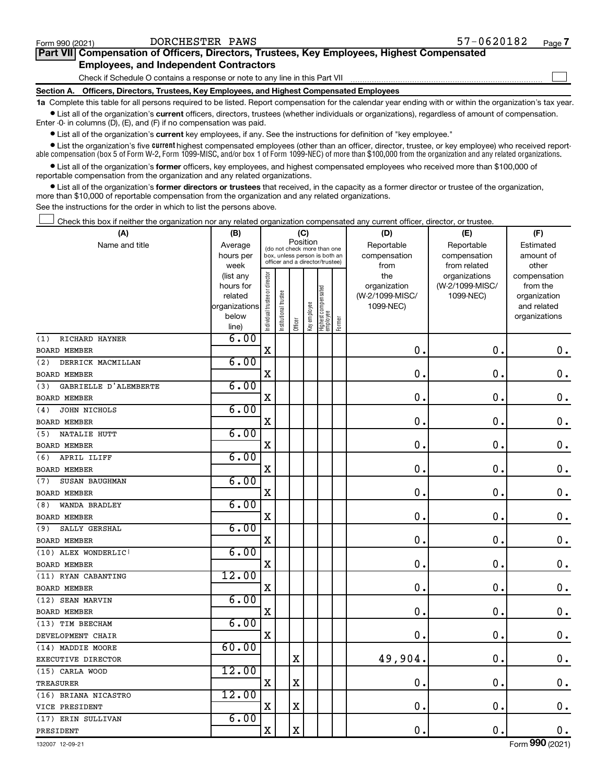| Form 990 (2021)                                                                            | DORCHESTER PAWS                                                                            | $57 - 0620182$ | Page 7 |  |  |  |  |  |  |  |
|--------------------------------------------------------------------------------------------|--------------------------------------------------------------------------------------------|----------------|--------|--|--|--|--|--|--|--|
| Part VII Compensation of Officers, Directors, Trustees, Key Employees, Highest Compensated |                                                                                            |                |        |  |  |  |  |  |  |  |
| <b>Employees, and Independent Contractors</b>                                              |                                                                                            |                |        |  |  |  |  |  |  |  |
|                                                                                            | Check if Schedule O contains a response or note to any line in this Part VII               |                |        |  |  |  |  |  |  |  |
|                                                                                            | Section A. Officers, Directors, Trustees, Key Employees, and Highest Compensated Employees |                |        |  |  |  |  |  |  |  |

**1a**  Complete this table for all persons required to be listed. Report compensation for the calendar year ending with or within the organization's tax year.  $\bullet$  List all of the organization's current officers, directors, trustees (whether individuals or organizations), regardless of amount of compensation.

Enter -0- in columns (D), (E), and (F) if no compensation was paid.

**•** List all of the organization's **current** key employees, if any. See the instructions for definition of "key employee."

• List the organization's five *current* highest compensated employees (other than an officer, director, trustee, or key employee) who received reportable compensation (box 5 of Form W-2, Form 1099-MISC, and/or box 1 of Form 1099-NEC) of more than \$100,000 from the organization and any related organizations.

 $\bullet$  List all of the organization's former officers, key employees, and highest compensated employees who received more than \$100,000 of reportable compensation from the organization and any related organizations.

**•** List all of the organization's former directors or trustees that received, in the capacity as a former director or trustee of the organization, more than \$10,000 of reportable compensation from the organization and any related organizations.

See the instructions for the order in which to list the persons above.

Check this box if neither the organization nor any related organization compensated any current officer, director, or trustee.  $\Box$ 

| (A)                          | (B)                    | (C)                            |                                                                  |             |              |                                 |           | (D)                 | (E)                              | (F)                      |
|------------------------------|------------------------|--------------------------------|------------------------------------------------------------------|-------------|--------------|---------------------------------|-----------|---------------------|----------------------------------|--------------------------|
| Name and title               | Average                |                                | Position<br>(do not check more than one                          |             | Reportable   | Reportable                      | Estimated |                     |                                  |                          |
|                              | hours per              |                                | box, unless person is both an<br>officer and a director/trustee) |             | compensation | compensation                    | amount of |                     |                                  |                          |
|                              | week                   |                                |                                                                  |             |              |                                 |           | from                | from related                     | other                    |
|                              | (list any<br>hours for |                                |                                                                  |             |              |                                 |           | the<br>organization | organizations<br>(W-2/1099-MISC/ | compensation<br>from the |
|                              | related                |                                |                                                                  |             |              |                                 |           | (W-2/1099-MISC/     | 1099-NEC)                        | organization             |
|                              | organizations          |                                |                                                                  |             |              |                                 |           | 1099-NEC)           |                                  | and related              |
|                              | below                  | Individual trustee or director | Institutional trustee                                            |             | Key employee | Highest compensated<br>employee |           |                     |                                  | organizations            |
|                              | line)                  |                                |                                                                  | Officer     |              |                                 | Former    |                     |                                  |                          |
| RICHARD HAYNER<br>(1)        | 6.00                   |                                |                                                                  |             |              |                                 |           |                     |                                  |                          |
| <b>BOARD MEMBER</b>          |                        | X                              |                                                                  |             |              |                                 |           | $\mathbf 0$ .       | 0.                               | 0.                       |
| DERRICK MACMILLAN<br>(2)     | 6.00                   |                                |                                                                  |             |              |                                 |           |                     |                                  |                          |
| <b>BOARD MEMBER</b>          |                        | X                              |                                                                  |             |              |                                 |           | 0                   | $\mathbf 0$                      | 0.                       |
| GABRIELLE D'ALEMBERTE<br>(3) | 6.00                   |                                |                                                                  |             |              |                                 |           |                     |                                  |                          |
| <b>BOARD MEMBER</b>          |                        | X                              |                                                                  |             |              |                                 |           | $\mathbf 0$         | 0.                               | $\mathbf 0$ .            |
| JOHN NICHOLS<br>(4)          | 6.00                   |                                |                                                                  |             |              |                                 |           |                     |                                  |                          |
| <b>BOARD MEMBER</b>          |                        | $\mathbf X$                    |                                                                  |             |              |                                 |           | 0.                  | 0.                               | $\mathbf 0$ .            |
| NATALIE HUTT<br>(5)          | 6.00                   |                                |                                                                  |             |              |                                 |           |                     |                                  |                          |
| <b>BOARD MEMBER</b>          |                        | X                              |                                                                  |             |              |                                 |           | $\mathbf 0$ .       | $\mathbf 0$ .                    | $\mathbf 0$ .            |
| APRIL ILIFF<br>(6)           | 6.00                   |                                |                                                                  |             |              |                                 |           |                     |                                  |                          |
| <b>BOARD MEMBER</b>          |                        | $\mathbf X$                    |                                                                  |             |              |                                 |           | $\mathbf 0$ .       | 0.                               | $\mathbf 0$ .            |
| SUSAN BAUGHMAN<br>(7)        | 6.00                   |                                |                                                                  |             |              |                                 |           |                     |                                  |                          |
| <b>BOARD MEMBER</b>          |                        | $\mathbf X$                    |                                                                  |             |              |                                 |           | $\mathbf 0$         | $\mathbf 0$ .                    | $\mathbf 0$ .            |
| WANDA BRADLEY<br>(8)         | 6.00                   |                                |                                                                  |             |              |                                 |           |                     |                                  |                          |
| <b>BOARD MEMBER</b>          |                        | $\mathbf X$                    |                                                                  |             |              |                                 |           | $\mathbf 0$ .       | $\mathbf 0$ .                    | $\mathbf 0$ .            |
| SALLY GERSHAL<br>(9)         | 6.00                   |                                |                                                                  |             |              |                                 |           |                     |                                  |                          |
| <b>BOARD MEMBER</b>          |                        | $\mathbf X$                    |                                                                  |             |              |                                 |           | $\mathbf 0$ .       | $\mathbf 0$ .                    | $\mathbf 0$ .            |
| (10) ALEX WONDERLIC!         | 6.00                   |                                |                                                                  |             |              |                                 |           |                     |                                  |                          |
| <b>BOARD MEMBER</b>          |                        | $\mathbf X$                    |                                                                  |             |              |                                 |           | $\mathbf 0$ .       | $\mathbf 0$ .                    | $\mathbf 0$ .            |
| (11) RYAN CABANTING          | 12.00                  |                                |                                                                  |             |              |                                 |           |                     |                                  |                          |
| <b>BOARD MEMBER</b>          |                        | $\mathbf X$                    |                                                                  |             |              |                                 |           | $\mathbf 0$ .       | $\mathbf 0$ .                    | $\mathbf 0$ .            |
| (12) SEAN MARVIN             | 6.00                   |                                |                                                                  |             |              |                                 |           |                     |                                  |                          |
| <b>BOARD MEMBER</b>          |                        | $\rm X$                        |                                                                  |             |              |                                 |           | $\mathbf 0$ .       | $\mathbf 0$ .                    | $\mathbf 0$ .            |
| (13) TIM BEECHAM             | 6.00                   |                                |                                                                  |             |              |                                 |           |                     |                                  |                          |
| DEVELOPMENT CHAIR            |                        | X                              |                                                                  |             |              |                                 |           | $\mathbf 0$ .       | $\mathbf 0$ .                    | 0.                       |
| (14) MADDIE MOORE            | 60.00                  |                                |                                                                  |             |              |                                 |           |                     |                                  |                          |
| EXECUTIVE DIRECTOR           |                        |                                |                                                                  | $\mathbf X$ |              |                                 |           | 49,904.             | 0.                               | $\mathbf 0$ .            |
| (15) CARLA WOOD              | 12.00                  |                                |                                                                  |             |              |                                 |           |                     |                                  |                          |
| <b>TREASURER</b>             |                        | X                              |                                                                  | $\mathbf X$ |              |                                 |           | $\mathbf 0$ .       | 0.                               | $\mathbf 0$ .            |
| (16) BRIANA NICASTRO         | 12.00                  |                                |                                                                  |             |              |                                 |           |                     |                                  |                          |
| VICE PRESIDENT               |                        | $\mathbf X$                    |                                                                  | $\mathbf X$ |              |                                 |           | $\mathbf 0$         | 0.                               | $\mathbf 0$ .            |
| (17) ERIN SULLIVAN           | 6.00                   |                                |                                                                  |             |              |                                 |           |                     |                                  |                          |
| PRESIDENT                    |                        | $\mathbf X$                    |                                                                  | $\mathbf X$ |              |                                 |           | $\mathbf 0$ .       | 0.                               | $\mathbf 0$ .            |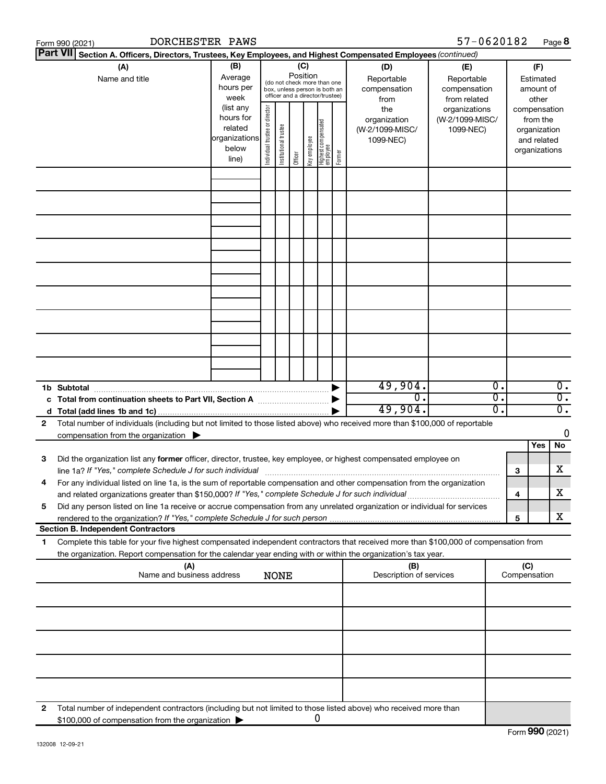|    | DORCHESTER PAWS<br>Form 990 (2021)                                                                                                                                                                                                                            |                                                         |                                                                                                                    |                       |         |              |                                  |        |                                                     | 57-0620182                                        |                                        |                                                                          | Page 8                               |
|----|---------------------------------------------------------------------------------------------------------------------------------------------------------------------------------------------------------------------------------------------------------------|---------------------------------------------------------|--------------------------------------------------------------------------------------------------------------------|-----------------------|---------|--------------|----------------------------------|--------|-----------------------------------------------------|---------------------------------------------------|----------------------------------------|--------------------------------------------------------------------------|--------------------------------------|
|    | <b>Part VII</b><br>Section A. Officers, Directors, Trustees, Key Employees, and Highest Compensated Employees (continued)                                                                                                                                     |                                                         |                                                                                                                    |                       |         |              |                                  |        |                                                     |                                                   |                                        |                                                                          |                                      |
|    | (A)<br>Name and title                                                                                                                                                                                                                                         | (B)<br>Average<br>hours per<br>week<br>(list any        | (C)<br>Position<br>(do not check more than one<br>box, unless person is both an<br>officer and a director/trustee) |                       |         |              |                                  |        | (D)<br>Reportable<br>compensation<br>from           | (E)<br>Reportable<br>compensation<br>from related | (F)<br>Estimated<br>amount of<br>other |                                                                          |                                      |
|    |                                                                                                                                                                                                                                                               | hours for<br>related<br>organizations<br>below<br>line) | director<br>Individual trustee or                                                                                  | Institutional trustee | Officer | Key employee | Highest compensated<br> employee | Former | the<br>organization<br>(W-2/1099-MISC/<br>1099-NEC) | organizations<br>(W-2/1099-MISC/<br>1099-NEC)     |                                        | compensation<br>from the<br>organization<br>and related<br>organizations |                                      |
|    |                                                                                                                                                                                                                                                               |                                                         |                                                                                                                    |                       |         |              |                                  |        |                                                     |                                                   |                                        |                                                                          |                                      |
|    |                                                                                                                                                                                                                                                               |                                                         |                                                                                                                    |                       |         |              |                                  |        |                                                     |                                                   |                                        |                                                                          |                                      |
|    |                                                                                                                                                                                                                                                               |                                                         |                                                                                                                    |                       |         |              |                                  |        |                                                     |                                                   |                                        |                                                                          |                                      |
|    |                                                                                                                                                                                                                                                               |                                                         |                                                                                                                    |                       |         |              |                                  |        |                                                     |                                                   |                                        |                                                                          |                                      |
|    |                                                                                                                                                                                                                                                               |                                                         |                                                                                                                    |                       |         |              |                                  |        |                                                     |                                                   |                                        |                                                                          |                                      |
|    |                                                                                                                                                                                                                                                               |                                                         |                                                                                                                    |                       |         |              |                                  |        |                                                     |                                                   |                                        |                                                                          |                                      |
|    |                                                                                                                                                                                                                                                               |                                                         |                                                                                                                    |                       |         |              |                                  |        |                                                     |                                                   |                                        |                                                                          |                                      |
|    |                                                                                                                                                                                                                                                               |                                                         |                                                                                                                    |                       |         |              |                                  |        |                                                     |                                                   |                                        |                                                                          |                                      |
|    | 1b Subtotal                                                                                                                                                                                                                                                   |                                                         |                                                                                                                    |                       |         |              |                                  |        | 49,904.                                             |                                                   | Ο.                                     |                                                                          | $\overline{0}$ .                     |
|    | c Total from continuation sheets to Part VII, Section A manuscription of                                                                                                                                                                                      |                                                         |                                                                                                                    |                       |         |              |                                  |        | σ.<br>49,904.                                       |                                                   | σ.<br>σ.                               |                                                                          | $\overline{0}$ .<br>$\overline{0}$ . |
| 2  | Total number of individuals (including but not limited to those listed above) who received more than \$100,000 of reportable                                                                                                                                  |                                                         |                                                                                                                    |                       |         |              |                                  |        |                                                     |                                                   |                                        |                                                                          |                                      |
|    | compensation from the organization $\blacktriangleright$                                                                                                                                                                                                      |                                                         |                                                                                                                    |                       |         |              |                                  |        |                                                     |                                                   |                                        | Yes                                                                      | 0<br>No                              |
| 3  | Did the organization list any former officer, director, trustee, key employee, or highest compensated employee on                                                                                                                                             |                                                         |                                                                                                                    |                       |         |              |                                  |        |                                                     |                                                   | 3                                      |                                                                          | X                                    |
|    | For any individual listed on line 1a, is the sum of reportable compensation and other compensation from the organization<br>and related organizations greater than \$150,000? If "Yes," complete Schedule J for such individual                               |                                                         |                                                                                                                    |                       |         |              |                                  |        |                                                     |                                                   | 4                                      |                                                                          | X                                    |
| 5  | Did any person listed on line 1a receive or accrue compensation from any unrelated organization or individual for services                                                                                                                                    |                                                         |                                                                                                                    |                       |         |              |                                  |        |                                                     |                                                   | 5                                      |                                                                          | x                                    |
|    | <b>Section B. Independent Contractors</b>                                                                                                                                                                                                                     |                                                         |                                                                                                                    |                       |         |              |                                  |        |                                                     |                                                   |                                        |                                                                          |                                      |
| 1. | Complete this table for your five highest compensated independent contractors that received more than \$100,000 of compensation from<br>the organization. Report compensation for the calendar year ending with or within the organization's tax year.<br>(A) |                                                         |                                                                                                                    |                       |         |              |                                  |        |                                                     |                                                   |                                        | (C)                                                                      |                                      |
|    | Name and business address                                                                                                                                                                                                                                     |                                                         |                                                                                                                    | <b>NONE</b>           |         |              |                                  |        | (B)<br>Description of services                      |                                                   |                                        | Compensation                                                             |                                      |
|    |                                                                                                                                                                                                                                                               |                                                         |                                                                                                                    |                       |         |              |                                  |        |                                                     |                                                   |                                        |                                                                          |                                      |
|    |                                                                                                                                                                                                                                                               |                                                         |                                                                                                                    |                       |         |              |                                  |        |                                                     |                                                   |                                        |                                                                          |                                      |
|    |                                                                                                                                                                                                                                                               |                                                         |                                                                                                                    |                       |         |              |                                  |        |                                                     |                                                   |                                        |                                                                          |                                      |
|    |                                                                                                                                                                                                                                                               |                                                         |                                                                                                                    |                       |         |              |                                  |        |                                                     |                                                   |                                        |                                                                          |                                      |
| 2  | Total number of independent contractors (including but not limited to those listed above) who received more than<br>\$100,000 of compensation from the organization                                                                                           |                                                         |                                                                                                                    |                       |         |              | 0                                |        |                                                     |                                                   |                                        |                                                                          |                                      |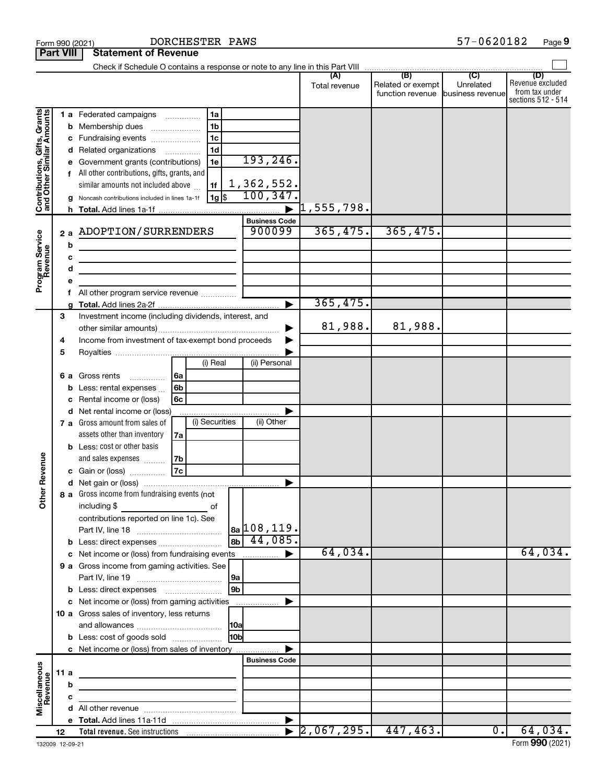| <b>Part VIII</b>                                                                        |                                                                                                                            |                       | <b>Statement of Revenue</b>                                                                                                                                                                                                                                                                                                                                                                                                                                                                                                                              |                          |                                                                                    |                |                                                                        |                                      |                                       |                               |                                                                 |
|-----------------------------------------------------------------------------------------|----------------------------------------------------------------------------------------------------------------------------|-----------------------|----------------------------------------------------------------------------------------------------------------------------------------------------------------------------------------------------------------------------------------------------------------------------------------------------------------------------------------------------------------------------------------------------------------------------------------------------------------------------------------------------------------------------------------------------------|--------------------------|------------------------------------------------------------------------------------|----------------|------------------------------------------------------------------------|--------------------------------------|---------------------------------------|-------------------------------|-----------------------------------------------------------------|
|                                                                                         |                                                                                                                            |                       |                                                                                                                                                                                                                                                                                                                                                                                                                                                                                                                                                          |                          |                                                                                    |                |                                                                        |                                      |                                       |                               |                                                                 |
|                                                                                         |                                                                                                                            |                       |                                                                                                                                                                                                                                                                                                                                                                                                                                                                                                                                                          |                          |                                                                                    |                |                                                                        | Total revenue                        | Related or exempt<br>function revenue | Unrelated<br>business revenue | (D)<br>Revenue excluded<br>from tax under<br>sections 512 - 514 |
| Contributions, Gifts, Grants<br>and Other Similar Amounts<br>Program Service<br>Revenue |                                                                                                                            | b<br>c<br>d<br>е<br>f | 1 a Federated campaigns<br><b>b</b> Membership dues<br>c Fundraising events<br>d Related organizations<br>e Government grants (contributions)<br>All other contributions, gifts, grants, and<br>similar amounts not included above<br>Noncash contributions included in lines 1a-1f<br>2 a ADOPTION/SURRENDERS<br>the control of the control of the control of the control of the control of<br><u> 1989 - Johann Barn, mars ann an t-Amhain an t-Amhain an t-Amhain an t-Amhain an t-Amhain an t-Amhain an t-A</u><br>All other program service revenue | $\overline{\phantom{a}}$ | l 1a<br>1 <sub>b</sub><br>1 <sub>c</sub><br>1 <sub>d</sub><br>1e<br>1f<br>∣ 1g  \$ |                | 193, 246.<br>1,362,552.<br>100, 347.<br><b>Business Code</b><br>900099 | $\vert 1$ ,555,798.<br>365,475.      | 365,475.                              |                               |                                                                 |
|                                                                                         |                                                                                                                            |                       |                                                                                                                                                                                                                                                                                                                                                                                                                                                                                                                                                          |                          |                                                                                    |                |                                                                        | 365,475.                             |                                       |                               |                                                                 |
|                                                                                         | 3<br>Investment income (including dividends, interest, and<br>Income from investment of tax-exempt bond proceeds<br>4<br>5 |                       |                                                                                                                                                                                                                                                                                                                                                                                                                                                                                                                                                          |                          |                                                                                    |                |                                                                        | 81,988.                              | 81,988.                               |                               |                                                                 |
|                                                                                         |                                                                                                                            | b                     | 6 a Gross rents<br>.<br>Less: rental expenses<br>Rental income or (loss)<br>d Net rental income or (loss)<br>7 a Gross amount from sales of                                                                                                                                                                                                                                                                                                                                                                                                              | l 6a<br>6b<br>6с         | (i) Real<br>(i) Securities                                                         |                | (ii) Personal<br>(ii) Other                                            |                                      |                                       |                               |                                                                 |
| Revenue                                                                                 |                                                                                                                            |                       | assets other than inventory<br><b>b</b> Less: cost or other basis<br>and sales expenses<br>c Gain or (loss)                                                                                                                                                                                                                                                                                                                                                                                                                                              | 7a<br>7b<br>7c           |                                                                                    |                |                                                                        |                                      |                                       |                               |                                                                 |
| Ĕ                                                                                       |                                                                                                                            |                       | 8 a Gross income from fundraising events (not  <br>including $$$<br>contributions reported on line 1c). See<br><b>b</b> Less: direct expenses                                                                                                                                                                                                                                                                                                                                                                                                            |                          | of                                                                                 | 8 <sub>b</sub> | $ a_2 108, 119.$<br>44,085.                                            |                                      |                                       |                               |                                                                 |
|                                                                                         |                                                                                                                            |                       | 9 a Gross income from gaming activities. See                                                                                                                                                                                                                                                                                                                                                                                                                                                                                                             |                          |                                                                                    | 9a             |                                                                        | 64,034.                              |                                       |                               | 64,034.                                                         |
|                                                                                         |                                                                                                                            |                       | <b>b</b> Less: direct expenses <b>manually</b><br>10 a Gross sales of inventory, less returns                                                                                                                                                                                                                                                                                                                                                                                                                                                            |                          |                                                                                    | 9 <sub>b</sub> |                                                                        |                                      |                                       |                               |                                                                 |
|                                                                                         |                                                                                                                            |                       | <b>b</b> Less: cost of goods sold<br>c Net income or (loss) from sales of inventory                                                                                                                                                                                                                                                                                                                                                                                                                                                                      |                          |                                                                                    | 10a <br>10bl   |                                                                        |                                      |                                       |                               |                                                                 |
| Miscellaneous<br>Revenue                                                                | 11 a                                                                                                                       | b<br>с                | the control of the control of the control of the control of the control of<br>the control of the control of the control of the control of                                                                                                                                                                                                                                                                                                                                                                                                                |                          |                                                                                    |                | <b>Business Code</b>                                                   |                                      |                                       |                               |                                                                 |
|                                                                                         |                                                                                                                            |                       |                                                                                                                                                                                                                                                                                                                                                                                                                                                                                                                                                          |                          |                                                                                    |                |                                                                        | $\left  2,067,295. \right $ 447,463. |                                       | $\overline{0}$ .              | 64,034.                                                         |
|                                                                                         | 12                                                                                                                         |                       |                                                                                                                                                                                                                                                                                                                                                                                                                                                                                                                                                          |                          |                                                                                    |                |                                                                        |                                      |                                       |                               |                                                                 |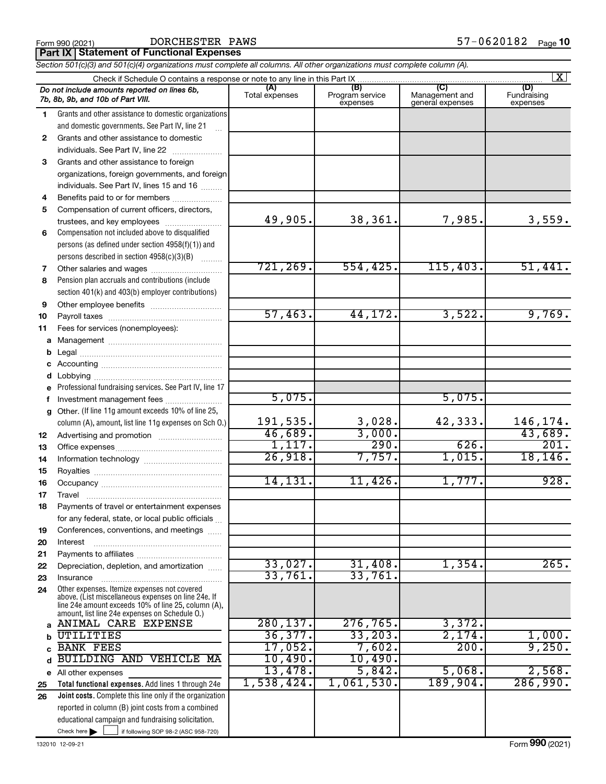**Part IX Statement of Functional Expenses**

|              | Section 501(c)(3) and 501(c)(4) organizations must complete all columns. All other organizations must complete column (A).                                   |                       |                                    |                                           |                                |  |  |  |  |  |  |
|--------------|--------------------------------------------------------------------------------------------------------------------------------------------------------------|-----------------------|------------------------------------|-------------------------------------------|--------------------------------|--|--|--|--|--|--|
|              | $\mathbf{X}$                                                                                                                                                 |                       |                                    |                                           |                                |  |  |  |  |  |  |
|              | Do not include amounts reported on lines 6b,<br>7b, 8b, 9b, and 10b of Part VIII.                                                                            | (A)<br>Total expenses | (B)<br>Program service<br>expenses | (C)<br>Management and<br>general expenses | (D)<br>Fundraising<br>expenses |  |  |  |  |  |  |
| 1.           | Grants and other assistance to domestic organizations<br>and domestic governments. See Part IV, line 21                                                      |                       |                                    |                                           |                                |  |  |  |  |  |  |
| $\mathbf{2}$ | Grants and other assistance to domestic                                                                                                                      |                       |                                    |                                           |                                |  |  |  |  |  |  |
|              | individuals. See Part IV, line 22                                                                                                                            |                       |                                    |                                           |                                |  |  |  |  |  |  |
| 3            | Grants and other assistance to foreign                                                                                                                       |                       |                                    |                                           |                                |  |  |  |  |  |  |
|              | organizations, foreign governments, and foreign                                                                                                              |                       |                                    |                                           |                                |  |  |  |  |  |  |
|              | individuals. See Part IV, lines 15 and 16                                                                                                                    |                       |                                    |                                           |                                |  |  |  |  |  |  |
| 4            | Benefits paid to or for members                                                                                                                              |                       |                                    |                                           |                                |  |  |  |  |  |  |
| 5            | Compensation of current officers, directors,                                                                                                                 |                       |                                    |                                           |                                |  |  |  |  |  |  |
|              | trustees, and key employees                                                                                                                                  | 49,905.               | 38,361.                            | 7,985.                                    | 3,559.                         |  |  |  |  |  |  |
| 6            | Compensation not included above to disqualified                                                                                                              |                       |                                    |                                           |                                |  |  |  |  |  |  |
|              | persons (as defined under section 4958(f)(1)) and                                                                                                            |                       |                                    |                                           |                                |  |  |  |  |  |  |
|              | persons described in section 4958(c)(3)(B)                                                                                                                   |                       |                                    |                                           |                                |  |  |  |  |  |  |
| 7            |                                                                                                                                                              | 721,269.              | 554, 425.                          | 115,403.                                  | 51,441.                        |  |  |  |  |  |  |
| 8            | Pension plan accruals and contributions (include                                                                                                             |                       |                                    |                                           |                                |  |  |  |  |  |  |
|              | section 401(k) and 403(b) employer contributions)                                                                                                            |                       |                                    |                                           |                                |  |  |  |  |  |  |
| 9            |                                                                                                                                                              |                       |                                    |                                           |                                |  |  |  |  |  |  |
| 10           |                                                                                                                                                              | 57,463.               | 44, 172.                           | 3,522.                                    | 9,769.                         |  |  |  |  |  |  |
| 11           | Fees for services (nonemployees):                                                                                                                            |                       |                                    |                                           |                                |  |  |  |  |  |  |
|              |                                                                                                                                                              |                       |                                    |                                           |                                |  |  |  |  |  |  |
| b            |                                                                                                                                                              |                       |                                    |                                           |                                |  |  |  |  |  |  |
|              |                                                                                                                                                              |                       |                                    |                                           |                                |  |  |  |  |  |  |
| d            | e Professional fundraising services. See Part IV, line 17                                                                                                    |                       |                                    |                                           |                                |  |  |  |  |  |  |
|              | f Investment management fees                                                                                                                                 | 5,075.                |                                    | 5,075.                                    |                                |  |  |  |  |  |  |
| g            | Other. (If line 11g amount exceeds 10% of line 25,                                                                                                           |                       |                                    |                                           |                                |  |  |  |  |  |  |
|              | column (A), amount, list line 11g expenses on Sch O.)                                                                                                        | 191,535.              | 3,028.                             | 42,333.                                   | 146,174.                       |  |  |  |  |  |  |
| 12           |                                                                                                                                                              | 46,689.               | 3,000.                             |                                           | 43,689.                        |  |  |  |  |  |  |
| 13           |                                                                                                                                                              | 1,117.                | 290.                               | 626.                                      | 201.                           |  |  |  |  |  |  |
| 14           |                                                                                                                                                              | 26,918.               | 7,757.                             | 1,015.                                    | 18, 146.                       |  |  |  |  |  |  |
| 15           |                                                                                                                                                              |                       |                                    |                                           |                                |  |  |  |  |  |  |
| 16           |                                                                                                                                                              | 14, 131.              | 11,426.                            | 1,777.                                    | 928.                           |  |  |  |  |  |  |
| 17           |                                                                                                                                                              |                       |                                    |                                           |                                |  |  |  |  |  |  |
| 18           | Payments of travel or entertainment expenses                                                                                                                 |                       |                                    |                                           |                                |  |  |  |  |  |  |
|              | for any federal, state, or local public officials                                                                                                            |                       |                                    |                                           |                                |  |  |  |  |  |  |
| 19           | Conferences, conventions, and meetings                                                                                                                       |                       |                                    |                                           |                                |  |  |  |  |  |  |
| 20           | Interest                                                                                                                                                     |                       |                                    |                                           |                                |  |  |  |  |  |  |
| 21           |                                                                                                                                                              | 33,027.               | 31,408.                            | 1,354.                                    | 265.                           |  |  |  |  |  |  |
| 22           | Depreciation, depletion, and amortization                                                                                                                    | 33,761.               | 33,761.                            |                                           |                                |  |  |  |  |  |  |
| 23           | Insurance<br>Other expenses. Itemize expenses not covered                                                                                                    |                       |                                    |                                           |                                |  |  |  |  |  |  |
| 24           | above. (List miscellaneous expenses on line 24e. If<br>line 24e amount exceeds 10% of line 25, column (A),<br>amount, list line 24e expenses on Schedule O.) |                       |                                    |                                           |                                |  |  |  |  |  |  |
| a            | ANIMAL CARE EXPENSE                                                                                                                                          | 280, 137.             | 276, 765.                          | 3,372.                                    |                                |  |  |  |  |  |  |
|              | UTILITIES                                                                                                                                                    | 36,377.               | 33,203.                            | 2,174.                                    | 1,000.                         |  |  |  |  |  |  |
|              | <b>BANK FEES</b>                                                                                                                                             | 17,052.               | 7,602.                             | 200.                                      | 9,250.                         |  |  |  |  |  |  |
| d            | BUILDING AND VEHICLE MA                                                                                                                                      | 10,490.               | 10,490.                            |                                           |                                |  |  |  |  |  |  |
|              | e All other expenses                                                                                                                                         | 13,478.               | 5,842.                             | 5,068.                                    | 2,568.                         |  |  |  |  |  |  |
| 25           | Total functional expenses. Add lines 1 through 24e                                                                                                           | 1,538,424.            | 1,061,530.                         | 189,904.                                  | 286,990.                       |  |  |  |  |  |  |
| 26           | Joint costs. Complete this line only if the organization                                                                                                     |                       |                                    |                                           |                                |  |  |  |  |  |  |
|              | reported in column (B) joint costs from a combined                                                                                                           |                       |                                    |                                           |                                |  |  |  |  |  |  |
|              | educational campaign and fundraising solicitation.<br>Check here $\blacktriangleright$<br>if following SOP 98-2 (ASC 958-720)                                |                       |                                    |                                           |                                |  |  |  |  |  |  |
|              |                                                                                                                                                              |                       |                                    |                                           |                                |  |  |  |  |  |  |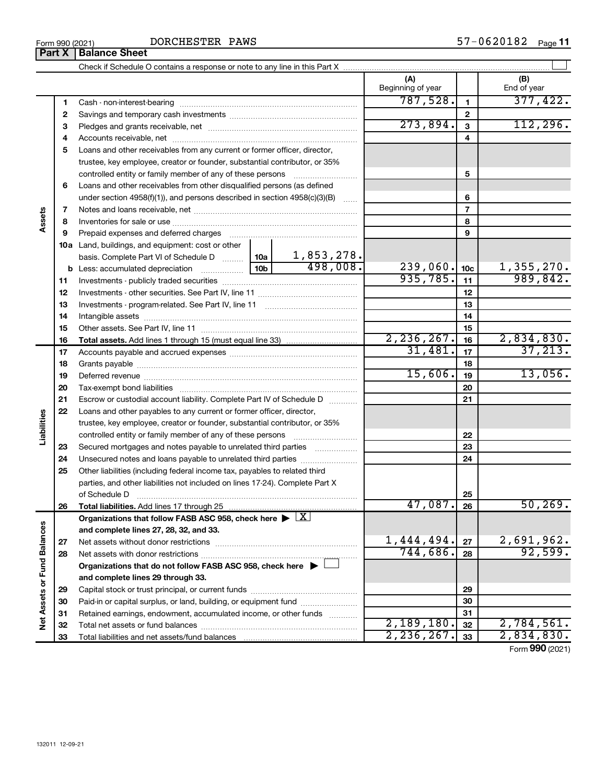|                             |              |                                                                                                        |         |          | (A)<br>Beginning of year |                         | (B)<br>End of year |
|-----------------------------|--------------|--------------------------------------------------------------------------------------------------------|---------|----------|--------------------------|-------------------------|--------------------|
|                             | 1            |                                                                                                        |         |          | 787,528.                 | $\mathbf{1}$            | 377,422.           |
|                             | $\mathbf{2}$ |                                                                                                        |         |          |                          | $\mathbf 2$             |                    |
|                             | З            |                                                                                                        |         |          | 273,894.                 | $\overline{\mathbf{3}}$ | 112, 296.          |
|                             | 4            |                                                                                                        |         |          | 4                        |                         |                    |
|                             | 5            | Loans and other receivables from any current or former officer, director,                              |         |          |                          |                         |                    |
|                             |              | trustee, key employee, creator or founder, substantial contributor, or 35%                             |         |          |                          |                         |                    |
|                             |              | controlled entity or family member of any of these persons                                             |         | 5        |                          |                         |                    |
|                             | 6            | Loans and other receivables from other disqualified persons (as defined                                |         |          |                          |                         |                    |
|                             |              | under section 4958(f)(1)), and persons described in section 4958(c)(3)(B) $\ldots$                     |         |          |                          | 6                       |                    |
|                             | 7            |                                                                                                        |         |          |                          | $\overline{7}$          |                    |
| Assets                      | 8            |                                                                                                        |         |          |                          | 8                       |                    |
|                             | 9            | Prepaid expenses and deferred charges                                                                  |         |          |                          | 9                       |                    |
|                             |              | 10a Land, buildings, and equipment: cost or other                                                      |         |          |                          |                         |                    |
|                             |              |                                                                                                        |         |          |                          |                         |                    |
|                             |              |                                                                                                        |         |          | 239,060.                 | 10 <sub>c</sub>         | 1,355,270.         |
|                             | 11           |                                                                                                        |         | 935,785. | 11                       | 989,842.                |                    |
|                             | 12           |                                                                                                        |         | 12       |                          |                         |                    |
|                             | 13           |                                                                                                        |         | 13       |                          |                         |                    |
|                             | 14           |                                                                                                        |         |          |                          | 14                      |                    |
|                             | 15           |                                                                                                        |         |          | 15                       |                         |                    |
|                             | 16           |                                                                                                        |         |          | 2, 236, 267.             | 16                      | 2,834,830.         |
|                             | 17           |                                                                                                        |         |          | 31,481.                  | 17                      | 37, 213.           |
|                             | 18           |                                                                                                        |         |          |                          | 18                      |                    |
|                             | 19           |                                                                                                        | 15,606. | 19       | 13,056.                  |                         |                    |
|                             | 20           |                                                                                                        |         | 20       |                          |                         |                    |
|                             | 21           | Escrow or custodial account liability. Complete Part IV of Schedule D                                  |         | 21       |                          |                         |                    |
|                             | 22           | Loans and other payables to any current or former officer, director,                                   |         |          |                          |                         |                    |
| Liabilities                 |              | trustee, key employee, creator or founder, substantial contributor, or 35%                             |         |          |                          |                         |                    |
|                             |              | controlled entity or family member of any of these persons                                             |         |          |                          | 22                      |                    |
|                             | 23           | Secured mortgages and notes payable to unrelated third parties                                         |         |          |                          | 23                      |                    |
|                             | 24           | Unsecured notes and loans payable to unrelated third parties                                           |         |          |                          | 24                      |                    |
|                             | 25           | Other liabilities (including federal income tax, payables to related third                             |         |          |                          |                         |                    |
|                             |              | parties, and other liabilities not included on lines 17-24). Complete Part X                           |         |          |                          |                         |                    |
|                             |              | of Schedule D                                                                                          |         |          |                          | 25                      |                    |
|                             | 26           | Total liabilities. Add lines 17 through 25                                                             |         |          | 47,087.                  | 26                      | 50, 269.           |
|                             |              | Organizations that follow FASB ASC 958, check here $\blacktriangleright \lfloor \underline{X} \rfloor$ |         |          |                          |                         |                    |
|                             |              | and complete lines 27, 28, 32, and 33.                                                                 |         |          |                          |                         |                    |
|                             | 27           |                                                                                                        |         |          | 1,444,494.               | 27                      | 2,691,962.         |
|                             | 28           |                                                                                                        |         |          | 744,686.                 | 28                      | 92,599.            |
|                             |              | Organizations that do not follow FASB ASC 958, check here $\blacktriangleright$                        |         |          |                          |                         |                    |
|                             |              | and complete lines 29 through 33.                                                                      |         |          |                          |                         |                    |
|                             | 29           |                                                                                                        |         |          |                          | 29                      |                    |
|                             | 30           | Paid-in or capital surplus, or land, building, or equipment fund <i>www.www.www.</i>                   |         |          |                          | 30                      |                    |
|                             | 31           | Retained earnings, endowment, accumulated income, or other funds                                       |         |          |                          | 31                      |                    |
| Net Assets or Fund Balances | 32           |                                                                                                        |         |          | 2,189,180.               | 32                      | 2,784,561.         |
|                             | 33           |                                                                                                        |         |          | 2, 236, 267.             | 33                      | 2,834,830.         |

Form (2021) **990**

**Part X** | Balance Sheet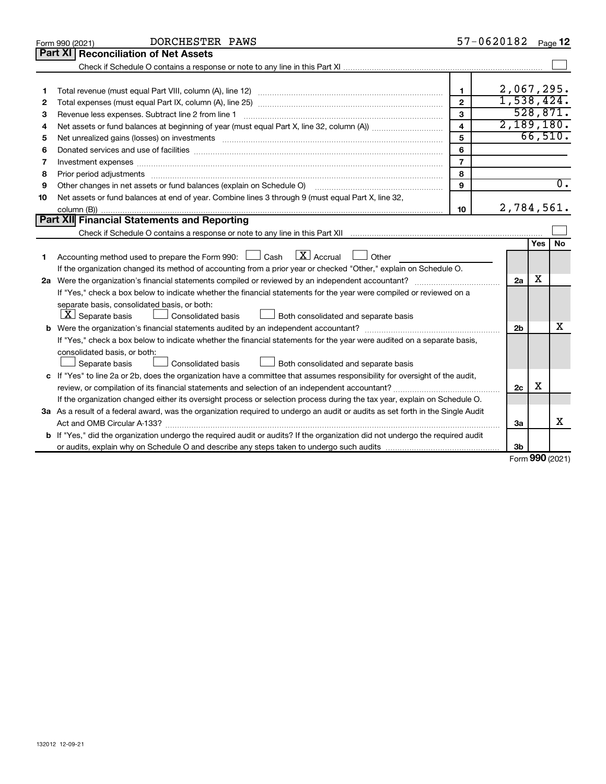|    | DORCHESTER PAWS<br>Form 990 (2021)                                                                                                                                                                                             |                         | 57-0620182     |     | Page 12          |  |  |  |
|----|--------------------------------------------------------------------------------------------------------------------------------------------------------------------------------------------------------------------------------|-------------------------|----------------|-----|------------------|--|--|--|
|    | Part XI<br><b>Reconciliation of Net Assets</b>                                                                                                                                                                                 |                         |                |     |                  |  |  |  |
|    |                                                                                                                                                                                                                                |                         |                |     |                  |  |  |  |
|    |                                                                                                                                                                                                                                |                         |                |     |                  |  |  |  |
| 1  |                                                                                                                                                                                                                                | 1                       | 2,067,295.     |     |                  |  |  |  |
| 2  |                                                                                                                                                                                                                                | $\overline{2}$          | 1,538,424.     |     |                  |  |  |  |
| З  | Revenue less expenses. Subtract line 2 from line 1                                                                                                                                                                             | 3                       |                |     | 528,871.         |  |  |  |
| 4  |                                                                                                                                                                                                                                | $\overline{\mathbf{4}}$ | 2,189,180.     |     |                  |  |  |  |
| 5  | Net unrealized gains (losses) on investments [11] matter than the control of the state of the state of the state of the state of the state of the state of the state of the state of the state of the state of the state of th | 5                       |                |     | 66,510.          |  |  |  |
| 6  |                                                                                                                                                                                                                                | 6                       |                |     |                  |  |  |  |
| 7  | Investment expenses www.communication.com/www.communication.com/www.communication.com/www.com                                                                                                                                  | $\overline{7}$          |                |     |                  |  |  |  |
| 8  |                                                                                                                                                                                                                                | 8                       |                |     |                  |  |  |  |
| 9  | Other changes in net assets or fund balances (explain on Schedule O)                                                                                                                                                           | 9                       |                |     | $\overline{0}$ . |  |  |  |
| 10 | Net assets or fund balances at end of year. Combine lines 3 through 9 (must equal Part X, line 32,                                                                                                                             |                         |                |     |                  |  |  |  |
|    |                                                                                                                                                                                                                                | 10                      | 2,784,561.     |     |                  |  |  |  |
|    | Part XII Financial Statements and Reporting                                                                                                                                                                                    |                         |                |     |                  |  |  |  |
|    |                                                                                                                                                                                                                                |                         |                |     |                  |  |  |  |
|    |                                                                                                                                                                                                                                |                         |                | Yes | No               |  |  |  |
| 1  | Accounting method used to prepare the Form 990: $\Box$ Cash $\Box X$ Accrual<br>$\Box$ Other                                                                                                                                   |                         |                |     |                  |  |  |  |
|    | If the organization changed its method of accounting from a prior year or checked "Other," explain on Schedule O.                                                                                                              |                         |                |     |                  |  |  |  |
|    |                                                                                                                                                                                                                                |                         | 2a             | x   |                  |  |  |  |
|    | If "Yes," check a box below to indicate whether the financial statements for the year were compiled or reviewed on a                                                                                                           |                         |                |     |                  |  |  |  |
|    | separate basis, consolidated basis, or both:                                                                                                                                                                                   |                         |                |     |                  |  |  |  |
|    | $ \mathbf{X} $ Separate basis<br>Both consolidated and separate basis<br>Consolidated basis                                                                                                                                    |                         |                |     |                  |  |  |  |
| b  |                                                                                                                                                                                                                                |                         | 2 <sub>b</sub> |     | x                |  |  |  |
|    | If "Yes," check a box below to indicate whether the financial statements for the year were audited on a separate basis,                                                                                                        |                         |                |     |                  |  |  |  |
|    | consolidated basis, or both:                                                                                                                                                                                                   |                         |                |     |                  |  |  |  |
|    | Consolidated basis<br>Both consolidated and separate basis<br>Separate basis                                                                                                                                                   |                         |                |     |                  |  |  |  |
|    | c If "Yes" to line 2a or 2b, does the organization have a committee that assumes responsibility for oversight of the audit,                                                                                                    |                         | 2c             | X   |                  |  |  |  |
|    | review, or compilation of its financial statements and selection of an independent accountant?                                                                                                                                 |                         |                |     |                  |  |  |  |
|    | If the organization changed either its oversight process or selection process during the tax year, explain on Schedule O.                                                                                                      |                         |                |     |                  |  |  |  |
|    | 3a As a result of a federal award, was the organization required to undergo an audit or audits as set forth in the Single Audit                                                                                                |                         |                |     |                  |  |  |  |
|    |                                                                                                                                                                                                                                |                         | За             |     | x                |  |  |  |
|    | If "Yes," did the organization undergo the required audit or audits? If the organization did not undergo the required audit                                                                                                    |                         |                |     |                  |  |  |  |
|    |                                                                                                                                                                                                                                |                         | 3b             |     |                  |  |  |  |

Form (2021) **990**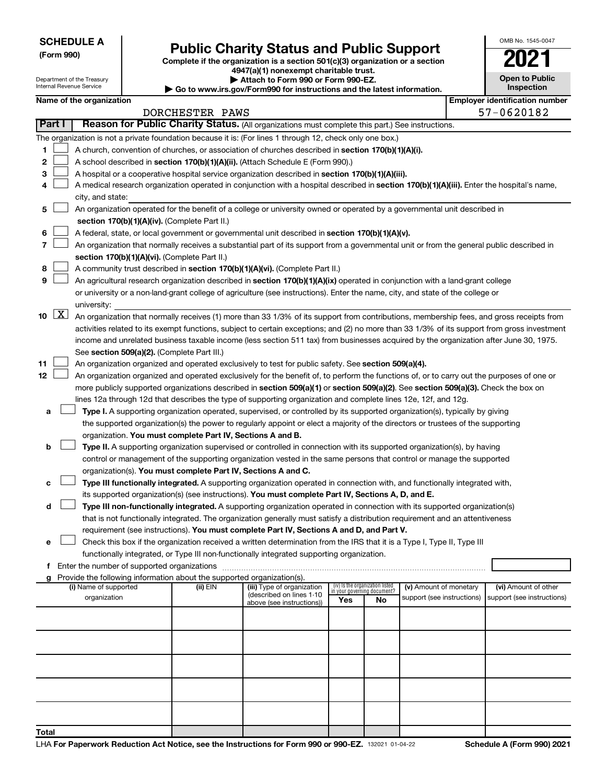Department of the Treasury Internal Revenue Service

# Form 990)<br>
Complete if the organization is a section 501(c)(3) organization or a section<br> **Public Charity Status and Public Support**

**4947(a)(1) nonexempt charitable trust. | Attach to Form 990 or Form 990-EZ.** 

**| Go to www.irs.gov/Form990 for instructions and the latest information.**

| OMB No. 1545-0047                   |
|-------------------------------------|
|                                     |
| <b>Open to Public</b><br>Inspection |

|              |                     | Name of the organization                                                                                                                                                                                                        |                 |                                                       |                                                                |    |                            |  | <b>Employer identification number</b> |  |  |
|--------------|---------------------|---------------------------------------------------------------------------------------------------------------------------------------------------------------------------------------------------------------------------------|-----------------|-------------------------------------------------------|----------------------------------------------------------------|----|----------------------------|--|---------------------------------------|--|--|
|              | <b>Part I</b>       | Reason for Public Charity Status. (All organizations must complete this part.) See instructions.                                                                                                                                | DORCHESTER PAWS |                                                       |                                                                |    |                            |  | 57-0620182                            |  |  |
|              |                     |                                                                                                                                                                                                                                 |                 |                                                       |                                                                |    |                            |  |                                       |  |  |
|              |                     | The organization is not a private foundation because it is: (For lines 1 through 12, check only one box.)                                                                                                                       |                 |                                                       |                                                                |    |                            |  |                                       |  |  |
| 1.           |                     | A church, convention of churches, or association of churches described in section 170(b)(1)(A)(i).                                                                                                                              |                 |                                                       |                                                                |    |                            |  |                                       |  |  |
| 2            |                     | A school described in section 170(b)(1)(A)(ii). (Attach Schedule E (Form 990).)                                                                                                                                                 |                 |                                                       |                                                                |    |                            |  |                                       |  |  |
| з            |                     | A hospital or a cooperative hospital service organization described in section 170(b)(1)(A)(iii).                                                                                                                               |                 |                                                       |                                                                |    |                            |  |                                       |  |  |
| 4            |                     | A medical research organization operated in conjunction with a hospital described in section 170(b)(1)(A)(iii). Enter the hospital's name,<br>city, and state:                                                                  |                 |                                                       |                                                                |    |                            |  |                                       |  |  |
| 5            |                     | An organization operated for the benefit of a college or university owned or operated by a governmental unit described in                                                                                                       |                 |                                                       |                                                                |    |                            |  |                                       |  |  |
|              |                     | section 170(b)(1)(A)(iv). (Complete Part II.)                                                                                                                                                                                   |                 |                                                       |                                                                |    |                            |  |                                       |  |  |
| 6            |                     | A federal, state, or local government or governmental unit described in section 170(b)(1)(A)(v).                                                                                                                                |                 |                                                       |                                                                |    |                            |  |                                       |  |  |
| 7            |                     | An organization that normally receives a substantial part of its support from a governmental unit or from the general public described in                                                                                       |                 |                                                       |                                                                |    |                            |  |                                       |  |  |
|              |                     | section 170(b)(1)(A)(vi). (Complete Part II.)                                                                                                                                                                                   |                 |                                                       |                                                                |    |                            |  |                                       |  |  |
| 8            |                     | A community trust described in section 170(b)(1)(A)(vi). (Complete Part II.)                                                                                                                                                    |                 |                                                       |                                                                |    |                            |  |                                       |  |  |
| 9            |                     | An agricultural research organization described in section 170(b)(1)(A)(ix) operated in conjunction with a land-grant college                                                                                                   |                 |                                                       |                                                                |    |                            |  |                                       |  |  |
|              |                     | or university or a non-land-grant college of agriculture (see instructions). Enter the name, city, and state of the college or<br>university:                                                                                   |                 |                                                       |                                                                |    |                            |  |                                       |  |  |
| 10           | $\lfloor x \rfloor$ | An organization that normally receives (1) more than 33 1/3% of its support from contributions, membership fees, and gross receipts from                                                                                        |                 |                                                       |                                                                |    |                            |  |                                       |  |  |
|              |                     | activities related to its exempt functions, subject to certain exceptions; and (2) no more than 33 1/3% of its support from gross investment                                                                                    |                 |                                                       |                                                                |    |                            |  |                                       |  |  |
|              |                     | income and unrelated business taxable income (less section 511 tax) from businesses acquired by the organization after June 30, 1975.                                                                                           |                 |                                                       |                                                                |    |                            |  |                                       |  |  |
|              |                     | See section 509(a)(2). (Complete Part III.)                                                                                                                                                                                     |                 |                                                       |                                                                |    |                            |  |                                       |  |  |
| 11           |                     | An organization organized and operated exclusively to test for public safety. See section 509(a)(4).                                                                                                                            |                 |                                                       |                                                                |    |                            |  |                                       |  |  |
| 12           |                     | An organization organized and operated exclusively for the benefit of, to perform the functions of, or to carry out the purposes of one or                                                                                      |                 |                                                       |                                                                |    |                            |  |                                       |  |  |
|              |                     | more publicly supported organizations described in section 509(a)(1) or section 509(a)(2). See section 509(a)(3). Check the box on                                                                                              |                 |                                                       |                                                                |    |                            |  |                                       |  |  |
|              |                     | lines 12a through 12d that describes the type of supporting organization and complete lines 12e, 12f, and 12g.                                                                                                                  |                 |                                                       |                                                                |    |                            |  |                                       |  |  |
| a            |                     | Type I. A supporting organization operated, supervised, or controlled by its supported organization(s), typically by giving                                                                                                     |                 |                                                       |                                                                |    |                            |  |                                       |  |  |
|              |                     | the supported organization(s) the power to regularly appoint or elect a majority of the directors or trustees of the supporting                                                                                                 |                 |                                                       |                                                                |    |                            |  |                                       |  |  |
|              |                     | organization. You must complete Part IV, Sections A and B.                                                                                                                                                                      |                 |                                                       |                                                                |    |                            |  |                                       |  |  |
| b            |                     | Type II. A supporting organization supervised or controlled in connection with its supported organization(s), by having                                                                                                         |                 |                                                       |                                                                |    |                            |  |                                       |  |  |
|              |                     | control or management of the supporting organization vested in the same persons that control or manage the supported                                                                                                            |                 |                                                       |                                                                |    |                            |  |                                       |  |  |
|              |                     | organization(s). You must complete Part IV, Sections A and C.                                                                                                                                                                   |                 |                                                       |                                                                |    |                            |  |                                       |  |  |
| с            |                     | Type III functionally integrated. A supporting organization operated in connection with, and functionally integrated with,                                                                                                      |                 |                                                       |                                                                |    |                            |  |                                       |  |  |
| d            |                     | its supported organization(s) (see instructions). You must complete Part IV, Sections A, D, and E.<br>Type III non-functionally integrated. A supporting organization operated in connection with its supported organization(s) |                 |                                                       |                                                                |    |                            |  |                                       |  |  |
|              |                     | that is not functionally integrated. The organization generally must satisfy a distribution requirement and an attentiveness                                                                                                    |                 |                                                       |                                                                |    |                            |  |                                       |  |  |
|              |                     | requirement (see instructions). You must complete Part IV, Sections A and D, and Part V.                                                                                                                                        |                 |                                                       |                                                                |    |                            |  |                                       |  |  |
|              |                     | Check this box if the organization received a written determination from the IRS that it is a Type I, Type II, Type III                                                                                                         |                 |                                                       |                                                                |    |                            |  |                                       |  |  |
|              |                     | functionally integrated, or Type III non-functionally integrated supporting organization.                                                                                                                                       |                 |                                                       |                                                                |    |                            |  |                                       |  |  |
|              |                     | f Enter the number of supported organizations                                                                                                                                                                                   |                 |                                                       |                                                                |    |                            |  |                                       |  |  |
|              |                     | g Provide the following information about the supported organization(s).                                                                                                                                                        |                 |                                                       |                                                                |    |                            |  |                                       |  |  |
|              |                     | (i) Name of supported                                                                                                                                                                                                           | (ii) EIN        | (iii) Type of organization                            | (iv) Is the organization listed<br>in your governing document? |    | (v) Amount of monetary     |  | (vi) Amount of other                  |  |  |
|              |                     | organization                                                                                                                                                                                                                    |                 | (described on lines 1-10<br>above (see instructions)) | Yes                                                            | No | support (see instructions) |  | support (see instructions)            |  |  |
|              |                     |                                                                                                                                                                                                                                 |                 |                                                       |                                                                |    |                            |  |                                       |  |  |
|              |                     |                                                                                                                                                                                                                                 |                 |                                                       |                                                                |    |                            |  |                                       |  |  |
|              |                     |                                                                                                                                                                                                                                 |                 |                                                       |                                                                |    |                            |  |                                       |  |  |
|              |                     |                                                                                                                                                                                                                                 |                 |                                                       |                                                                |    |                            |  |                                       |  |  |
|              |                     |                                                                                                                                                                                                                                 |                 |                                                       |                                                                |    |                            |  |                                       |  |  |
|              |                     |                                                                                                                                                                                                                                 |                 |                                                       |                                                                |    |                            |  |                                       |  |  |
|              |                     |                                                                                                                                                                                                                                 |                 |                                                       |                                                                |    |                            |  |                                       |  |  |
| <b>Total</b> |                     |                                                                                                                                                                                                                                 |                 |                                                       |                                                                |    |                            |  |                                       |  |  |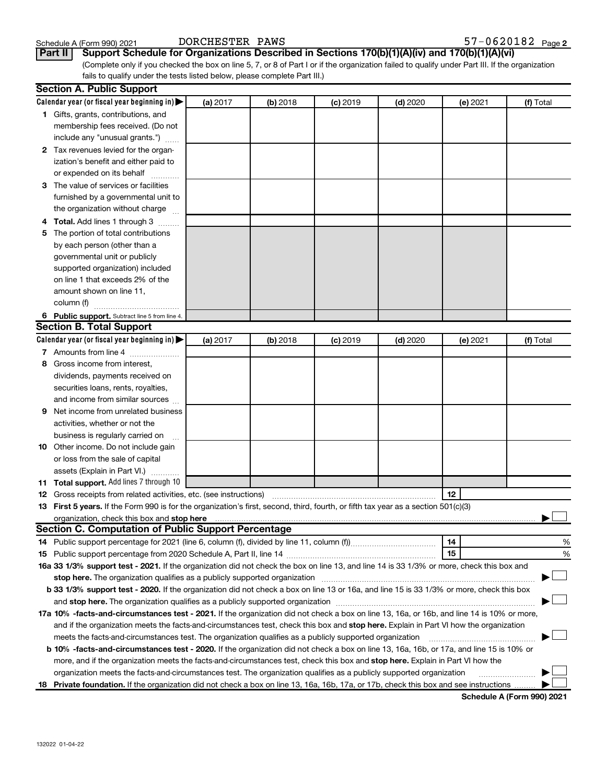**Part II Support Schedule for Organizations Described in Sections 170(b)(1)(A)(iv) and 170(b)(1)(A)(vi)**

(Complete only if you checked the box on line 5, 7, or 8 of Part I or if the organization failed to qualify under Part III. If the organization fails to qualify under the tests listed below, please complete Part III.)

|   | <b>Section A. Public Support</b>                                                                                                                                                                                              |          |          |            |            |          |           |
|---|-------------------------------------------------------------------------------------------------------------------------------------------------------------------------------------------------------------------------------|----------|----------|------------|------------|----------|-----------|
|   | Calendar year (or fiscal year beginning in)                                                                                                                                                                                   | (a) 2017 | (b) 2018 | $(c)$ 2019 | $(d)$ 2020 | (e) 2021 | (f) Total |
|   | 1 Gifts, grants, contributions, and                                                                                                                                                                                           |          |          |            |            |          |           |
|   | membership fees received. (Do not                                                                                                                                                                                             |          |          |            |            |          |           |
|   | include any "unusual grants.")                                                                                                                                                                                                |          |          |            |            |          |           |
|   | 2 Tax revenues levied for the organ-                                                                                                                                                                                          |          |          |            |            |          |           |
|   | ization's benefit and either paid to                                                                                                                                                                                          |          |          |            |            |          |           |
|   | or expended on its behalf                                                                                                                                                                                                     |          |          |            |            |          |           |
|   | 3 The value of services or facilities                                                                                                                                                                                         |          |          |            |            |          |           |
|   | furnished by a governmental unit to                                                                                                                                                                                           |          |          |            |            |          |           |
|   | the organization without charge                                                                                                                                                                                               |          |          |            |            |          |           |
|   | 4 Total. Add lines 1 through 3                                                                                                                                                                                                |          |          |            |            |          |           |
|   | 5 The portion of total contributions                                                                                                                                                                                          |          |          |            |            |          |           |
|   | by each person (other than a                                                                                                                                                                                                  |          |          |            |            |          |           |
|   | governmental unit or publicly                                                                                                                                                                                                 |          |          |            |            |          |           |
|   | supported organization) included                                                                                                                                                                                              |          |          |            |            |          |           |
|   | on line 1 that exceeds 2% of the                                                                                                                                                                                              |          |          |            |            |          |           |
|   | amount shown on line 11,                                                                                                                                                                                                      |          |          |            |            |          |           |
|   | column (f)                                                                                                                                                                                                                    |          |          |            |            |          |           |
|   | 6 Public support. Subtract line 5 from line 4.                                                                                                                                                                                |          |          |            |            |          |           |
|   | <b>Section B. Total Support</b>                                                                                                                                                                                               |          |          |            |            |          |           |
|   | Calendar year (or fiscal year beginning in)                                                                                                                                                                                   | (a) 2017 | (b) 2018 | $(c)$ 2019 | $(d)$ 2020 | (e) 2021 | (f) Total |
|   | 7 Amounts from line 4                                                                                                                                                                                                         |          |          |            |            |          |           |
|   | 8 Gross income from interest,                                                                                                                                                                                                 |          |          |            |            |          |           |
|   | dividends, payments received on                                                                                                                                                                                               |          |          |            |            |          |           |
|   | securities loans, rents, royalties,                                                                                                                                                                                           |          |          |            |            |          |           |
|   | and income from similar sources                                                                                                                                                                                               |          |          |            |            |          |           |
| 9 | Net income from unrelated business                                                                                                                                                                                            |          |          |            |            |          |           |
|   | activities, whether or not the                                                                                                                                                                                                |          |          |            |            |          |           |
|   | business is regularly carried on                                                                                                                                                                                              |          |          |            |            |          |           |
|   | 10 Other income. Do not include gain                                                                                                                                                                                          |          |          |            |            |          |           |
|   | or loss from the sale of capital                                                                                                                                                                                              |          |          |            |            |          |           |
|   | assets (Explain in Part VI.)                                                                                                                                                                                                  |          |          |            |            |          |           |
|   | 11 Total support. Add lines 7 through 10                                                                                                                                                                                      |          |          |            |            |          |           |
|   | <b>12</b> Gross receipts from related activities, etc. (see instructions)                                                                                                                                                     |          |          |            |            | 12       |           |
|   | 13 First 5 years. If the Form 990 is for the organization's first, second, third, fourth, or fifth tax year as a section 501(c)(3)                                                                                            |          |          |            |            |          |           |
|   | organization, check this box and stop here international content to the content of the content of the content of the content of the content of the content of the content of the content of the content of the content of the |          |          |            |            |          |           |
|   | <b>Section C. Computation of Public Support Percentage</b>                                                                                                                                                                    |          |          |            |            |          |           |
|   |                                                                                                                                                                                                                               |          |          |            |            | 14       | %         |
|   |                                                                                                                                                                                                                               |          |          |            |            | 15       | %         |
|   | 16a 33 1/3% support test - 2021. If the organization did not check the box on line 13, and line 14 is 33 1/3% or more, check this box and                                                                                     |          |          |            |            |          |           |
|   | stop here. The organization qualifies as a publicly supported organization manufaction manufacture or the organization                                                                                                        |          |          |            |            |          |           |
|   | b 33 1/3% support test - 2020. If the organization did not check a box on line 13 or 16a, and line 15 is 33 1/3% or more, check this box                                                                                      |          |          |            |            |          |           |
|   |                                                                                                                                                                                                                               |          |          |            |            |          |           |
|   | 17a 10% -facts-and-circumstances test - 2021. If the organization did not check a box on line 13, 16a, or 16b, and line 14 is 10% or more,                                                                                    |          |          |            |            |          |           |
|   | and if the organization meets the facts-and-circumstances test, check this box and stop here. Explain in Part VI how the organization                                                                                         |          |          |            |            |          |           |
|   | meets the facts-and-circumstances test. The organization qualifies as a publicly supported organization                                                                                                                       |          |          |            |            |          |           |
|   | b 10% -facts-and-circumstances test - 2020. If the organization did not check a box on line 13, 16a, 16b, or 17a, and line 15 is 10% or                                                                                       |          |          |            |            |          |           |
|   | more, and if the organization meets the facts-and-circumstances test, check this box and stop here. Explain in Part VI how the                                                                                                |          |          |            |            |          |           |
|   | organization meets the facts-and-circumstances test. The organization qualifies as a publicly supported organization                                                                                                          |          |          |            |            |          |           |
|   | 18 Private foundation. If the organization did not check a box on line 13, 16a, 16b, 17a, or 17b, check this box and see instructions                                                                                         |          |          |            |            |          |           |
|   |                                                                                                                                                                                                                               |          |          |            |            |          |           |

**Schedule A (Form 990) 2021**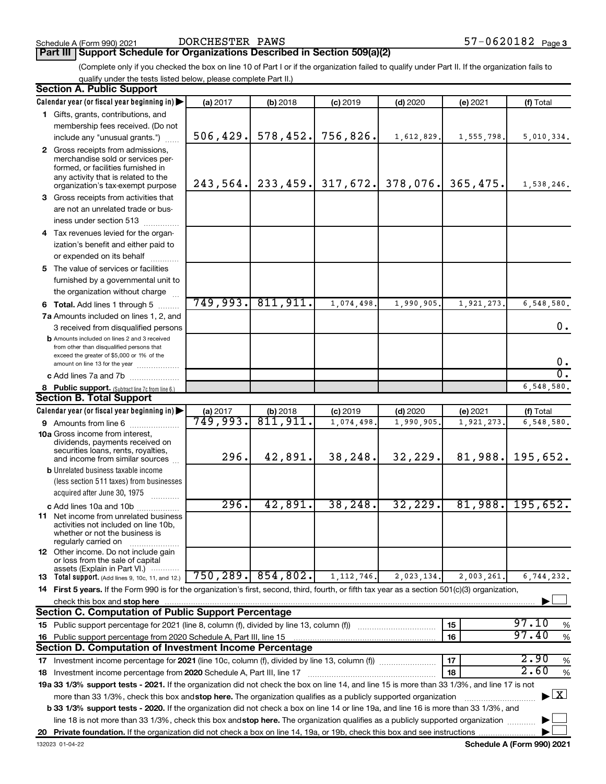### **Part III Support Schedule for Organizations Described in Section 509(a)(2)**

(Complete only if you checked the box on line 10 of Part I or if the organization failed to qualify under Part II. If the organization fails to qualify under the tests listed below, please complete Part II.)

| <b>Section A. Public Support</b>                                                                                                                 |           |                        |                                  |            |            |                                    |
|--------------------------------------------------------------------------------------------------------------------------------------------------|-----------|------------------------|----------------------------------|------------|------------|------------------------------------|
| Calendar year (or fiscal year beginning in)                                                                                                      | (a) 2017  | (b) 2018               | $(c)$ 2019                       | $(d)$ 2020 | (e) 2021   | (f) Total                          |
| 1 Gifts, grants, contributions, and                                                                                                              |           |                        |                                  |            |            |                                    |
| membership fees received. (Do not                                                                                                                |           |                        |                                  |            |            |                                    |
| include any "unusual grants.")                                                                                                                   | 506, 429. | 578, 452.              | 756,826.                         | 1,612,829. | 1,555,798. | 5,010,334.                         |
| 2 Gross receipts from admissions,                                                                                                                |           |                        |                                  |            |            |                                    |
| merchandise sold or services per-                                                                                                                |           |                        |                                  |            |            |                                    |
| formed, or facilities furnished in<br>any activity that is related to the                                                                        |           |                        |                                  |            |            |                                    |
| organization's tax-exempt purpose                                                                                                                |           |                        | $243, 564$ , 233, 459, 317, 672. | 378,076.   | 365, 475.  | 1,538,246.                         |
| 3 Gross receipts from activities that                                                                                                            |           |                        |                                  |            |            |                                    |
| are not an unrelated trade or bus-                                                                                                               |           |                        |                                  |            |            |                                    |
| iness under section 513                                                                                                                          |           |                        |                                  |            |            |                                    |
| 4 Tax revenues levied for the organ-                                                                                                             |           |                        |                                  |            |            |                                    |
| ization's benefit and either paid to                                                                                                             |           |                        |                                  |            |            |                                    |
| or expended on its behalf                                                                                                                        |           |                        |                                  |            |            |                                    |
| 5 The value of services or facilities                                                                                                            |           |                        |                                  |            |            |                                    |
| furnished by a governmental unit to                                                                                                              |           |                        |                                  |            |            |                                    |
| the organization without charge                                                                                                                  |           |                        |                                  |            |            |                                    |
| 6 Total. Add lines 1 through 5                                                                                                                   | 749,993.  | 811,911.               | 1,074,498                        | 1,990,905  | 1,921,273  | 6,548,580.                         |
| 7a Amounts included on lines 1, 2, and                                                                                                           |           |                        |                                  |            |            |                                    |
| 3 received from disqualified persons                                                                                                             |           |                        |                                  |            |            | 0.                                 |
| <b>b</b> Amounts included on lines 2 and 3 received                                                                                              |           |                        |                                  |            |            |                                    |
| from other than disqualified persons that                                                                                                        |           |                        |                                  |            |            |                                    |
| exceed the greater of \$5,000 or 1% of the<br>amount on line 13 for the year                                                                     |           |                        |                                  |            |            | 0.                                 |
| c Add lines 7a and 7b                                                                                                                            |           |                        |                                  |            |            | σ.                                 |
|                                                                                                                                                  |           |                        |                                  |            |            | 6,548,580.                         |
| 8 Public support. (Subtract line 7c from line 6.)<br><b>Section B. Total Support</b>                                                             |           |                        |                                  |            |            |                                    |
| Calendar year (or fiscal year beginning in)                                                                                                      | (a) 2017  |                        | $(c)$ 2019                       | $(d)$ 2020 | (e) 2021   | (f) Total                          |
| 9 Amounts from line 6                                                                                                                            | 749,993.  | $(b)$ 2018<br>811,911. | 1,074,498                        | 1,990,905  | 1,921,273  | 6,548,580.                         |
| <b>10a</b> Gross income from interest,                                                                                                           |           |                        |                                  |            |            |                                    |
| dividends, payments received on                                                                                                                  |           |                        |                                  |            |            |                                    |
| securities loans, rents, royalties,                                                                                                              | 296.      | 42,891.                | 38,248.                          | 32,229.    | 81,988.    | 195,652.                           |
| and income from similar sources                                                                                                                  |           |                        |                                  |            |            |                                    |
| <b>b</b> Unrelated business taxable income<br>(less section 511 taxes) from businesses                                                           |           |                        |                                  |            |            |                                    |
| acquired after June 30, 1975                                                                                                                     |           |                        |                                  |            |            |                                    |
| .                                                                                                                                                | 296.      | 42,891.                | 38, 248.                         | 32,229.    | 81,988.    | 195,652.                           |
| c Add lines 10a and 10b<br><b>11</b> Net income from unrelated business                                                                          |           |                        |                                  |            |            |                                    |
| activities not included on line 10b,                                                                                                             |           |                        |                                  |            |            |                                    |
| whether or not the business is                                                                                                                   |           |                        |                                  |            |            |                                    |
| regularly carried on<br>12 Other income. Do not include gain                                                                                     |           |                        |                                  |            |            |                                    |
| or loss from the sale of capital                                                                                                                 |           |                        |                                  |            |            |                                    |
| assets (Explain in Part VI.)                                                                                                                     |           | $750, 289.$ 854, 802.  |                                  |            |            |                                    |
| <b>13</b> Total support. (Add lines 9, 10c, 11, and 12.)                                                                                         |           |                        | 1, 112, 746.                     | 2,023,134. | 2,003,261. | 6,744,232.                         |
| 14 First 5 years. If the Form 990 is for the organization's first, second, third, fourth, or fifth tax year as a section 501(c)(3) organization, |           |                        |                                  |            |            |                                    |
| check this box and stop here                                                                                                                     |           |                        |                                  |            |            |                                    |
| <b>Section C. Computation of Public Support Percentage</b>                                                                                       |           |                        |                                  |            |            | 97.10                              |
| 15 Public support percentage for 2021 (line 8, column (f), divided by line 13, column (f))                                                       |           |                        |                                  |            | 15         | %<br>97.40                         |
| 16 Public support percentage from 2020 Schedule A, Part III, line 15                                                                             |           |                        |                                  |            | 16         | $\%$                               |
| Section D. Computation of Investment Income Percentage                                                                                           |           |                        |                                  |            |            |                                    |
| 17 Investment income percentage for 2021 (line 10c, column (f), divided by line 13, column (f))                                                  |           |                        |                                  |            | 17         | 2.90<br>$\%$                       |
| 18 Investment income percentage from 2020 Schedule A, Part III, line 17                                                                          |           |                        |                                  |            | 18         | 2.60<br>%                          |
| 19a 33 1/3% support tests - 2021. If the organization did not check the box on line 14, and line 15 is more than 33 1/3%, and line 17 is not     |           |                        |                                  |            |            |                                    |
| more than 33 1/3%, check this box and stop here. The organization qualifies as a publicly supported organization                                 |           |                        |                                  |            |            | $\blacktriangleright$ $\mathbf{X}$ |
| b 33 1/3% support tests - 2020. If the organization did not check a box on line 14 or line 19a, and line 16 is more than 33 1/3%, and            |           |                        |                                  |            |            |                                    |
| line 18 is not more than 33 1/3%, check this box and stop here. The organization qualifies as a publicly supported organization                  |           |                        |                                  |            |            |                                    |
|                                                                                                                                                  |           |                        |                                  |            |            |                                    |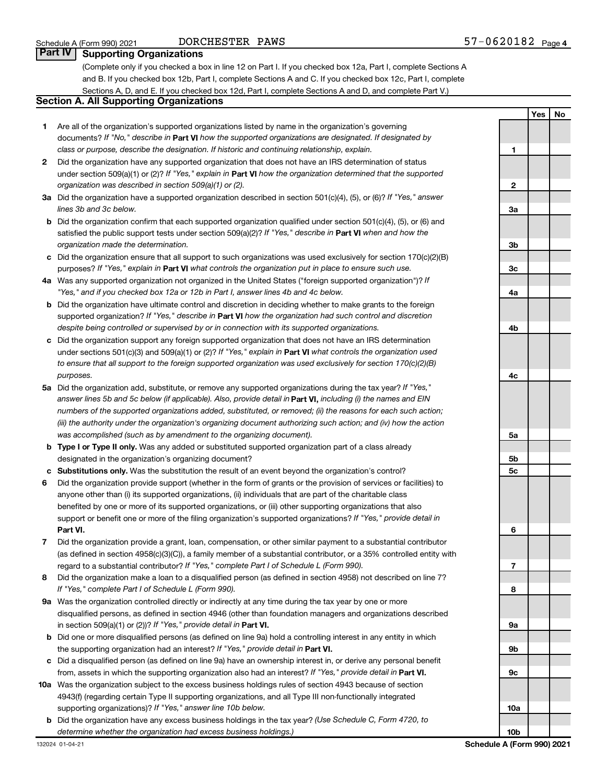### DORCHESTER PAWS

### **Part Supporting Organizations**

(Complete only if you checked a box in line 12 on Part I. If you checked box 12a, Part I, complete Sections A and B. If you checked box 12b, Part I, complete Sections A and C. If you checked box 12c, Part I, complete Sections A, D, and E. If you checked box 12d, Part I, complete Sections A and D, and complete Part V.)

### **Section A. All Supporting Organizations**

- **1** Are all of the organization's supported organizations listed by name in the organization's governing documents? If "No," describe in Part VI how the supported organizations are designated. If designated by *class or purpose, describe the designation. If historic and continuing relationship, explain.*
- **2** Did the organization have any supported organization that does not have an IRS determination of status under section 509(a)(1) or (2)? If "Yes," explain in Part **VI** how the organization determined that the supported *organization was described in section 509(a)(1) or (2).*
- **3a** Did the organization have a supported organization described in section 501(c)(4), (5), or (6)? If "Yes," answer *lines 3b and 3c below.*
- **b** Did the organization confirm that each supported organization qualified under section 501(c)(4), (5), or (6) and satisfied the public support tests under section 509(a)(2)? If "Yes," describe in Part VI when and how the *organization made the determination.*
- **c** Did the organization ensure that all support to such organizations was used exclusively for section 170(c)(2)(B) purposes? If "Yes," explain in Part VI what controls the organization put in place to ensure such use.
- **4 a** *If* Was any supported organization not organized in the United States ("foreign supported organization")? *"Yes," and if you checked box 12a or 12b in Part I, answer lines 4b and 4c below.*
- **b** Did the organization have ultimate control and discretion in deciding whether to make grants to the foreign supported organization? If "Yes," describe in Part VI how the organization had such control and discretion *despite being controlled or supervised by or in connection with its supported organizations.*
- **c** Did the organization support any foreign supported organization that does not have an IRS determination under sections 501(c)(3) and 509(a)(1) or (2)? If "Yes," explain in Part VI what controls the organization used *to ensure that all support to the foreign supported organization was used exclusively for section 170(c)(2)(B) purposes.*
- **5a** Did the organization add, substitute, or remove any supported organizations during the tax year? If "Yes," answer lines 5b and 5c below (if applicable). Also, provide detail in **Part VI,** including (i) the names and EIN *numbers of the supported organizations added, substituted, or removed; (ii) the reasons for each such action; (iii) the authority under the organization's organizing document authorizing such action; and (iv) how the action was accomplished (such as by amendment to the organizing document).*
- **b** Type I or Type II only. Was any added or substituted supported organization part of a class already designated in the organization's organizing document?
- **c Substitutions only.**  Was the substitution the result of an event beyond the organization's control?
- **6** Did the organization provide support (whether in the form of grants or the provision of services or facilities) to **Part VI.** support or benefit one or more of the filing organization's supported organizations? If "Yes," provide detail in anyone other than (i) its supported organizations, (ii) individuals that are part of the charitable class benefited by one or more of its supported organizations, or (iii) other supporting organizations that also
- **7** Did the organization provide a grant, loan, compensation, or other similar payment to a substantial contributor regard to a substantial contributor? If "Yes," complete Part I of Schedule L (Form 990). (as defined in section 4958(c)(3)(C)), a family member of a substantial contributor, or a 35% controlled entity with
- **8** Did the organization make a loan to a disqualified person (as defined in section 4958) not described on line 7? *If "Yes," complete Part I of Schedule L (Form 990).*
- **9 a** Was the organization controlled directly or indirectly at any time during the tax year by one or more in section 509(a)(1) or (2))? If "Yes," provide detail in **Part VI.** disqualified persons, as defined in section 4946 (other than foundation managers and organizations described
- **b** Did one or more disqualified persons (as defined on line 9a) hold a controlling interest in any entity in which the supporting organization had an interest? If "Yes," provide detail in Part VI.
- **c** Did a disqualified person (as defined on line 9a) have an ownership interest in, or derive any personal benefit from, assets in which the supporting organization also had an interest? If "Yes," provide detail in Part VI.
- **10 a** Was the organization subject to the excess business holdings rules of section 4943 because of section supporting organizations)? If "Yes," answer line 10b below. 4943(f) (regarding certain Type II supporting organizations, and all Type III non-functionally integrated
	- **b** Did the organization have any excess business holdings in the tax year? (Use Schedule C, Form 4720, to *determine whether the organization had excess business holdings.)*

|                 | Yes | No |
|-----------------|-----|----|
|                 |     |    |
| 1               |     |    |
|                 |     |    |
| 2               |     |    |
|                 |     |    |
| За              |     |    |
|                 |     |    |
| 3b              |     |    |
|                 |     |    |
| 3c              |     |    |
|                 |     |    |
| 4a              |     |    |
|                 |     |    |
| 4 <sub>b</sub>  |     |    |
|                 |     |    |
| 4c              |     |    |
|                 |     |    |
| 5a              |     |    |
|                 |     |    |
| 5b              |     |    |
| 5c              |     |    |
|                 |     |    |
| 6               |     |    |
|                 |     |    |
| 7               |     |    |
|                 |     |    |
| 8               |     |    |
|                 |     |    |
| 9а              |     |    |
|                 |     |    |
| 9b              |     |    |
|                 |     |    |
| 9с              |     |    |
|                 |     |    |
| 10a             |     |    |
|                 |     |    |
| 10 <sub>b</sub> |     |    |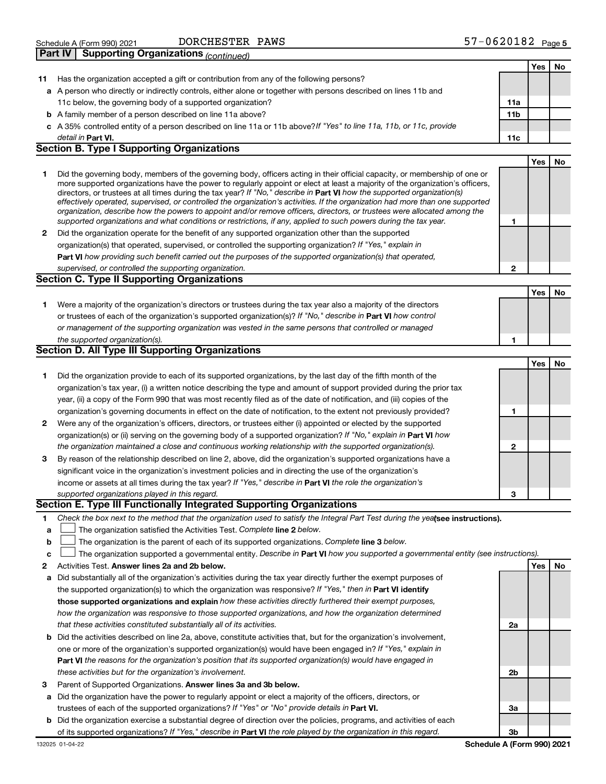| Schedule A (Form 990) 2021 | DORCHESTER                                            |
|----------------------------|-------------------------------------------------------|
|                            | <b>Part IV   Supporting Organizations (continued)</b> |

DORCHESTER PAWS

| Yes<br>No<br>Has the organization accepted a gift or contribution from any of the following persons?<br>11<br>a A person who directly or indirectly controls, either alone or together with persons described on lines 11b and<br>11c below, the governing body of a supported organization?<br>11a<br>11 <sub>b</sub><br><b>b</b> A family member of a person described on line 11a above?<br>c A 35% controlled entity of a person described on line 11a or 11b above? If "Yes" to line 11a, 11b, or 11c, provide<br>detail in Part VI.<br>11c<br><b>Section B. Type I Supporting Organizations</b><br>Yes<br><b>No</b><br>Did the governing body, members of the governing body, officers acting in their official capacity, or membership of one or<br>1<br>more supported organizations have the power to regularly appoint or elect at least a majority of the organization's officers,<br>directors, or trustees at all times during the tax year? If "No," describe in <b>Part VI</b> how the supported organization(s)<br>effectively operated, supervised, or controlled the organization's activities. If the organization had more than one supported<br>organization, describe how the powers to appoint and/or remove officers, directors, or trustees were allocated among the<br>supported organizations and what conditions or restrictions, if any, applied to such powers during the tax year.<br>1<br>Did the organization operate for the benefit of any supported organization other than the supported<br>$\mathbf{2}$<br>organization(s) that operated, supervised, or controlled the supporting organization? If "Yes," explain in<br>Part VI how providing such benefit carried out the purposes of the supported organization(s) that operated,<br>supervised, or controlled the supporting organization.<br>$\mathbf{2}$<br><b>Section C. Type II Supporting Organizations</b><br>Yes<br>No<br>Were a majority of the organization's directors or trustees during the tax year also a majority of the directors<br>1<br>or trustees of each of the organization's supported organization(s)? If "No," describe in Part VI how control<br>or management of the supporting organization was vested in the same persons that controlled or managed<br>the supported organization(s).<br>1<br><b>Section D. All Type III Supporting Organizations</b><br>Yes<br>No<br>Did the organization provide to each of its supported organizations, by the last day of the fifth month of the<br>1<br>organization's tax year, (i) a written notice describing the type and amount of support provided during the prior tax<br>year, (ii) a copy of the Form 990 that was most recently filed as of the date of notification, and (iii) copies of the<br>organization's governing documents in effect on the date of notification, to the extent not previously provided?<br>1<br>Were any of the organization's officers, directors, or trustees either (i) appointed or elected by the supported<br>2<br>organization(s) or (ii) serving on the governing body of a supported organization? If "No," explain in Part VI how<br>the organization maintained a close and continuous working relationship with the supported organization(s).<br>$\overline{2}$<br>By reason of the relationship described on line 2, above, did the organization's supported organizations have a<br>3<br>significant voice in the organization's investment policies and in directing the use of the organization's<br>income or assets at all times during the tax year? If "Yes," describe in Part VI the role the organization's<br>supported organizations played in this regard.<br>З<br>Section E. Type III Functionally Integrated Supporting Organizations<br>Check the box next to the method that the organization used to satisfy the Integral Part Test during the yeafsee instructions).<br>1 | <b>Fail IV</b><br>Supporting Organizations <sub>(Continued)</sub> |  |  |
|------------------------------------------------------------------------------------------------------------------------------------------------------------------------------------------------------------------------------------------------------------------------------------------------------------------------------------------------------------------------------------------------------------------------------------------------------------------------------------------------------------------------------------------------------------------------------------------------------------------------------------------------------------------------------------------------------------------------------------------------------------------------------------------------------------------------------------------------------------------------------------------------------------------------------------------------------------------------------------------------------------------------------------------------------------------------------------------------------------------------------------------------------------------------------------------------------------------------------------------------------------------------------------------------------------------------------------------------------------------------------------------------------------------------------------------------------------------------------------------------------------------------------------------------------------------------------------------------------------------------------------------------------------------------------------------------------------------------------------------------------------------------------------------------------------------------------------------------------------------------------------------------------------------------------------------------------------------------------------------------------------------------------------------------------------------------------------------------------------------------------------------------------------------------------------------------------------------------------------------------------------------------------------------------------------------------------------------------------------------------------------------------------------------------------------------------------------------------------------------------------------------------------------------------------------------------------------------------------------------------------------------------------------------------------------------------------------------------------------------------------------------------------------------------------------------------------------------------------------------------------------------------------------------------------------------------------------------------------------------------------------------------------------------------------------------------------------------------------------------------------------------------------------------------------------------------------------------------------------------------------------------------------------------------------------------------------------------------------------------------------------------------------------------------------------------------------------------------------------------------------------------------------------------------------------------------------------------------------------------------------------------------------------------------------------------------------------------------------------------------------------------------------------------------------------------------------------------------------------------------------------------------------------|-------------------------------------------------------------------|--|--|
|                                                                                                                                                                                                                                                                                                                                                                                                                                                                                                                                                                                                                                                                                                                                                                                                                                                                                                                                                                                                                                                                                                                                                                                                                                                                                                                                                                                                                                                                                                                                                                                                                                                                                                                                                                                                                                                                                                                                                                                                                                                                                                                                                                                                                                                                                                                                                                                                                                                                                                                                                                                                                                                                                                                                                                                                                                                                                                                                                                                                                                                                                                                                                                                                                                                                                                                                                                                                                                                                                                                                                                                                                                                                                                                                                                                                                                                                                                            |                                                                   |  |  |
|                                                                                                                                                                                                                                                                                                                                                                                                                                                                                                                                                                                                                                                                                                                                                                                                                                                                                                                                                                                                                                                                                                                                                                                                                                                                                                                                                                                                                                                                                                                                                                                                                                                                                                                                                                                                                                                                                                                                                                                                                                                                                                                                                                                                                                                                                                                                                                                                                                                                                                                                                                                                                                                                                                                                                                                                                                                                                                                                                                                                                                                                                                                                                                                                                                                                                                                                                                                                                                                                                                                                                                                                                                                                                                                                                                                                                                                                                                            |                                                                   |  |  |
|                                                                                                                                                                                                                                                                                                                                                                                                                                                                                                                                                                                                                                                                                                                                                                                                                                                                                                                                                                                                                                                                                                                                                                                                                                                                                                                                                                                                                                                                                                                                                                                                                                                                                                                                                                                                                                                                                                                                                                                                                                                                                                                                                                                                                                                                                                                                                                                                                                                                                                                                                                                                                                                                                                                                                                                                                                                                                                                                                                                                                                                                                                                                                                                                                                                                                                                                                                                                                                                                                                                                                                                                                                                                                                                                                                                                                                                                                                            |                                                                   |  |  |
|                                                                                                                                                                                                                                                                                                                                                                                                                                                                                                                                                                                                                                                                                                                                                                                                                                                                                                                                                                                                                                                                                                                                                                                                                                                                                                                                                                                                                                                                                                                                                                                                                                                                                                                                                                                                                                                                                                                                                                                                                                                                                                                                                                                                                                                                                                                                                                                                                                                                                                                                                                                                                                                                                                                                                                                                                                                                                                                                                                                                                                                                                                                                                                                                                                                                                                                                                                                                                                                                                                                                                                                                                                                                                                                                                                                                                                                                                                            |                                                                   |  |  |
|                                                                                                                                                                                                                                                                                                                                                                                                                                                                                                                                                                                                                                                                                                                                                                                                                                                                                                                                                                                                                                                                                                                                                                                                                                                                                                                                                                                                                                                                                                                                                                                                                                                                                                                                                                                                                                                                                                                                                                                                                                                                                                                                                                                                                                                                                                                                                                                                                                                                                                                                                                                                                                                                                                                                                                                                                                                                                                                                                                                                                                                                                                                                                                                                                                                                                                                                                                                                                                                                                                                                                                                                                                                                                                                                                                                                                                                                                                            |                                                                   |  |  |
|                                                                                                                                                                                                                                                                                                                                                                                                                                                                                                                                                                                                                                                                                                                                                                                                                                                                                                                                                                                                                                                                                                                                                                                                                                                                                                                                                                                                                                                                                                                                                                                                                                                                                                                                                                                                                                                                                                                                                                                                                                                                                                                                                                                                                                                                                                                                                                                                                                                                                                                                                                                                                                                                                                                                                                                                                                                                                                                                                                                                                                                                                                                                                                                                                                                                                                                                                                                                                                                                                                                                                                                                                                                                                                                                                                                                                                                                                                            |                                                                   |  |  |
|                                                                                                                                                                                                                                                                                                                                                                                                                                                                                                                                                                                                                                                                                                                                                                                                                                                                                                                                                                                                                                                                                                                                                                                                                                                                                                                                                                                                                                                                                                                                                                                                                                                                                                                                                                                                                                                                                                                                                                                                                                                                                                                                                                                                                                                                                                                                                                                                                                                                                                                                                                                                                                                                                                                                                                                                                                                                                                                                                                                                                                                                                                                                                                                                                                                                                                                                                                                                                                                                                                                                                                                                                                                                                                                                                                                                                                                                                                            |                                                                   |  |  |
|                                                                                                                                                                                                                                                                                                                                                                                                                                                                                                                                                                                                                                                                                                                                                                                                                                                                                                                                                                                                                                                                                                                                                                                                                                                                                                                                                                                                                                                                                                                                                                                                                                                                                                                                                                                                                                                                                                                                                                                                                                                                                                                                                                                                                                                                                                                                                                                                                                                                                                                                                                                                                                                                                                                                                                                                                                                                                                                                                                                                                                                                                                                                                                                                                                                                                                                                                                                                                                                                                                                                                                                                                                                                                                                                                                                                                                                                                                            |                                                                   |  |  |
|                                                                                                                                                                                                                                                                                                                                                                                                                                                                                                                                                                                                                                                                                                                                                                                                                                                                                                                                                                                                                                                                                                                                                                                                                                                                                                                                                                                                                                                                                                                                                                                                                                                                                                                                                                                                                                                                                                                                                                                                                                                                                                                                                                                                                                                                                                                                                                                                                                                                                                                                                                                                                                                                                                                                                                                                                                                                                                                                                                                                                                                                                                                                                                                                                                                                                                                                                                                                                                                                                                                                                                                                                                                                                                                                                                                                                                                                                                            |                                                                   |  |  |
|                                                                                                                                                                                                                                                                                                                                                                                                                                                                                                                                                                                                                                                                                                                                                                                                                                                                                                                                                                                                                                                                                                                                                                                                                                                                                                                                                                                                                                                                                                                                                                                                                                                                                                                                                                                                                                                                                                                                                                                                                                                                                                                                                                                                                                                                                                                                                                                                                                                                                                                                                                                                                                                                                                                                                                                                                                                                                                                                                                                                                                                                                                                                                                                                                                                                                                                                                                                                                                                                                                                                                                                                                                                                                                                                                                                                                                                                                                            |                                                                   |  |  |
|                                                                                                                                                                                                                                                                                                                                                                                                                                                                                                                                                                                                                                                                                                                                                                                                                                                                                                                                                                                                                                                                                                                                                                                                                                                                                                                                                                                                                                                                                                                                                                                                                                                                                                                                                                                                                                                                                                                                                                                                                                                                                                                                                                                                                                                                                                                                                                                                                                                                                                                                                                                                                                                                                                                                                                                                                                                                                                                                                                                                                                                                                                                                                                                                                                                                                                                                                                                                                                                                                                                                                                                                                                                                                                                                                                                                                                                                                                            |                                                                   |  |  |
|                                                                                                                                                                                                                                                                                                                                                                                                                                                                                                                                                                                                                                                                                                                                                                                                                                                                                                                                                                                                                                                                                                                                                                                                                                                                                                                                                                                                                                                                                                                                                                                                                                                                                                                                                                                                                                                                                                                                                                                                                                                                                                                                                                                                                                                                                                                                                                                                                                                                                                                                                                                                                                                                                                                                                                                                                                                                                                                                                                                                                                                                                                                                                                                                                                                                                                                                                                                                                                                                                                                                                                                                                                                                                                                                                                                                                                                                                                            |                                                                   |  |  |
|                                                                                                                                                                                                                                                                                                                                                                                                                                                                                                                                                                                                                                                                                                                                                                                                                                                                                                                                                                                                                                                                                                                                                                                                                                                                                                                                                                                                                                                                                                                                                                                                                                                                                                                                                                                                                                                                                                                                                                                                                                                                                                                                                                                                                                                                                                                                                                                                                                                                                                                                                                                                                                                                                                                                                                                                                                                                                                                                                                                                                                                                                                                                                                                                                                                                                                                                                                                                                                                                                                                                                                                                                                                                                                                                                                                                                                                                                                            |                                                                   |  |  |
|                                                                                                                                                                                                                                                                                                                                                                                                                                                                                                                                                                                                                                                                                                                                                                                                                                                                                                                                                                                                                                                                                                                                                                                                                                                                                                                                                                                                                                                                                                                                                                                                                                                                                                                                                                                                                                                                                                                                                                                                                                                                                                                                                                                                                                                                                                                                                                                                                                                                                                                                                                                                                                                                                                                                                                                                                                                                                                                                                                                                                                                                                                                                                                                                                                                                                                                                                                                                                                                                                                                                                                                                                                                                                                                                                                                                                                                                                                            |                                                                   |  |  |
|                                                                                                                                                                                                                                                                                                                                                                                                                                                                                                                                                                                                                                                                                                                                                                                                                                                                                                                                                                                                                                                                                                                                                                                                                                                                                                                                                                                                                                                                                                                                                                                                                                                                                                                                                                                                                                                                                                                                                                                                                                                                                                                                                                                                                                                                                                                                                                                                                                                                                                                                                                                                                                                                                                                                                                                                                                                                                                                                                                                                                                                                                                                                                                                                                                                                                                                                                                                                                                                                                                                                                                                                                                                                                                                                                                                                                                                                                                            |                                                                   |  |  |
|                                                                                                                                                                                                                                                                                                                                                                                                                                                                                                                                                                                                                                                                                                                                                                                                                                                                                                                                                                                                                                                                                                                                                                                                                                                                                                                                                                                                                                                                                                                                                                                                                                                                                                                                                                                                                                                                                                                                                                                                                                                                                                                                                                                                                                                                                                                                                                                                                                                                                                                                                                                                                                                                                                                                                                                                                                                                                                                                                                                                                                                                                                                                                                                                                                                                                                                                                                                                                                                                                                                                                                                                                                                                                                                                                                                                                                                                                                            |                                                                   |  |  |
|                                                                                                                                                                                                                                                                                                                                                                                                                                                                                                                                                                                                                                                                                                                                                                                                                                                                                                                                                                                                                                                                                                                                                                                                                                                                                                                                                                                                                                                                                                                                                                                                                                                                                                                                                                                                                                                                                                                                                                                                                                                                                                                                                                                                                                                                                                                                                                                                                                                                                                                                                                                                                                                                                                                                                                                                                                                                                                                                                                                                                                                                                                                                                                                                                                                                                                                                                                                                                                                                                                                                                                                                                                                                                                                                                                                                                                                                                                            |                                                                   |  |  |
|                                                                                                                                                                                                                                                                                                                                                                                                                                                                                                                                                                                                                                                                                                                                                                                                                                                                                                                                                                                                                                                                                                                                                                                                                                                                                                                                                                                                                                                                                                                                                                                                                                                                                                                                                                                                                                                                                                                                                                                                                                                                                                                                                                                                                                                                                                                                                                                                                                                                                                                                                                                                                                                                                                                                                                                                                                                                                                                                                                                                                                                                                                                                                                                                                                                                                                                                                                                                                                                                                                                                                                                                                                                                                                                                                                                                                                                                                                            |                                                                   |  |  |
|                                                                                                                                                                                                                                                                                                                                                                                                                                                                                                                                                                                                                                                                                                                                                                                                                                                                                                                                                                                                                                                                                                                                                                                                                                                                                                                                                                                                                                                                                                                                                                                                                                                                                                                                                                                                                                                                                                                                                                                                                                                                                                                                                                                                                                                                                                                                                                                                                                                                                                                                                                                                                                                                                                                                                                                                                                                                                                                                                                                                                                                                                                                                                                                                                                                                                                                                                                                                                                                                                                                                                                                                                                                                                                                                                                                                                                                                                                            |                                                                   |  |  |
|                                                                                                                                                                                                                                                                                                                                                                                                                                                                                                                                                                                                                                                                                                                                                                                                                                                                                                                                                                                                                                                                                                                                                                                                                                                                                                                                                                                                                                                                                                                                                                                                                                                                                                                                                                                                                                                                                                                                                                                                                                                                                                                                                                                                                                                                                                                                                                                                                                                                                                                                                                                                                                                                                                                                                                                                                                                                                                                                                                                                                                                                                                                                                                                                                                                                                                                                                                                                                                                                                                                                                                                                                                                                                                                                                                                                                                                                                                            |                                                                   |  |  |
|                                                                                                                                                                                                                                                                                                                                                                                                                                                                                                                                                                                                                                                                                                                                                                                                                                                                                                                                                                                                                                                                                                                                                                                                                                                                                                                                                                                                                                                                                                                                                                                                                                                                                                                                                                                                                                                                                                                                                                                                                                                                                                                                                                                                                                                                                                                                                                                                                                                                                                                                                                                                                                                                                                                                                                                                                                                                                                                                                                                                                                                                                                                                                                                                                                                                                                                                                                                                                                                                                                                                                                                                                                                                                                                                                                                                                                                                                                            |                                                                   |  |  |
|                                                                                                                                                                                                                                                                                                                                                                                                                                                                                                                                                                                                                                                                                                                                                                                                                                                                                                                                                                                                                                                                                                                                                                                                                                                                                                                                                                                                                                                                                                                                                                                                                                                                                                                                                                                                                                                                                                                                                                                                                                                                                                                                                                                                                                                                                                                                                                                                                                                                                                                                                                                                                                                                                                                                                                                                                                                                                                                                                                                                                                                                                                                                                                                                                                                                                                                                                                                                                                                                                                                                                                                                                                                                                                                                                                                                                                                                                                            |                                                                   |  |  |
|                                                                                                                                                                                                                                                                                                                                                                                                                                                                                                                                                                                                                                                                                                                                                                                                                                                                                                                                                                                                                                                                                                                                                                                                                                                                                                                                                                                                                                                                                                                                                                                                                                                                                                                                                                                                                                                                                                                                                                                                                                                                                                                                                                                                                                                                                                                                                                                                                                                                                                                                                                                                                                                                                                                                                                                                                                                                                                                                                                                                                                                                                                                                                                                                                                                                                                                                                                                                                                                                                                                                                                                                                                                                                                                                                                                                                                                                                                            |                                                                   |  |  |
|                                                                                                                                                                                                                                                                                                                                                                                                                                                                                                                                                                                                                                                                                                                                                                                                                                                                                                                                                                                                                                                                                                                                                                                                                                                                                                                                                                                                                                                                                                                                                                                                                                                                                                                                                                                                                                                                                                                                                                                                                                                                                                                                                                                                                                                                                                                                                                                                                                                                                                                                                                                                                                                                                                                                                                                                                                                                                                                                                                                                                                                                                                                                                                                                                                                                                                                                                                                                                                                                                                                                                                                                                                                                                                                                                                                                                                                                                                            |                                                                   |  |  |
|                                                                                                                                                                                                                                                                                                                                                                                                                                                                                                                                                                                                                                                                                                                                                                                                                                                                                                                                                                                                                                                                                                                                                                                                                                                                                                                                                                                                                                                                                                                                                                                                                                                                                                                                                                                                                                                                                                                                                                                                                                                                                                                                                                                                                                                                                                                                                                                                                                                                                                                                                                                                                                                                                                                                                                                                                                                                                                                                                                                                                                                                                                                                                                                                                                                                                                                                                                                                                                                                                                                                                                                                                                                                                                                                                                                                                                                                                                            |                                                                   |  |  |
|                                                                                                                                                                                                                                                                                                                                                                                                                                                                                                                                                                                                                                                                                                                                                                                                                                                                                                                                                                                                                                                                                                                                                                                                                                                                                                                                                                                                                                                                                                                                                                                                                                                                                                                                                                                                                                                                                                                                                                                                                                                                                                                                                                                                                                                                                                                                                                                                                                                                                                                                                                                                                                                                                                                                                                                                                                                                                                                                                                                                                                                                                                                                                                                                                                                                                                                                                                                                                                                                                                                                                                                                                                                                                                                                                                                                                                                                                                            |                                                                   |  |  |
|                                                                                                                                                                                                                                                                                                                                                                                                                                                                                                                                                                                                                                                                                                                                                                                                                                                                                                                                                                                                                                                                                                                                                                                                                                                                                                                                                                                                                                                                                                                                                                                                                                                                                                                                                                                                                                                                                                                                                                                                                                                                                                                                                                                                                                                                                                                                                                                                                                                                                                                                                                                                                                                                                                                                                                                                                                                                                                                                                                                                                                                                                                                                                                                                                                                                                                                                                                                                                                                                                                                                                                                                                                                                                                                                                                                                                                                                                                            |                                                                   |  |  |
|                                                                                                                                                                                                                                                                                                                                                                                                                                                                                                                                                                                                                                                                                                                                                                                                                                                                                                                                                                                                                                                                                                                                                                                                                                                                                                                                                                                                                                                                                                                                                                                                                                                                                                                                                                                                                                                                                                                                                                                                                                                                                                                                                                                                                                                                                                                                                                                                                                                                                                                                                                                                                                                                                                                                                                                                                                                                                                                                                                                                                                                                                                                                                                                                                                                                                                                                                                                                                                                                                                                                                                                                                                                                                                                                                                                                                                                                                                            |                                                                   |  |  |
|                                                                                                                                                                                                                                                                                                                                                                                                                                                                                                                                                                                                                                                                                                                                                                                                                                                                                                                                                                                                                                                                                                                                                                                                                                                                                                                                                                                                                                                                                                                                                                                                                                                                                                                                                                                                                                                                                                                                                                                                                                                                                                                                                                                                                                                                                                                                                                                                                                                                                                                                                                                                                                                                                                                                                                                                                                                                                                                                                                                                                                                                                                                                                                                                                                                                                                                                                                                                                                                                                                                                                                                                                                                                                                                                                                                                                                                                                                            |                                                                   |  |  |
|                                                                                                                                                                                                                                                                                                                                                                                                                                                                                                                                                                                                                                                                                                                                                                                                                                                                                                                                                                                                                                                                                                                                                                                                                                                                                                                                                                                                                                                                                                                                                                                                                                                                                                                                                                                                                                                                                                                                                                                                                                                                                                                                                                                                                                                                                                                                                                                                                                                                                                                                                                                                                                                                                                                                                                                                                                                                                                                                                                                                                                                                                                                                                                                                                                                                                                                                                                                                                                                                                                                                                                                                                                                                                                                                                                                                                                                                                                            |                                                                   |  |  |
|                                                                                                                                                                                                                                                                                                                                                                                                                                                                                                                                                                                                                                                                                                                                                                                                                                                                                                                                                                                                                                                                                                                                                                                                                                                                                                                                                                                                                                                                                                                                                                                                                                                                                                                                                                                                                                                                                                                                                                                                                                                                                                                                                                                                                                                                                                                                                                                                                                                                                                                                                                                                                                                                                                                                                                                                                                                                                                                                                                                                                                                                                                                                                                                                                                                                                                                                                                                                                                                                                                                                                                                                                                                                                                                                                                                                                                                                                                            |                                                                   |  |  |
|                                                                                                                                                                                                                                                                                                                                                                                                                                                                                                                                                                                                                                                                                                                                                                                                                                                                                                                                                                                                                                                                                                                                                                                                                                                                                                                                                                                                                                                                                                                                                                                                                                                                                                                                                                                                                                                                                                                                                                                                                                                                                                                                                                                                                                                                                                                                                                                                                                                                                                                                                                                                                                                                                                                                                                                                                                                                                                                                                                                                                                                                                                                                                                                                                                                                                                                                                                                                                                                                                                                                                                                                                                                                                                                                                                                                                                                                                                            |                                                                   |  |  |
|                                                                                                                                                                                                                                                                                                                                                                                                                                                                                                                                                                                                                                                                                                                                                                                                                                                                                                                                                                                                                                                                                                                                                                                                                                                                                                                                                                                                                                                                                                                                                                                                                                                                                                                                                                                                                                                                                                                                                                                                                                                                                                                                                                                                                                                                                                                                                                                                                                                                                                                                                                                                                                                                                                                                                                                                                                                                                                                                                                                                                                                                                                                                                                                                                                                                                                                                                                                                                                                                                                                                                                                                                                                                                                                                                                                                                                                                                                            |                                                                   |  |  |
|                                                                                                                                                                                                                                                                                                                                                                                                                                                                                                                                                                                                                                                                                                                                                                                                                                                                                                                                                                                                                                                                                                                                                                                                                                                                                                                                                                                                                                                                                                                                                                                                                                                                                                                                                                                                                                                                                                                                                                                                                                                                                                                                                                                                                                                                                                                                                                                                                                                                                                                                                                                                                                                                                                                                                                                                                                                                                                                                                                                                                                                                                                                                                                                                                                                                                                                                                                                                                                                                                                                                                                                                                                                                                                                                                                                                                                                                                                            |                                                                   |  |  |
|                                                                                                                                                                                                                                                                                                                                                                                                                                                                                                                                                                                                                                                                                                                                                                                                                                                                                                                                                                                                                                                                                                                                                                                                                                                                                                                                                                                                                                                                                                                                                                                                                                                                                                                                                                                                                                                                                                                                                                                                                                                                                                                                                                                                                                                                                                                                                                                                                                                                                                                                                                                                                                                                                                                                                                                                                                                                                                                                                                                                                                                                                                                                                                                                                                                                                                                                                                                                                                                                                                                                                                                                                                                                                                                                                                                                                                                                                                            |                                                                   |  |  |
| The organization satisfied the Activities Test. Complete line 2 below.<br>a                                                                                                                                                                                                                                                                                                                                                                                                                                                                                                                                                                                                                                                                                                                                                                                                                                                                                                                                                                                                                                                                                                                                                                                                                                                                                                                                                                                                                                                                                                                                                                                                                                                                                                                                                                                                                                                                                                                                                                                                                                                                                                                                                                                                                                                                                                                                                                                                                                                                                                                                                                                                                                                                                                                                                                                                                                                                                                                                                                                                                                                                                                                                                                                                                                                                                                                                                                                                                                                                                                                                                                                                                                                                                                                                                                                                                                |                                                                   |  |  |

- 
- **b** The organization is the parent of each of its supported organizations. Complete line 3 below.  $\Box$
- **c** The organization supported a governmental entity. Describe in Part VI how you supported a governmental entity (see instructions).  $\Box$
- **2 Answer lines 2a and 2b below. Yes No** Activities Test.
- **a** Did substantially all of the organization's activities during the tax year directly further the exempt purposes of the supported organization(s) to which the organization was responsive? If "Yes," then in Part VI identify **those supported organizations and explain**  *how these activities directly furthered their exempt purposes, how the organization was responsive to those supported organizations, and how the organization determined that these activities constituted substantially all of its activities.*
- **b** Did the activities described on line 2a, above, constitute activities that, but for the organization's involvement, **Part VI**  *the reasons for the organization's position that its supported organization(s) would have engaged in* one or more of the organization's supported organization(s) would have been engaged in? If "Yes," explain in *these activities but for the organization's involvement.*
- 3 Parent of Supported Organizations. Answer lines 3a and 3b below.
- **a** Did the organization have the power to regularly appoint or elect a majority of the officers, directors, or trustees of each of the supported organizations? If "Yes" or "No" provide details in Part VI.
- **b** Did the organization exercise a substantial degree of direction over the policies, programs, and activities of each of its supported organizations? If "Yes," describe in Part VI the role played by the organization in this regard.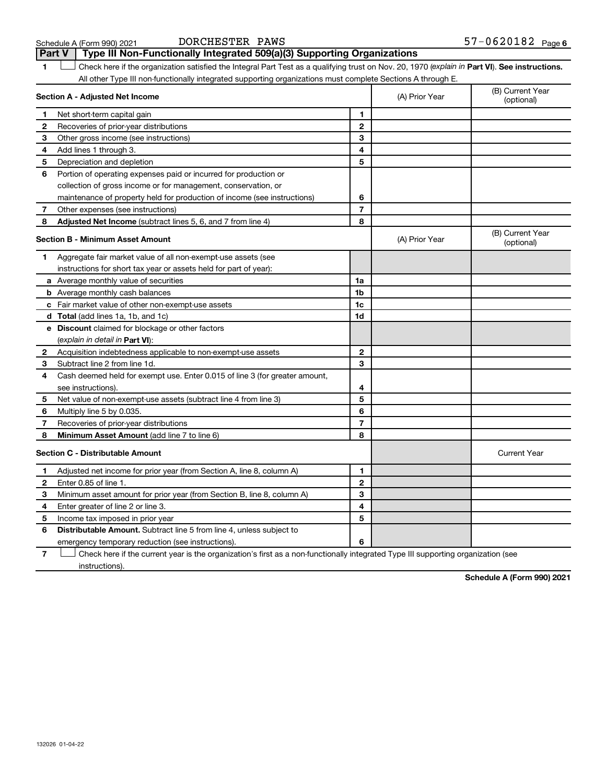| Schedule A (Form 990) 202 |  |  |
|---------------------------|--|--|
|---------------------------|--|--|

**1 Part VI** Check here if the organization satisfied the Integral Part Test as a qualifying trust on Nov. 20, 1970 (*explain in* Part **VI**). See instructions. **Section A - Adjusted Net Income 1 2 3 4 5 6 7 8 1 2 3 4 5 6 7 Adjusted Net Income** (subtract lines 5, 6, and 7 from line 4) **8 8 Section B - Minimum Asset Amount 1 2 3 4 5 6 7 8 a** Average monthly value of securities **b** Average monthly cash balances **c** Fair market value of other non-exempt-use assets **d Total**  (add lines 1a, 1b, and 1c) **e Discount** claimed for blockage or other factors **1a 1b 1c 1d 2 3 4 5 6 7 8** (explain in detail in Part VI): **Minimum Asset Amount**  (add line 7 to line 6) **Section C - Distributable Amount 1 2 3 4 5 6 1 2 3 4 5 6** Distributable Amount. Subtract line 5 from line 4, unless subject to All other Type III non-functionally integrated supporting organizations must complete Sections A through E. (B) Current Year (A) Prior Year Net short-term capital gain Recoveries of prior-year distributions Other gross income (see instructions) Add lines 1 through 3. Depreciation and depletion Portion of operating expenses paid or incurred for production or collection of gross income or for management, conservation, or maintenance of property held for production of income (see instructions) Other expenses (see instructions) (B) Current Year  $(A)$  Prior Year  $\left\{\n\begin{array}{ccc}\n\end{array}\n\right\}$  (optional) Aggregate fair market value of all non-exempt-use assets (see instructions for short tax year or assets held for part of year): Acquisition indebtedness applicable to non-exempt-use assets Subtract line 2 from line 1d. Cash deemed held for exempt use. Enter 0.015 of line 3 (for greater amount, see instructions). Net value of non-exempt-use assets (subtract line 4 from line 3) Multiply line 5 by 0.035. Recoveries of prior-year distributions Current Year Adjusted net income for prior year (from Section A, line 8, column A) Enter 0.85 of line 1. Minimum asset amount for prior year (from Section B, line 8, column A) Enter greater of line 2 or line 3. Income tax imposed in prior year emergency temporary reduction (see instructions). **Part V Type III Non-Functionally Integrated 509(a)(3) Supporting Organizations**   $\Box$ 

**7** Check here if the current year is the organization's first as a non-functionally integrated Type III supporting organization (see † instructions).

**Schedule A (Form 990) 2021**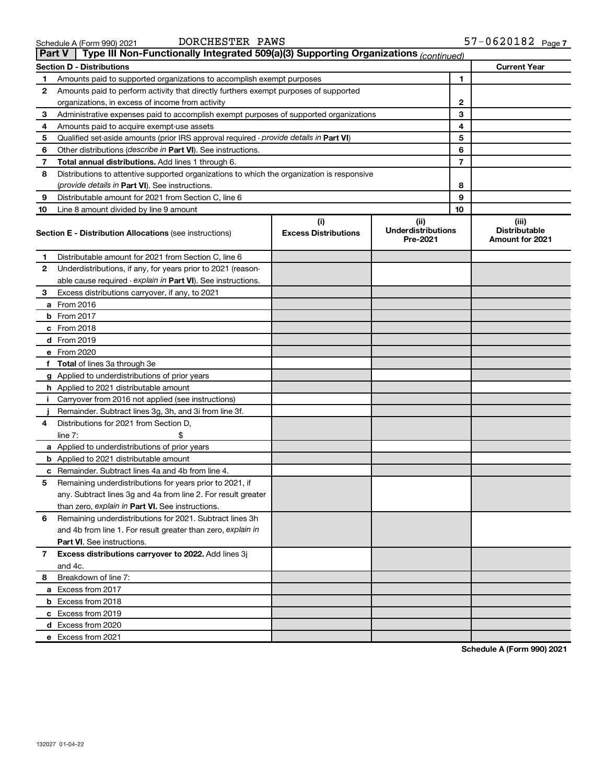|--|

#### Schedule A (Form 990) 2021 DORCHESTER PAWS 5/−06Z0182 Page DORCHESTER PAWS

| <b>Part V</b> | Type III Non-Functionally Integrated 509(a)(3) Supporting Organizations (continued)        |                             |                                       |                          |                                                |
|---------------|--------------------------------------------------------------------------------------------|-----------------------------|---------------------------------------|--------------------------|------------------------------------------------|
|               | <b>Section D - Distributions</b>                                                           |                             |                                       |                          | <b>Current Year</b>                            |
| 1             | Amounts paid to supported organizations to accomplish exempt purposes                      |                             |                                       | 1                        |                                                |
| 2             | Amounts paid to perform activity that directly furthers exempt purposes of supported       |                             |                                       |                          |                                                |
|               | organizations, in excess of income from activity                                           |                             |                                       | 2                        |                                                |
| 3             | Administrative expenses paid to accomplish exempt purposes of supported organizations      |                             |                                       | 3                        |                                                |
| 4             | Amounts paid to acquire exempt-use assets                                                  |                             |                                       | 4                        |                                                |
| 5             | Qualified set-aside amounts (prior IRS approval required - provide details in Part VI)     |                             |                                       | 5                        |                                                |
| 6             | Other distributions (describe in Part VI). See instructions.                               |                             |                                       | 6                        |                                                |
| 7             | Total annual distributions. Add lines 1 through 6.                                         |                             |                                       | $\overline{\phantom{a}}$ |                                                |
| 8             | Distributions to attentive supported organizations to which the organization is responsive |                             |                                       |                          |                                                |
|               | (provide details in Part VI). See instructions.                                            |                             |                                       | 8                        |                                                |
| 9             | Distributable amount for 2021 from Section C, line 6                                       |                             |                                       | 9                        |                                                |
| 10            | Line 8 amount divided by line 9 amount                                                     |                             |                                       | 10                       |                                                |
|               |                                                                                            | (i)                         | (iii)                                 |                          | (iii)                                          |
|               | <b>Section E - Distribution Allocations (see instructions)</b>                             | <b>Excess Distributions</b> | <b>Underdistributions</b><br>Pre-2021 |                          | <b>Distributable</b><br><b>Amount for 2021</b> |
| 1             | Distributable amount for 2021 from Section C, line 6                                       |                             |                                       |                          |                                                |
| 2             | Underdistributions, if any, for years prior to 2021 (reason-                               |                             |                                       |                          |                                                |
|               | able cause required - explain in Part VI). See instructions.                               |                             |                                       |                          |                                                |
| 3             | Excess distributions carryover, if any, to 2021                                            |                             |                                       |                          |                                                |
|               | a From 2016                                                                                |                             |                                       |                          |                                                |
|               | <b>b</b> From 2017                                                                         |                             |                                       |                          |                                                |
|               | c From 2018                                                                                |                             |                                       |                          |                                                |
|               | d From 2019                                                                                |                             |                                       |                          |                                                |
|               | e From 2020                                                                                |                             |                                       |                          |                                                |
|               | f Total of lines 3a through 3e                                                             |                             |                                       |                          |                                                |
|               | g Applied to underdistributions of prior years                                             |                             |                                       |                          |                                                |
|               | <b>h</b> Applied to 2021 distributable amount                                              |                             |                                       |                          |                                                |
| j.            | Carryover from 2016 not applied (see instructions)                                         |                             |                                       |                          |                                                |
|               | Remainder. Subtract lines 3g, 3h, and 3i from line 3f.                                     |                             |                                       |                          |                                                |
| 4             | Distributions for 2021 from Section D,                                                     |                             |                                       |                          |                                                |
|               | line $7:$                                                                                  |                             |                                       |                          |                                                |
|               | a Applied to underdistributions of prior years                                             |                             |                                       |                          |                                                |
|               | <b>b</b> Applied to 2021 distributable amount                                              |                             |                                       |                          |                                                |
|               | c Remainder. Subtract lines 4a and 4b from line 4.                                         |                             |                                       |                          |                                                |
| 5             | Remaining underdistributions for years prior to 2021, if                                   |                             |                                       |                          |                                                |
|               | any. Subtract lines 3g and 4a from line 2. For result greater                              |                             |                                       |                          |                                                |
|               | than zero, explain in Part VI. See instructions.                                           |                             |                                       |                          |                                                |
| 6             | Remaining underdistributions for 2021. Subtract lines 3h                                   |                             |                                       |                          |                                                |
|               | and 4b from line 1. For result greater than zero, explain in                               |                             |                                       |                          |                                                |
|               | <b>Part VI.</b> See instructions.                                                          |                             |                                       |                          |                                                |
| 7             | Excess distributions carryover to 2022. Add lines 3j                                       |                             |                                       |                          |                                                |
|               | and 4c.                                                                                    |                             |                                       |                          |                                                |
| 8             | Breakdown of line 7:                                                                       |                             |                                       |                          |                                                |
|               | a Excess from 2017                                                                         |                             |                                       |                          |                                                |
|               | <b>b</b> Excess from 2018                                                                  |                             |                                       |                          |                                                |
|               | c Excess from 2019                                                                         |                             |                                       |                          |                                                |
|               | d Excess from 2020                                                                         |                             |                                       |                          |                                                |
|               | e Excess from 2021                                                                         |                             |                                       |                          |                                                |
|               |                                                                                            |                             |                                       |                          |                                                |

**Schedule A (Form 990) 2021**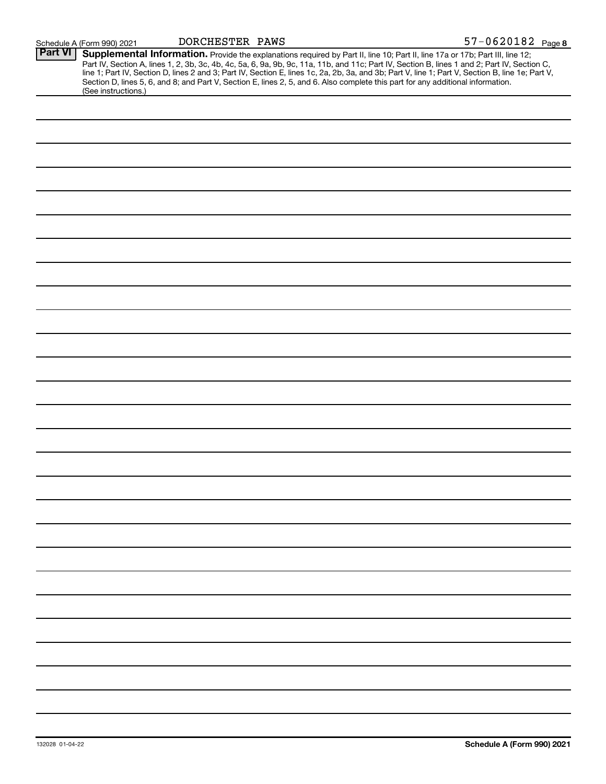|  | Schedule A (Form 990) 2021 | DORCHESTER PAWS | 57-0620182 <sub>Page</sub> 8 |
|--|----------------------------|-----------------|------------------------------|
|--|----------------------------|-----------------|------------------------------|

| <b>Part VI</b> | Supplemental Information. Provide the explanations required by Part II, line 10; Part II, line 17a or 17b; Part III, line 12;                                                                                                                                                                    |
|----------------|--------------------------------------------------------------------------------------------------------------------------------------------------------------------------------------------------------------------------------------------------------------------------------------------------|
|                | Part IV, Section A, lines 1, 2, 3b, 3c, 4b, 4c, 5a, 6, 9a, 9b, 9c, 11a, 11b, and 11c; Part IV, Section B, lines 1 and 2; Part IV, Section C,<br>line 1; Part IV, Section D, lines 2 and 3; Part IV, Section E, lines 1c, 2a, 2b, 3a, and 3b; Part V, line 1; Part V, Section B, line 1e; Part V, |
|                | Section D, lines 5, 6, and 8; and Part V, Section E, lines 2, 5, and 6. Also complete this part for any additional information.<br>(See instructions.)                                                                                                                                           |
|                |                                                                                                                                                                                                                                                                                                  |
|                |                                                                                                                                                                                                                                                                                                  |
|                |                                                                                                                                                                                                                                                                                                  |
|                |                                                                                                                                                                                                                                                                                                  |
|                |                                                                                                                                                                                                                                                                                                  |
|                |                                                                                                                                                                                                                                                                                                  |
|                |                                                                                                                                                                                                                                                                                                  |
|                |                                                                                                                                                                                                                                                                                                  |
|                |                                                                                                                                                                                                                                                                                                  |
|                |                                                                                                                                                                                                                                                                                                  |
|                |                                                                                                                                                                                                                                                                                                  |
|                |                                                                                                                                                                                                                                                                                                  |
|                |                                                                                                                                                                                                                                                                                                  |
|                |                                                                                                                                                                                                                                                                                                  |
|                |                                                                                                                                                                                                                                                                                                  |
|                |                                                                                                                                                                                                                                                                                                  |
|                |                                                                                                                                                                                                                                                                                                  |
|                |                                                                                                                                                                                                                                                                                                  |
|                |                                                                                                                                                                                                                                                                                                  |
|                |                                                                                                                                                                                                                                                                                                  |
|                |                                                                                                                                                                                                                                                                                                  |
|                |                                                                                                                                                                                                                                                                                                  |
|                |                                                                                                                                                                                                                                                                                                  |
|                |                                                                                                                                                                                                                                                                                                  |
|                |                                                                                                                                                                                                                                                                                                  |
|                |                                                                                                                                                                                                                                                                                                  |
|                |                                                                                                                                                                                                                                                                                                  |
|                |                                                                                                                                                                                                                                                                                                  |
|                |                                                                                                                                                                                                                                                                                                  |
|                |                                                                                                                                                                                                                                                                                                  |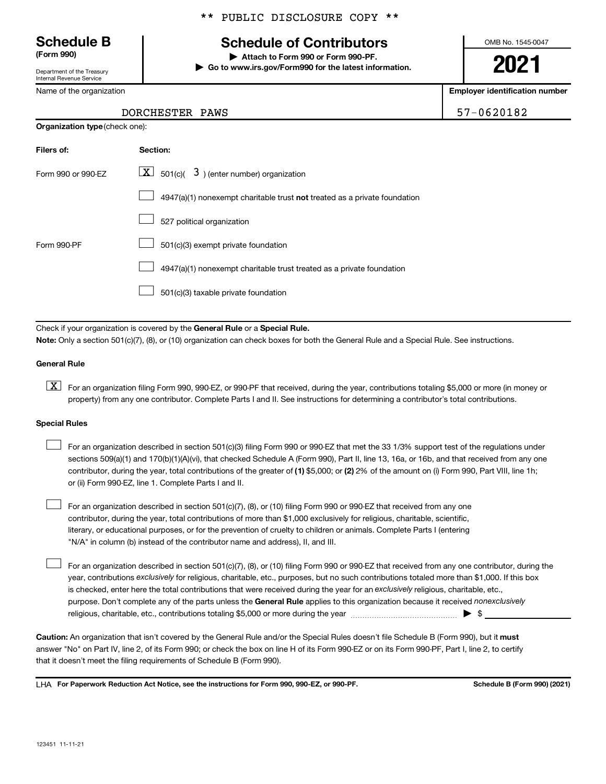Department of the Treasury Internal Revenue Service

Name of the organization

**Organization type** (check one):

### \*\* PUBLIC DISCLOSURE COPY \*\*

# **Schedule B Schedule of Contributors**

**(Form 990) | Attach to Form 990 or Form 990-PF. | Go to www.irs.gov/Form990 for the latest information.** OMB No. 1545-0047

**2021**

**Employer identification number**

57-0620182

| DORCHESTER PAWS |  |
|-----------------|--|
|-----------------|--|

| Filers of:         | Section:                                                                  |
|--------------------|---------------------------------------------------------------------------|
| Form 990 or 990-FZ | $\lfloor \mathbf{X} \rfloor$ 501(c)( 3) (enter number) organization       |
|                    | 4947(a)(1) nonexempt charitable trust not treated as a private foundation |
|                    | 527 political organization                                                |
| Form 990-PF        | 501(c)(3) exempt private foundation                                       |
|                    | 4947(a)(1) nonexempt charitable trust treated as a private foundation     |
|                    | 501(c)(3) taxable private foundation                                      |

Check if your organization is covered by the General Rule or a Special Rule.

**Note:**  Only a section 501(c)(7), (8), or (10) organization can check boxes for both the General Rule and a Special Rule. See instructions.

#### **General Rule**

**K** For an organization filing Form 990, 990-EZ, or 990-PF that received, during the year, contributions totaling \$5,000 or more (in money or property) from any one contributor. Complete Parts I and II. See instructions for determining a contributor's total contributions.

#### **Special Rules**

 $\Box$ 

contributor, during the year, total contributions of the greater of (1) \$5,000; or (2) 2% of the amount on (i) Form 990, Part VIII, line 1h; For an organization described in section 501(c)(3) filing Form 990 or 990-EZ that met the 33 1/3% support test of the regulations under sections 509(a)(1) and 170(b)(1)(A)(vi), that checked Schedule A (Form 990), Part II, line 13, 16a, or 16b, and that received from any one or (ii) Form 990-EZ, line 1. Complete Parts I and II.  $\Box$ 

For an organization described in section 501(c)(7), (8), or (10) filing Form 990 or 990-EZ that received from any one contributor, during the year, total contributions of more than \$1,000 exclusively for religious, charitable, scientific, literary, or educational purposes, or for the prevention of cruelty to children or animals. Complete Parts I (entering "N/A" in column (b) instead of the contributor name and address), II, and III.  $\Box$ 

purpose. Don't complete any of the parts unless the General Rule applies to this organization because it received nonexclusively year, contributions exclusively for religious, charitable, etc., purposes, but no such contributions totaled more than \$1,000. If this box is checked, enter here the total contributions that were received during the year for an exclusively religious, charitable, etc., For an organization described in section 501(c)(7), (8), or (10) filing Form 990 or 990-EZ that received from any one contributor, during the religious, charitable, etc., contributions totaling \$5,000 or more during the year  $\ldots$  $\ldots$  $\ldots$  $\ldots$  $\ldots$  $\ldots$ 

Caution: An organization that isn't covered by the General Rule and/or the Special Rules doesn't file Schedule B (Form 990), but it must answer "No" on Part IV, line 2, of its Form 990; or check the box on line H of its Form 990-EZ or on its Form 990-PF, Part I, line 2, to certify that it doesn't meet the filing requirements of Schedule B (Form 990).

LHA For Paperwork Reduction Act Notice, see the instructions for Form 990, 990-EZ, or 990-PF. **Schell B (Form 990)** (2021)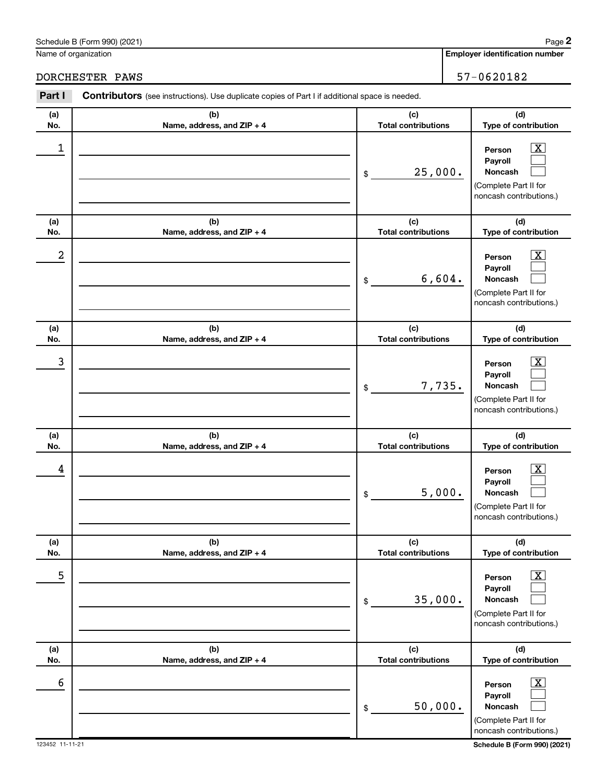**Person Payroll Noncash**

50,000.

\$

 $\overline{6}$  Person  $\overline{X}$ 

|            | Schedule B (Form 990) (2021)<br>Name of organization                                           | Page<br><b>Employer identification number</b>                                                                             |
|------------|------------------------------------------------------------------------------------------------|---------------------------------------------------------------------------------------------------------------------------|
|            | DORCHESTER PAWS                                                                                | 57-0620182                                                                                                                |
| Part I     | Contributors (see instructions). Use duplicate copies of Part I if additional space is needed. |                                                                                                                           |
| (a)<br>No. | (b)<br>Name, address, and ZIP + 4                                                              | (d)<br>(c)<br><b>Total contributions</b><br>Type of contribution                                                          |
| 1          |                                                                                                | x<br>Person<br>Payroll<br>25,000.<br>Noncash<br>\$<br>(Complete Part II for<br>noncash contributions.)                    |
| (a)<br>No. | (b)<br>Name, address, and ZIP + 4                                                              | (c)<br>(d)<br><b>Total contributions</b><br>Type of contribution                                                          |
| 2          |                                                                                                | Person<br>Payroll<br>6,604.<br>Noncash<br>\$<br>(Complete Part II for<br>noncash contributions.)                          |
| (a)<br>No. | (b)<br>Name, address, and ZIP + 4                                                              | (c)<br>(d)<br><b>Total contributions</b><br>Type of contribution                                                          |
| 3          |                                                                                                | Person<br>Payroll<br>7,735.<br>Noncash<br>\$<br>(Complete Part II for<br>noncash contributions.)                          |
| (a)<br>No. | (b)<br>Name, address, and ZIP + 4                                                              | (d)<br>(c)<br><b>Total contributions</b><br>Type of contribution                                                          |
| 4          |                                                                                                | $\overline{\text{X}}$<br>Person<br>Payroll<br>5,000.<br>Noncash<br>\$<br>(Complete Part II for<br>noncash contributions.) |
| (a)<br>No. | (b)<br>Name, address, and ZIP + 4                                                              | (d)<br>(c)<br><b>Total contributions</b><br>Type of contribution                                                          |
| 5          |                                                                                                | X<br>Person<br>Payroll<br>35,000.<br>Noncash<br>\$<br>(Complete Part II for<br>noncash contributions.)                    |
| (a)<br>No. | (b)<br>Name, address, and ZIP + 4                                                              | (d)<br>(c)<br><b>Total contributions</b><br>Type of contribution                                                          |

 $\boxed{\text{X}}$  $\Box$  $\Box$ 

**2**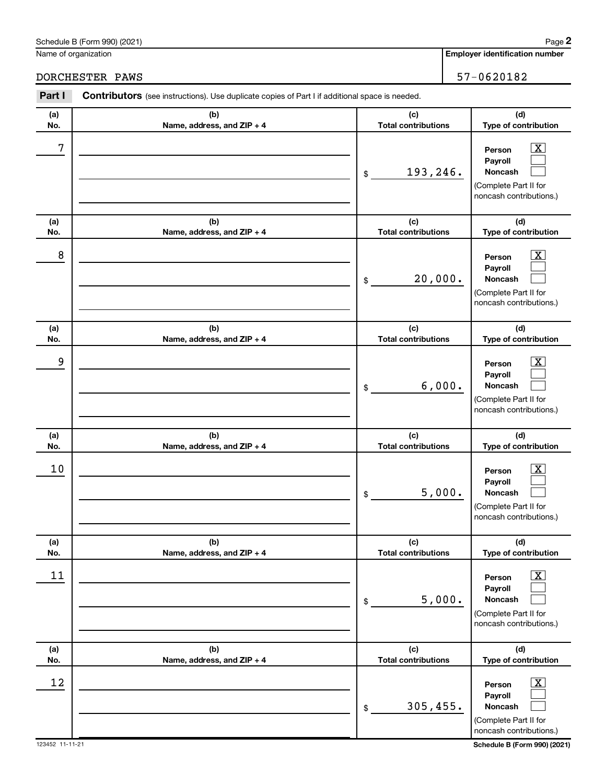**(d) Type of contribution**

(Complete Part II for noncash contributions.)

> $\boxed{\text{X}}$  $\Box$  $\Box$

> $\boxed{\text{X}}$  $\Box$  $\Box$

**2**

**Person Payroll Noncash**

**Person Payroll Noncash**

**(c) Total contributions**

5,000.

305,455.

\$

\$

 $\begin{array}{|c|c|c|c|c|}\hline \text{12} & \text{Person} & \text{X} \\\hline \end{array}$ 

**(a) No.**

|            | Schedule B (Form 990) (2021)<br>Name of organization                                           |                                   | Page<br><b>Employer identification number</b>                                                                    |
|------------|------------------------------------------------------------------------------------------------|-----------------------------------|------------------------------------------------------------------------------------------------------------------|
|            |                                                                                                |                                   |                                                                                                                  |
|            | DORCHESTER PAWS                                                                                |                                   | 57-0620182                                                                                                       |
| Part I     | Contributors (see instructions). Use duplicate copies of Part I if additional space is needed. |                                   |                                                                                                                  |
| (a)<br>No. | (b)<br>Name, address, and ZIP + 4                                                              | (c)<br><b>Total contributions</b> | (d)<br>Type of contribution                                                                                      |
| 7          |                                                                                                | 193,246.<br>\$                    | $\overline{\text{X}}$<br>Person<br>Payroll<br>Noncash<br>(Complete Part II for<br>noncash contributions.)        |
| (a)<br>No. | (b)<br>Name, address, and ZIP + 4                                                              | (c)<br><b>Total contributions</b> | (d)<br>Type of contribution                                                                                      |
| 8          |                                                                                                | 20,000.<br>\$                     | $\overline{\text{X}}$<br>Person<br>Payroll<br><b>Noncash</b><br>(Complete Part II for<br>noncash contributions.) |
| (a)<br>No. | (b)<br>Name, address, and ZIP + 4                                                              | (c)<br><b>Total contributions</b> | (d)<br>Type of contribution                                                                                      |
| 9          |                                                                                                | 6,000.<br>\$                      | $\overline{\text{X}}$<br>Person<br>Payroll<br><b>Noncash</b><br>(Complete Part II for<br>noncash contributions.) |
| (a)<br>No. | (b)<br>Name, address, and ZIP + 4                                                              | (c)<br><b>Total contributions</b> | (d)<br>Type of contribution                                                                                      |
| 10         |                                                                                                | 5,000.<br>\$                      | $\overline{\textbf{X}}$<br>Person<br>Payroll<br>Noncash<br>(Complete Part II for<br>noncash contributions.)      |
| (a)<br>No. | (b)<br>Name, address, and ZIP + 4                                                              | (c)<br><b>Total contributions</b> | (d)<br>Type of contribution                                                                                      |
| 11         |                                                                                                |                                   | $\boxed{\text{X}}$<br>Person                                                                                     |

**(b) Name, address, and ZIP + 4**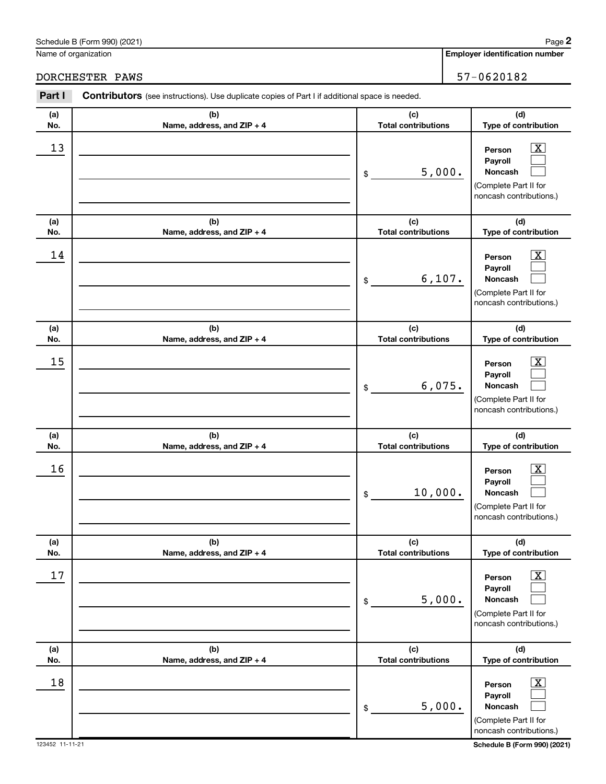**Person Payroll Noncash**

5,000.

\$

 $\begin{array}{|c|c|c|c|c|c|}\hline \text{18} & \text{Person} & \text{X} \\\hline \end{array}$ 

|            | Schedule B (Form 990) (2021)<br>Name of organization                                           |                                   |                             | Page<br><b>Employer identification number</b>                                         |  |  |
|------------|------------------------------------------------------------------------------------------------|-----------------------------------|-----------------------------|---------------------------------------------------------------------------------------|--|--|
|            | DORCHESTER PAWS                                                                                |                                   |                             | 57-0620182                                                                            |  |  |
| Part I     | Contributors (see instructions). Use duplicate copies of Part I if additional space is needed. |                                   |                             |                                                                                       |  |  |
| (a)<br>No. | (b)<br>Name, address, and ZIP + 4                                                              | (c)<br><b>Total contributions</b> |                             | (d)<br>Type of contribution                                                           |  |  |
| 13         |                                                                                                | 5,000.<br>\$                      |                             | x<br>Person<br>Payroll<br>Noncash<br>(Complete Part II for<br>noncash contributions.) |  |  |
| (a)<br>No. | (b)<br>Name, address, and ZIP + 4                                                              | (c)<br><b>Total contributions</b> |                             | (d)<br>Type of contribution                                                           |  |  |
| 14         |                                                                                                | 6,107.<br>\$                      |                             | x<br>Person<br>Payroll<br>Noncash<br>(Complete Part II for<br>noncash contributions.) |  |  |
| (a)<br>No. | (b)<br>Name, address, and ZIP + 4                                                              | (c)<br><b>Total contributions</b> |                             | (d)<br>Type of contribution                                                           |  |  |
| 15         |                                                                                                | 6,075.<br>\$                      |                             | x<br>Person<br>Payroll<br>Noncash<br>(Complete Part II for<br>noncash contributions.) |  |  |
| (a)<br>No. | (b)<br>Name, address, and ZIP + 4                                                              | (c)<br><b>Total contributions</b> |                             | (d)<br>Type of contribution                                                           |  |  |
| 16         |                                                                                                | 10,000.<br>\$                     |                             | Person<br>Payroll<br>Noncash<br>(Complete Part II for<br>noncash contributions.)      |  |  |
| (a)<br>No. | (b)<br>Name, address, and ZIP + 4                                                              | (c)<br><b>Total contributions</b> |                             | (d)<br>Type of contribution                                                           |  |  |
| 17         |                                                                                                | 5,000.<br>\$                      |                             | Person<br>Payroll<br>Noncash<br>(Complete Part II for<br>noncash contributions.)      |  |  |
| (a)<br>No. | (b)<br>Name, address, and ZIP + 4                                                              | (c)<br><b>Total contributions</b> | (d)<br>Type of contribution |                                                                                       |  |  |

**Employer identification number 2**

 $\boxed{\text{X}}$  $\Box$  $\Box$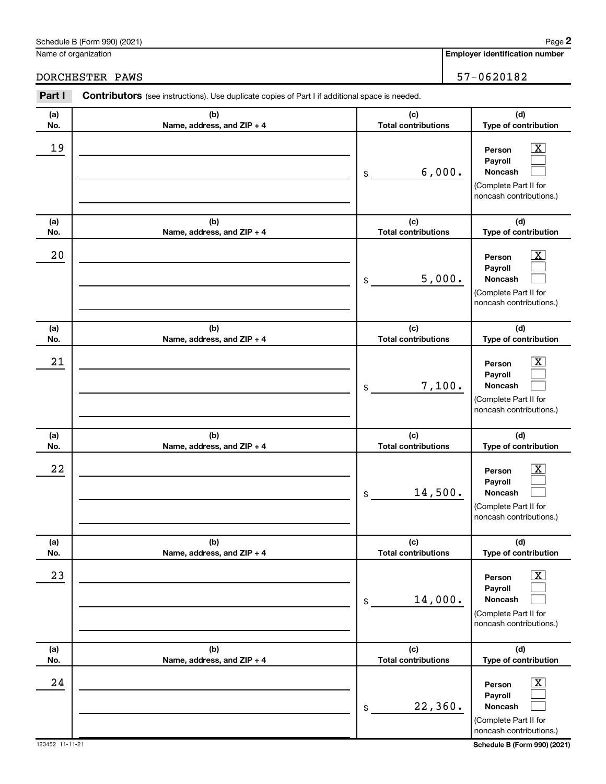**(d) Type of contribution**

**(a) No.**

|            | Schedule B (Form 990) (2021)<br>Name of organization                                                  |                                   | Page<br><b>Employer identification number</b>                                                                    |
|------------|-------------------------------------------------------------------------------------------------------|-----------------------------------|------------------------------------------------------------------------------------------------------------------|
|            | DORCHESTER PAWS                                                                                       |                                   | 57-0620182                                                                                                       |
| Part I     | <b>Contributors</b> (see instructions). Use duplicate copies of Part I if additional space is needed. |                                   |                                                                                                                  |
| (a)<br>No. | (b)<br>Name, address, and ZIP + 4                                                                     | (c)<br><b>Total contributions</b> | (d)<br>Type of contribution                                                                                      |
| 19         |                                                                                                       | 6,000.<br>\$                      | $\overline{\text{X}}$<br>Person<br>Payroll<br><b>Noncash</b><br>(Complete Part II for<br>noncash contributions.) |
| (a)<br>No. | (b)<br>Name, address, and ZIP + 4                                                                     | (c)<br><b>Total contributions</b> | (d)<br>Type of contribution                                                                                      |
| 20         |                                                                                                       | 5,000.<br>\$                      | $\overline{\text{X}}$<br>Person<br>Payroll<br><b>Noncash</b><br>(Complete Part II for<br>noncash contributions.) |
| (a)<br>No. | (b)<br>Name, address, and ZIP + 4                                                                     | (c)<br><b>Total contributions</b> | (d)<br>Type of contribution                                                                                      |
| 21         |                                                                                                       | 7,100.<br>\$                      | x<br>Person<br>Payroll<br><b>Noncash</b><br>(Complete Part II for<br>noncash contributions.)                     |
| (a)<br>No. | (b)<br>Name, address, and ZIP + 4                                                                     | (c)<br><b>Total contributions</b> | (d)<br>Type of contribution                                                                                      |
| 22         |                                                                                                       | 14,500.<br>\$                     | x<br>Person<br>Pavroll<br>Noncash<br>(Complete Part II for<br>noncash contributions.)                            |
| (a)<br>No. | (b)<br>Name, address, and ZIP + 4                                                                     | (c)<br><b>Total contributions</b> | (d)<br>Type of contribution                                                                                      |
| 23         |                                                                                                       | 14,000.<br>\$                     | $\overline{\textbf{x}}$<br>Person<br>Payroll<br>Noncash<br>(Complete Part II for<br>noncash contributions.)      |

**(b) Name, address, and ZIP + 4**

**Person Payroll Noncash**

**(c) Total contributions**

22,360.

\$

 $24$  Person  $\overline{\text{X}}$ 

> $\boxed{\text{X}}$  $\Box$  $\Box$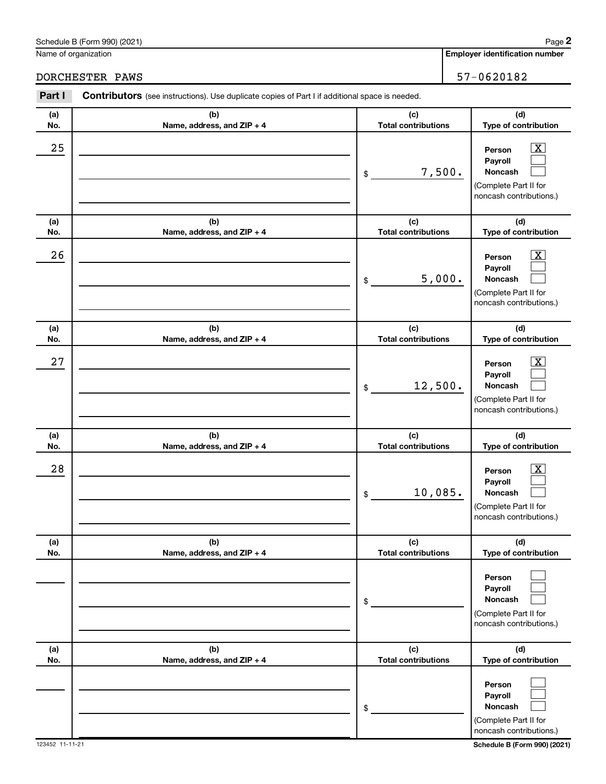#### Schedule B (Form 990) (2021)

Name of organization

**Employer identification number**

DORCHESTER PAWS 37-0620182

| Part I     | Contributors (see instructions). Use duplicate copies of Part I if additional space is needed. |                                   |                                                                                                           |  |  |  |
|------------|------------------------------------------------------------------------------------------------|-----------------------------------|-----------------------------------------------------------------------------------------------------------|--|--|--|
| (a)<br>No. | (b)<br>Name, address, and ZIP + 4                                                              | (c)<br><b>Total contributions</b> | (d)<br>Type of contribution                                                                               |  |  |  |
| 25         |                                                                                                | 7,500.<br>\$                      | $\overline{\text{X}}$<br>Person<br>Payroll<br>Noncash<br>(Complete Part II for<br>noncash contributions.) |  |  |  |
| (a)<br>No. | (b)<br>Name, address, and ZIP + 4                                                              | (c)<br><b>Total contributions</b> | (d)<br>Type of contribution                                                                               |  |  |  |
| 26         |                                                                                                | 5,000.<br>\$                      | x<br>Person<br>Payroll<br>Noncash<br>(Complete Part II for<br>noncash contributions.)                     |  |  |  |
| (a)<br>No. | (b)<br>Name, address, and ZIP + 4                                                              | (c)<br><b>Total contributions</b> | (d)<br>Type of contribution                                                                               |  |  |  |
| 27         |                                                                                                | 12,500.<br>\$                     | X<br>Person<br>Payroll<br>Noncash<br>(Complete Part II for<br>noncash contributions.)                     |  |  |  |
| (a)<br>No. | (b)<br>Name, address, and ZIP + 4                                                              | (c)<br><b>Total contributions</b> | (d)<br>Type of contribution                                                                               |  |  |  |
| 28         |                                                                                                | 10,085.<br>\$                     | x<br>Person<br>Payroll<br>Noncash<br>(Complete Part II for<br>noncash contributions.)                     |  |  |  |
| (a)<br>No. | (b)<br>Name, address, and ZIP + 4                                                              | (c)<br><b>Total contributions</b> | (d)<br>Type of contribution                                                                               |  |  |  |
|            |                                                                                                | \$                                | Person<br>Payroll<br>Noncash<br>(Complete Part II for<br>noncash contributions.)                          |  |  |  |
| (a)<br>No. | (b)<br>Name, address, and ZIP + 4                                                              | (c)<br><b>Total contributions</b> | (d)<br>Type of contribution                                                                               |  |  |  |
|            |                                                                                                | \$                                | Person<br>Payroll<br>Noncash<br>(Complete Part II for<br>noncash contributions.)                          |  |  |  |

**2**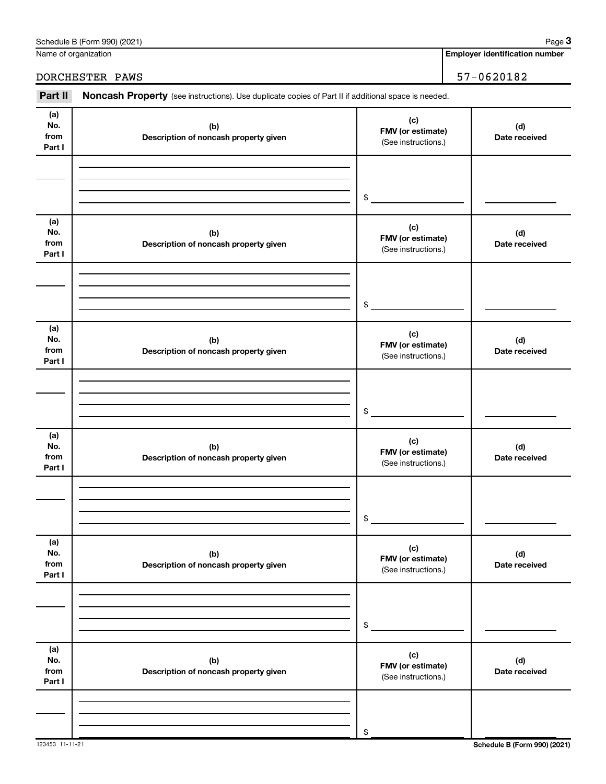| Part II                      | Noncash Property (see instructions). Use duplicate copies of Part II if additional space is needed. |                                                 |                      |  |  |  |
|------------------------------|-----------------------------------------------------------------------------------------------------|-------------------------------------------------|----------------------|--|--|--|
| (a)<br>No.<br>from<br>Part I | (b)<br>Description of noncash property given                                                        | (c)<br>FMV (or estimate)<br>(See instructions.) | (d)<br>Date received |  |  |  |
|                              |                                                                                                     | \$                                              |                      |  |  |  |
| (a)<br>No.<br>from<br>Part I | (b)<br>Description of noncash property given                                                        | (c)<br>FMV (or estimate)<br>(See instructions.) | (d)<br>Date received |  |  |  |
|                              |                                                                                                     | \$                                              |                      |  |  |  |
| (a)<br>No.<br>from<br>Part I | (b)<br>Description of noncash property given                                                        | (c)<br>FMV (or estimate)<br>(See instructions.) | (d)<br>Date received |  |  |  |
|                              |                                                                                                     | \$                                              |                      |  |  |  |
| (a)<br>No.<br>from<br>Part I | (b)<br>Description of noncash property given                                                        | (c)<br>FMV (or estimate)<br>(See instructions.) | (d)<br>Date received |  |  |  |
|                              |                                                                                                     | \$                                              |                      |  |  |  |
| (a)<br>No.<br>from<br>Part I | (b)<br>Description of noncash property given                                                        | (c)<br>FMV (or estimate)<br>(See instructions.) | (d)<br>Date received |  |  |  |
|                              |                                                                                                     | \$                                              |                      |  |  |  |
| (a)<br>No.<br>from<br>Part I | (b)<br>Description of noncash property given                                                        | (c)<br>FMV (or estimate)<br>(See instructions.) | (d)<br>Date received |  |  |  |
|                              |                                                                                                     | \$                                              |                      |  |  |  |

DORCHESTER PAWS 37-0620182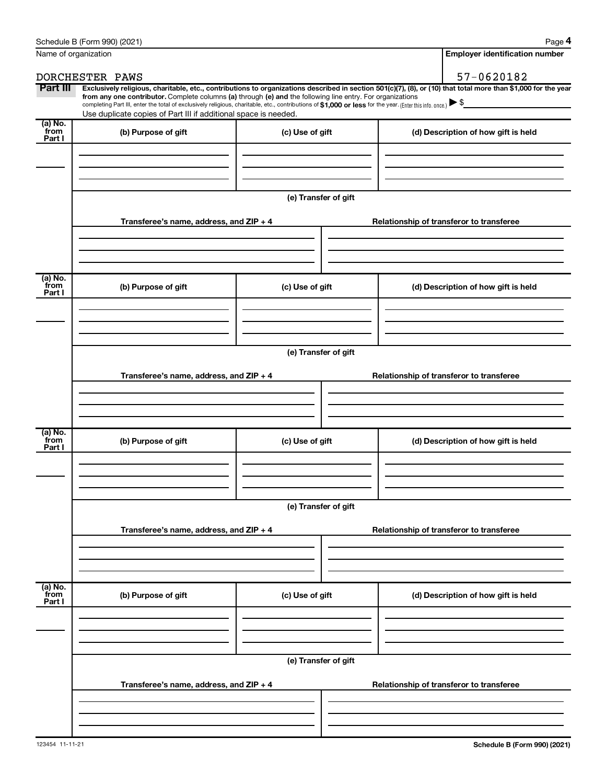|                           | Schedule B (Form 990) (2021)                                                                                                                                                                                                                                                 |                      |                                     | Page 4                                   |
|---------------------------|------------------------------------------------------------------------------------------------------------------------------------------------------------------------------------------------------------------------------------------------------------------------------|----------------------|-------------------------------------|------------------------------------------|
| Name of organization      |                                                                                                                                                                                                                                                                              |                      |                                     | <b>Employer identification number</b>    |
|                           | DORCHESTER PAWS                                                                                                                                                                                                                                                              |                      |                                     | 57-0620182                               |
| Part III                  | Exclusively religious, charitable, etc., contributions to organizations described in section 501(c)(7), (8), or (10) that total more than \$1,000 for the year<br>from any one contributor. Complete columns (a) through (e) and the following line entry. For organizations |                      |                                     |                                          |
|                           | completing Part III, enter the total of exclusively religious, charitable, etc., contributions of \$1,000 or less for the year. (Enter this info. once.)                                                                                                                     |                      |                                     |                                          |
| (a) No.                   | Use duplicate copies of Part III if additional space is needed.                                                                                                                                                                                                              |                      |                                     |                                          |
| from<br>Part I            | (b) Purpose of gift                                                                                                                                                                                                                                                          | (c) Use of gift      |                                     | (d) Description of how gift is held      |
|                           |                                                                                                                                                                                                                                                                              | (e) Transfer of gift |                                     |                                          |
|                           |                                                                                                                                                                                                                                                                              |                      |                                     |                                          |
|                           | Transferee's name, address, and ZIP + 4                                                                                                                                                                                                                                      |                      |                                     | Relationship of transferor to transferee |
|                           |                                                                                                                                                                                                                                                                              |                      |                                     |                                          |
|                           |                                                                                                                                                                                                                                                                              |                      |                                     |                                          |
|                           |                                                                                                                                                                                                                                                                              |                      |                                     |                                          |
| (a) No.<br>from<br>Part I | (b) Purpose of gift                                                                                                                                                                                                                                                          | (c) Use of gift      | (d) Description of how gift is held |                                          |
|                           |                                                                                                                                                                                                                                                                              |                      |                                     |                                          |
|                           |                                                                                                                                                                                                                                                                              |                      |                                     |                                          |
|                           |                                                                                                                                                                                                                                                                              | (e) Transfer of gift |                                     |                                          |
|                           | Transferee's name, address, and ZIP + 4                                                                                                                                                                                                                                      |                      |                                     | Relationship of transferor to transferee |
|                           |                                                                                                                                                                                                                                                                              |                      |                                     |                                          |
|                           |                                                                                                                                                                                                                                                                              |                      |                                     |                                          |
| (a) No.<br>from<br>Part I | (b) Purpose of gift                                                                                                                                                                                                                                                          | (c) Use of gift      |                                     | (d) Description of how gift is held      |
|                           |                                                                                                                                                                                                                                                                              |                      |                                     |                                          |
|                           |                                                                                                                                                                                                                                                                              |                      |                                     |                                          |
|                           |                                                                                                                                                                                                                                                                              |                      |                                     |                                          |
|                           |                                                                                                                                                                                                                                                                              | (e) Transfer of gift |                                     |                                          |
|                           | Transferee's name, address, and ZIP + 4                                                                                                                                                                                                                                      |                      |                                     | Relationship of transferor to transferee |
|                           |                                                                                                                                                                                                                                                                              |                      |                                     |                                          |
|                           |                                                                                                                                                                                                                                                                              |                      |                                     |                                          |
|                           |                                                                                                                                                                                                                                                                              |                      |                                     |                                          |

**Transferee's name, address, and ZIP + 4 Relationship of transferor to transferee (a) No. from Part I (b) Purpose of gift (c) Use of gift (d) Description of how gift is held (e) Transfer of gift Transferee's name, address, and ZIP + 4 Relationship of transferor to transferee**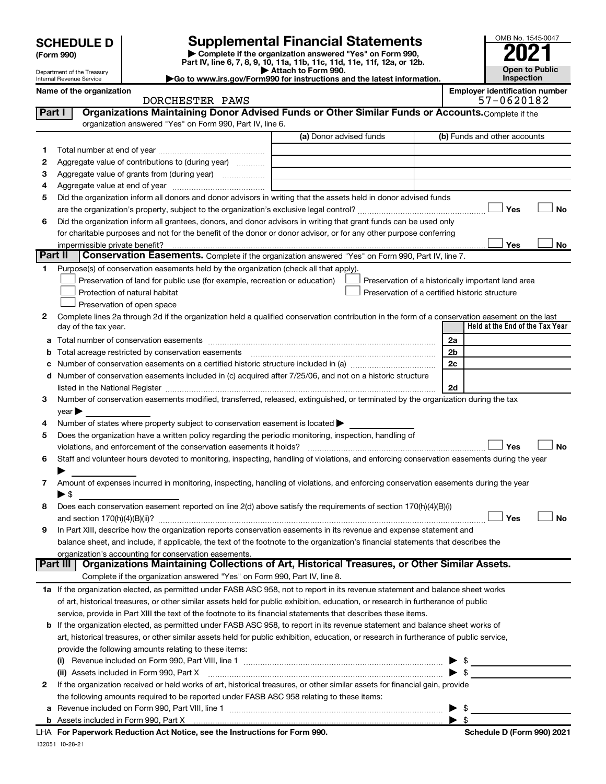Department of the Treasury Internal Revenue Service

| (Form 990) |
|------------|
|            |

**| Complete if the organization answered "Yes" on Form 990, Part IV, line 6, 7, 8, 9, 10, 11a, 11b, 11c, 11d, 11e, 11f, 12a, or 12b. SCHEDULE D Supplemental Financial Statements**<br> **Form 990 Example 5 2021**<br>
Part IV. line 6, 7, 8, 9, 10, 11a, 11b, 11c, 11d, 11e, 11f, 12a, or 12b.

**| Attach to Form 990. |Go to www.irs.gov/Form990 for instructions and the latest information.**

| OMB No. 1545-0047     |
|-----------------------|
|                       |
| 2021                  |
|                       |
| <b>Open to Public</b> |
| Inspection            |

**Name of the organization is a set of the organization is a set of the organization** number identification number

|         | ivalile vi tile vi yahizativil<br>DORCHESTER PAWS                                                                                                                                                                             |                         | Linpioyer identification number<br>57-0620182      |
|---------|-------------------------------------------------------------------------------------------------------------------------------------------------------------------------------------------------------------------------------|-------------------------|----------------------------------------------------|
| Part I  | Organizations Maintaining Donor Advised Funds or Other Similar Funds or Accounts. Complete if the                                                                                                                             |                         |                                                    |
|         | organization answered "Yes" on Form 990, Part IV, line 6.                                                                                                                                                                     |                         |                                                    |
|         |                                                                                                                                                                                                                               | (a) Donor advised funds | (b) Funds and other accounts                       |
| 1.      |                                                                                                                                                                                                                               |                         |                                                    |
| 2       | Aggregate value of contributions to (during year)                                                                                                                                                                             |                         |                                                    |
| З       | Aggregate value of grants from (during year)                                                                                                                                                                                  |                         |                                                    |
| 4       |                                                                                                                                                                                                                               |                         |                                                    |
| 5       | Did the organization inform all donors and donor advisors in writing that the assets held in donor advised funds                                                                                                              |                         |                                                    |
|         |                                                                                                                                                                                                                               |                         | Yes<br>No                                          |
| 6       | Did the organization inform all grantees, donors, and donor advisors in writing that grant funds can be used only                                                                                                             |                         |                                                    |
|         | for charitable purposes and not for the benefit of the donor or donor advisor, or for any other purpose conferring                                                                                                            |                         |                                                    |
|         | impermissible private benefit?                                                                                                                                                                                                |                         | Yes<br>No                                          |
| Part II | Conservation Easements. Complete if the organization answered "Yes" on Form 990, Part IV, line 7.                                                                                                                             |                         |                                                    |
| 1.      | Purpose(s) of conservation easements held by the organization (check all that apply).                                                                                                                                         |                         |                                                    |
|         | Preservation of land for public use (for example, recreation or education)                                                                                                                                                    |                         | Preservation of a historically important land area |
|         | Protection of natural habitat                                                                                                                                                                                                 |                         | Preservation of a certified historic structure     |
|         | Preservation of open space                                                                                                                                                                                                    |                         |                                                    |
| 2       | Complete lines 2a through 2d if the organization held a qualified conservation contribution in the form of a conservation easement on the last                                                                                |                         |                                                    |
|         | day of the tax year.                                                                                                                                                                                                          |                         | Held at the End of the Tax Year                    |
|         |                                                                                                                                                                                                                               |                         | 2a                                                 |
|         | <b>b</b> Total acreage restricted by conservation easements                                                                                                                                                                   |                         | 2b                                                 |
|         |                                                                                                                                                                                                                               |                         | 2c                                                 |
|         | d Number of conservation easements included in (c) acquired after 7/25/06, and not on a historic structure                                                                                                                    |                         |                                                    |
|         | listed in the National Register [111] Marshall Register [11] Marshall Register [11] Marshall Register [11] Marshall Register [11] Marshall Register [11] Marshall Register [11] Marshall Register [11] Marshall Register [11] |                         | 2d                                                 |
| 3       | Number of conservation easements modified, transferred, released, extinguished, or terminated by the organization during the tax                                                                                              |                         |                                                    |
|         | year                                                                                                                                                                                                                          |                         |                                                    |
| 4       | Number of states where property subject to conservation easement is located >                                                                                                                                                 |                         |                                                    |
| 5       | Does the organization have a written policy regarding the periodic monitoring, inspection, handling of                                                                                                                        |                         |                                                    |
|         | violations, and enforcement of the conservation easements it holds?                                                                                                                                                           |                         | Yes<br>No                                          |
| 6       | Staff and volunteer hours devoted to monitoring, inspecting, handling of violations, and enforcing conservation easements during the year                                                                                     |                         |                                                    |
|         |                                                                                                                                                                                                                               |                         |                                                    |
| 7       | Amount of expenses incurred in monitoring, inspecting, handling of violations, and enforcing conservation easements during the year                                                                                           |                         |                                                    |
|         | $\blacktriangleright$ \$                                                                                                                                                                                                      |                         |                                                    |
|         | Does each conservation easement reported on line 2(d) above satisfy the requirements of section 170(h)(4)(B)(i)                                                                                                               |                         |                                                    |
|         |                                                                                                                                                                                                                               |                         | Yes<br>No                                          |
| 9       | In Part XIII, describe how the organization reports conservation easements in its revenue and expense statement and                                                                                                           |                         |                                                    |
|         | balance sheet, and include, if applicable, the text of the footnote to the organization's financial statements that describes the                                                                                             |                         |                                                    |
|         | organization's accounting for conservation easements.<br>Organizations Maintaining Collections of Art, Historical Treasures, or Other Similar Assets.<br>Part III                                                             |                         |                                                    |
|         | Complete if the organization answered "Yes" on Form 990, Part IV, line 8.                                                                                                                                                     |                         |                                                    |
|         | 1a If the organization elected, as permitted under FASB ASC 958, not to report in its revenue statement and balance sheet works                                                                                               |                         |                                                    |
|         | of art, historical treasures, or other similar assets held for public exhibition, education, or research in furtherance of public                                                                                             |                         |                                                    |
|         | service, provide in Part XIII the text of the footnote to its financial statements that describes these items.                                                                                                                |                         |                                                    |
|         | <b>b</b> If the organization elected, as permitted under FASB ASC 958, to report in its revenue statement and balance sheet works of                                                                                          |                         |                                                    |
|         | art, historical treasures, or other similar assets held for public exhibition, education, or research in furtherance of public service,                                                                                       |                         |                                                    |
|         | provide the following amounts relating to these items:                                                                                                                                                                        |                         |                                                    |
|         |                                                                                                                                                                                                                               |                         |                                                    |
|         |                                                                                                                                                                                                                               |                         |                                                    |
| 2       | If the organization received or held works of art, historical treasures, or other similar assets for financial gain, provide                                                                                                  |                         |                                                    |
|         | the following amounts required to be reported under FASB ASC 958 relating to these items:                                                                                                                                     |                         |                                                    |
| а       |                                                                                                                                                                                                                               |                         | $\triangleright$ \$                                |
|         |                                                                                                                                                                                                                               |                         |                                                    |

132051 10-28-21 **For Paperwork Reduction Act Notice, see the Instructions for Form 990. Schedule D (Form 990) 2021** LHA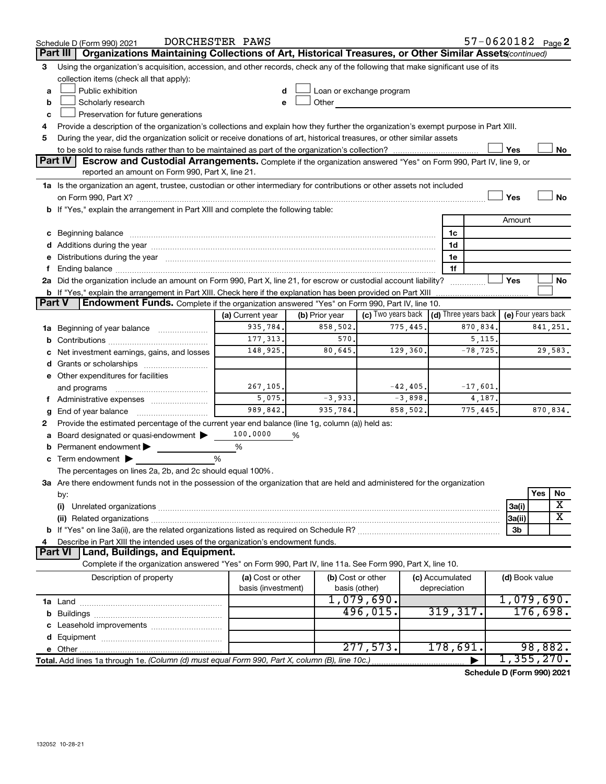|   | 57-0620182 Page 2<br>DORCHESTER PAWS<br>Schedule D (Form 990) 2021                                                                                                                                                                                                                                                                                   |                                         |                                    |                                                         |                                 |            |                     |          |          |
|---|------------------------------------------------------------------------------------------------------------------------------------------------------------------------------------------------------------------------------------------------------------------------------------------------------------------------------------------------------|-----------------------------------------|------------------------------------|---------------------------------------------------------|---------------------------------|------------|---------------------|----------|----------|
|   | Organizations Maintaining Collections of Art, Historical Treasures, or Other Similar Assets(continued)<br>Part III                                                                                                                                                                                                                                   |                                         |                                    |                                                         |                                 |            |                     |          |          |
| 3 | Using the organization's acquisition, accession, and other records, check any of the following that make significant use of its                                                                                                                                                                                                                      |                                         |                                    |                                                         |                                 |            |                     |          |          |
|   | collection items (check all that apply):                                                                                                                                                                                                                                                                                                             |                                         |                                    |                                                         |                                 |            |                     |          |          |
| a | Public exhibition                                                                                                                                                                                                                                                                                                                                    | d                                       |                                    | Loan or exchange program                                |                                 |            |                     |          |          |
| b | Scholarly research                                                                                                                                                                                                                                                                                                                                   | e                                       | Other                              |                                                         |                                 |            |                     |          |          |
| c | Preservation for future generations                                                                                                                                                                                                                                                                                                                  |                                         |                                    |                                                         |                                 |            |                     |          |          |
| 4 | Provide a description of the organization's collections and explain how they further the organization's exempt purpose in Part XIII.                                                                                                                                                                                                                 |                                         |                                    |                                                         |                                 |            |                     |          |          |
| 5 | During the year, did the organization solicit or receive donations of art, historical treasures, or other similar assets                                                                                                                                                                                                                             |                                         |                                    |                                                         |                                 |            |                     |          |          |
|   |                                                                                                                                                                                                                                                                                                                                                      |                                         |                                    |                                                         |                                 |            | Yes                 |          | No       |
|   | <b>Part IV</b><br>Escrow and Custodial Arrangements. Complete if the organization answered "Yes" on Form 990, Part IV, line 9, or                                                                                                                                                                                                                    |                                         |                                    |                                                         |                                 |            |                     |          |          |
|   | reported an amount on Form 990, Part X, line 21.                                                                                                                                                                                                                                                                                                     |                                         |                                    |                                                         |                                 |            |                     |          |          |
|   | 1a Is the organization an agent, trustee, custodian or other intermediary for contributions or other assets not included                                                                                                                                                                                                                             |                                         |                                    |                                                         |                                 |            |                     |          |          |
|   |                                                                                                                                                                                                                                                                                                                                                      |                                         |                                    |                                                         |                                 |            | Yes                 |          | No       |
|   | b If "Yes," explain the arrangement in Part XIII and complete the following table:                                                                                                                                                                                                                                                                   |                                         |                                    |                                                         |                                 |            |                     |          |          |
|   |                                                                                                                                                                                                                                                                                                                                                      |                                         |                                    |                                                         |                                 |            | Amount              |          |          |
|   | c Beginning balance measurements and the contract of the contract of the contract of the contract of the contract of the contract of the contract of the contract of the contract of the contract of the contract of the contr                                                                                                                       |                                         |                                    |                                                         | 1c                              |            |                     |          |          |
|   |                                                                                                                                                                                                                                                                                                                                                      |                                         |                                    |                                                         | 1d                              |            |                     |          |          |
|   | e Distributions during the year manufactured and continuum and contact the year manufactured and contact the year manufactured and contact the year manufactured and contact the year manufactured and contact the year manufa                                                                                                                       |                                         |                                    |                                                         | 1e                              |            |                     |          |          |
|   | Ending balance manufactured and contact the contract of the contract of the contract of the contract of the contract of the contract of the contract of the contract of the contract of the contract of the contract of the co<br>2a Did the organization include an amount on Form 990, Part X, line 21, for escrow or custodial account liability? |                                         |                                    |                                                         | 1f                              |            | Yes                 |          | No       |
|   | <b>b</b> If "Yes," explain the arrangement in Part XIII. Check here if the explanation has been provided on Part XIII                                                                                                                                                                                                                                |                                         |                                    |                                                         |                                 |            |                     |          |          |
|   | Endowment Funds. Complete if the organization answered "Yes" on Form 990, Part IV, line 10.<br>Part V                                                                                                                                                                                                                                                |                                         |                                    |                                                         |                                 |            |                     |          |          |
|   |                                                                                                                                                                                                                                                                                                                                                      | (a) Current year                        | (b) Prior year                     | (c) Two years back $\vert$ (d) Three years back $\vert$ |                                 |            | (e) Four years back |          |          |
|   | 1a Beginning of year balance                                                                                                                                                                                                                                                                                                                         | 935,784.                                | 858,502.                           | 775,445.                                                |                                 | 870,834.   |                     |          | 841,251. |
| b |                                                                                                                                                                                                                                                                                                                                                      | 177, 313.<br>570.<br>5, 115.            |                                    |                                                         |                                 |            |                     |          |          |
|   | Net investment earnings, gains, and losses                                                                                                                                                                                                                                                                                                           | 148,925.                                | 80,645.                            | 129,360.                                                |                                 | $-78,725.$ |                     |          | 29,583.  |
|   |                                                                                                                                                                                                                                                                                                                                                      |                                         |                                    |                                                         |                                 |            |                     |          |          |
|   | e Other expenditures for facilities                                                                                                                                                                                                                                                                                                                  |                                         |                                    |                                                         |                                 |            |                     |          |          |
|   | and programs                                                                                                                                                                                                                                                                                                                                         | 267,105.                                |                                    | $-42,405.$                                              |                                 | $-17,601.$ |                     |          |          |
|   | f Administrative expenses                                                                                                                                                                                                                                                                                                                            | 5,075.                                  | $-3,933.$                          | $-3,898.$                                               |                                 | 4,187.     |                     |          |          |
| g | End of year balance                                                                                                                                                                                                                                                                                                                                  | 989,842.                                | 935,784.                           | 858,502.                                                |                                 | 775,445.   |                     |          | 870,834. |
| 2 | Provide the estimated percentage of the current year end balance (line 1g, column (a)) held as:                                                                                                                                                                                                                                                      |                                         |                                    |                                                         |                                 |            |                     |          |          |
|   | Board designated or quasi-endowment                                                                                                                                                                                                                                                                                                                  | 100,0000                                | %                                  |                                                         |                                 |            |                     |          |          |
| b | Permanent endowment                                                                                                                                                                                                                                                                                                                                  | %                                       |                                    |                                                         |                                 |            |                     |          |          |
|   | c Term endowment $\blacktriangleright$                                                                                                                                                                                                                                                                                                               | %                                       |                                    |                                                         |                                 |            |                     |          |          |
|   | The percentages on lines 2a, 2b, and 2c should equal 100%.                                                                                                                                                                                                                                                                                           |                                         |                                    |                                                         |                                 |            |                     |          |          |
|   | 3a Are there endowment funds not in the possession of the organization that are held and administered for the organization                                                                                                                                                                                                                           |                                         |                                    |                                                         |                                 |            |                     |          |          |
|   | by:                                                                                                                                                                                                                                                                                                                                                  |                                         |                                    |                                                         |                                 |            |                     | Yes      | No       |
|   | (i)                                                                                                                                                                                                                                                                                                                                                  |                                         |                                    |                                                         |                                 |            | 3a(i)               |          | X        |
|   |                                                                                                                                                                                                                                                                                                                                                      |                                         |                                    |                                                         |                                 |            | 3a(ii)              |          | х        |
|   |                                                                                                                                                                                                                                                                                                                                                      |                                         |                                    |                                                         |                                 |            | 3b                  |          |          |
|   | Describe in Part XIII the intended uses of the organization's endowment funds.                                                                                                                                                                                                                                                                       |                                         |                                    |                                                         |                                 |            |                     |          |          |
|   | Land, Buildings, and Equipment.<br><b>Part VI</b>                                                                                                                                                                                                                                                                                                    |                                         |                                    |                                                         |                                 |            |                     |          |          |
|   | Complete if the organization answered "Yes" on Form 990, Part IV, line 11a. See Form 990, Part X, line 10.                                                                                                                                                                                                                                           |                                         |                                    |                                                         |                                 |            |                     |          |          |
|   | Description of property                                                                                                                                                                                                                                                                                                                              | (a) Cost or other<br>basis (investment) | (b) Cost or other<br>basis (other) |                                                         | (c) Accumulated<br>depreciation |            | (d) Book value      |          |          |
|   |                                                                                                                                                                                                                                                                                                                                                      |                                         |                                    | 1,079,690.                                              |                                 |            | 1,079,690.          |          |          |
|   |                                                                                                                                                                                                                                                                                                                                                      |                                         |                                    | 496,015.                                                | 319,317.                        |            |                     | 176,698. |          |
|   |                                                                                                                                                                                                                                                                                                                                                      |                                         |                                    |                                                         |                                 |            |                     |          |          |
|   |                                                                                                                                                                                                                                                                                                                                                      |                                         |                                    |                                                         |                                 |            |                     |          |          |
|   | e Other.                                                                                                                                                                                                                                                                                                                                             |                                         |                                    | 277,573.                                                | 178,691.                        |            |                     | 98,882.  |          |
|   | Total. Add lines 1a through 1e. (Column (d) must equal Form 990, Part X, column (B), line 10c.)                                                                                                                                                                                                                                                      |                                         |                                    |                                                         |                                 |            | 1,355,270.          |          |          |

**Schedule D (Form 990) 2021**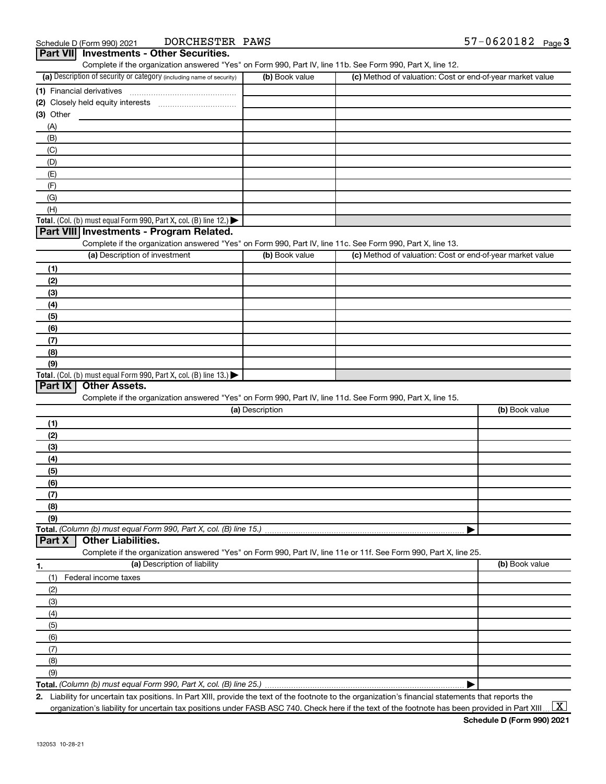| (a) Description of security or category (including name of security)                                              | (b) Book value  | (c) Method of valuation: Cost or end-of-year market value |                |
|-------------------------------------------------------------------------------------------------------------------|-----------------|-----------------------------------------------------------|----------------|
| (1) Financial derivatives                                                                                         |                 |                                                           |                |
|                                                                                                                   |                 |                                                           |                |
| (3) Other                                                                                                         |                 |                                                           |                |
|                                                                                                                   |                 |                                                           |                |
| (A)                                                                                                               |                 |                                                           |                |
| (B)                                                                                                               |                 |                                                           |                |
| (C)                                                                                                               |                 |                                                           |                |
| (D)                                                                                                               |                 |                                                           |                |
| (E)                                                                                                               |                 |                                                           |                |
| (F)                                                                                                               |                 |                                                           |                |
| (G)                                                                                                               |                 |                                                           |                |
| (H)                                                                                                               |                 |                                                           |                |
| Total. (Col. (b) must equal Form 990, Part X, col. (B) line 12.) $\blacktriangleright$                            |                 |                                                           |                |
| Part VIII Investments - Program Related.                                                                          |                 |                                                           |                |
| Complete if the organization answered "Yes" on Form 990, Part IV, line 11c. See Form 990, Part X, line 13.        |                 |                                                           |                |
| (a) Description of investment                                                                                     | (b) Book value  | (c) Method of valuation: Cost or end-of-year market value |                |
| (1)                                                                                                               |                 |                                                           |                |
| (2)                                                                                                               |                 |                                                           |                |
|                                                                                                                   |                 |                                                           |                |
| (3)                                                                                                               |                 |                                                           |                |
| (4)                                                                                                               |                 |                                                           |                |
| (5)                                                                                                               |                 |                                                           |                |
| (6)                                                                                                               |                 |                                                           |                |
| (7)                                                                                                               |                 |                                                           |                |
| (8)                                                                                                               |                 |                                                           |                |
| (9)                                                                                                               |                 |                                                           |                |
| <b>Total.</b> (Col. (b) must equal Form 990, Part X, col. (B) line 13.)                                           |                 |                                                           |                |
|                                                                                                                   |                 |                                                           |                |
| <b>Other Assets.</b>                                                                                              |                 |                                                           |                |
| Complete if the organization answered "Yes" on Form 990, Part IV, line 11d. See Form 990, Part X, line 15.        |                 |                                                           |                |
|                                                                                                                   | (a) Description |                                                           | (b) Book value |
|                                                                                                                   |                 |                                                           |                |
| (1)                                                                                                               |                 |                                                           |                |
| (2)                                                                                                               |                 |                                                           |                |
| (3)                                                                                                               |                 |                                                           |                |
| (4)                                                                                                               |                 |                                                           |                |
| (5)                                                                                                               |                 |                                                           |                |
| (6)                                                                                                               |                 |                                                           |                |
| (7)                                                                                                               |                 |                                                           |                |
| (8)                                                                                                               |                 |                                                           |                |
| (9)                                                                                                               |                 |                                                           |                |
|                                                                                                                   |                 |                                                           |                |
| <b>Other Liabilities.</b>                                                                                         |                 |                                                           |                |
| Complete if the organization answered "Yes" on Form 990, Part IV, line 11e or 11f. See Form 990, Part X, line 25. |                 |                                                           |                |
| (a) Description of liability                                                                                      |                 |                                                           | (b) Book value |
|                                                                                                                   |                 |                                                           |                |
| Federal income taxes<br>(1)                                                                                       |                 |                                                           |                |
| (2)                                                                                                               |                 |                                                           |                |
| (3)                                                                                                               |                 |                                                           |                |
| (4)                                                                                                               |                 |                                                           |                |
| (5)                                                                                                               |                 |                                                           |                |
| Part IX<br>Total. (Column (b) must equal Form 990, Part X, col. (B) line 15.)<br>Part X<br>1.<br>(6)              |                 |                                                           |                |
| (7)                                                                                                               |                 |                                                           |                |
| (8)                                                                                                               |                 |                                                           |                |
| (9)                                                                                                               |                 |                                                           |                |

**2.**

Liability for uncertain tax positions. In Part XIII, provide the text of the footnote to the organization's financial statements that reports the organization's liability for uncertain tax positions under FASB ASC 740. Check here if the text of the footnote has been provided in Part XIII ...  $\fbox{\bf X}$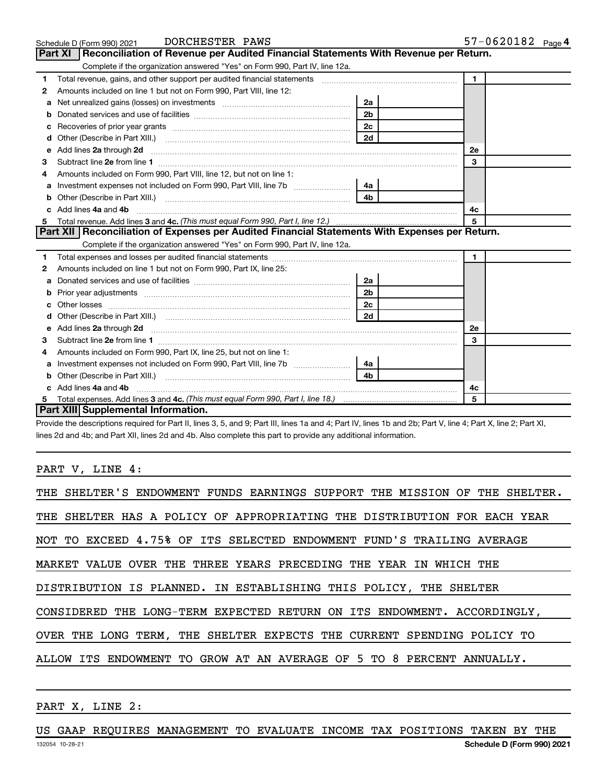|    | DORCHESTER PAWS<br>Schedule D (Form 990) 2021                                                                                                                                                                                        |                | $57 - 0620182$ Page 4 |
|----|--------------------------------------------------------------------------------------------------------------------------------------------------------------------------------------------------------------------------------------|----------------|-----------------------|
|    | <b>Part XI</b><br>Reconciliation of Revenue per Audited Financial Statements With Revenue per Return.                                                                                                                                |                |                       |
|    | Complete if the organization answered "Yes" on Form 990, Part IV, line 12a.                                                                                                                                                          |                |                       |
| 1  | Total revenue, gains, and other support per audited financial statements [[[[[[[[[[[[[[[[[[[[[[[[]]]]]]]]]]]]                                                                                                                        |                | $\mathbf{1}$          |
| 2  | Amounts included on line 1 but not on Form 990, Part VIII, line 12:                                                                                                                                                                  |                |                       |
| a  | Net unrealized gains (losses) on investments [111] [12] matter and all products and all products and all products and all products and all products and all products and all products and all products and all products and al       | 2a             |                       |
| b  |                                                                                                                                                                                                                                      | 2 <sub>b</sub> |                       |
| с  |                                                                                                                                                                                                                                      | 2 <sub>c</sub> |                       |
| d  | Other (Describe in Part XIII.)                                                                                                                                                                                                       | 2d             |                       |
| e  | Add lines 2a through 2d <b>[10]</b> University of the state of the state of the state of the state of the state of the state of the state of the state of the state of the state of the state of the state of the state of the stat  |                | 2e                    |
| З  |                                                                                                                                                                                                                                      |                | 3                     |
|    | Amounts included on Form 990, Part VIII, line 12, but not on line 1:                                                                                                                                                                 |                |                       |
| a  | Investment expenses not included on Form 990, Part VIII, line 7b [                                                                                                                                                                   | 4a             |                       |
| b  |                                                                                                                                                                                                                                      | 4 <sub>b</sub> |                       |
|    | Add lines 4a and 4b                                                                                                                                                                                                                  |                | 4c                    |
| 5  |                                                                                                                                                                                                                                      | 5              |                       |
|    | Part XII Reconciliation of Expenses per Audited Financial Statements With Expenses per Return.                                                                                                                                       |                |                       |
|    | Complete if the organization answered "Yes" on Form 990, Part IV, line 12a.                                                                                                                                                          |                |                       |
| 1. |                                                                                                                                                                                                                                      |                | $\mathbf{1}$          |
| 2  | Amounts included on line 1 but not on Form 990, Part IX, line 25:                                                                                                                                                                    |                |                       |
| a  |                                                                                                                                                                                                                                      | 2a             |                       |
| b  |                                                                                                                                                                                                                                      | 2 <sub>b</sub> |                       |
| c  | Other losses <b>with a contract the contract of the contract of the contract of the contract of the contract of the contract of the contract of the contract of the contract of the contract of the contract of the contract of </b> | 2 <sub>c</sub> |                       |
|    |                                                                                                                                                                                                                                      | 2d             |                       |
| е  | Add lines 2a through 2d <b>[10]</b> University of the state of the state of the state of the state of the state of the state of the state of the state of the state of the state of the state of the state of the state of the stat  |                | 2е                    |
| З  |                                                                                                                                                                                                                                      |                | 3                     |
| 4  | Amounts included on Form 990, Part IX, line 25, but not on line 1:                                                                                                                                                                   |                |                       |
| а  |                                                                                                                                                                                                                                      | 4а             |                       |
| b  |                                                                                                                                                                                                                                      | 4b             |                       |
|    | Add lines 4a and 4b                                                                                                                                                                                                                  |                | 4c                    |
| 5  |                                                                                                                                                                                                                                      |                | 5                     |
|    | <b>Part XIII Supplemental Information.</b>                                                                                                                                                                                           |                |                       |

Provide the descriptions required for Part II, lines 3, 5, and 9; Part III, lines 1a and 4; Part IV, lines 1b and 2b; Part V, line 4; Part X, line 2; Part XI, lines 2d and 4b; and Part XII, lines 2d and 4b. Also complete this part to provide any additional information.

### PART V, LINE 4:

| THE SHELTER'S ENDOWMENT FUNDS EARNINGS SUPPORT THE MISSION OF THE SHELTER. |  |  |  |  |  |
|----------------------------------------------------------------------------|--|--|--|--|--|
| THE SHELTER HAS A POLICY OF APPROPRIATING THE DISTRIBUTION FOR EACH YEAR   |  |  |  |  |  |
| NOT TO EXCEED 4.75% OF ITS SELECTED ENDOWMENT FUND'S TRAILING AVERAGE      |  |  |  |  |  |
| MARKET VALUE OVER THE THREE YEARS PRECEDING THE YEAR IN WHICH THE          |  |  |  |  |  |
| DISTRIBUTION IS PLANNED. IN ESTABLISHING THIS POLICY, THE SHELTER          |  |  |  |  |  |
| CONSIDERED THE LONG-TERM EXPECTED RETURN ON ITS ENDOWMENT. ACCORDINGLY,    |  |  |  |  |  |
| OVER THE LONG TERM, THE SHELTER EXPECTS THE CURRENT SPENDING POLICY TO     |  |  |  |  |  |
| ALLOW ITS ENDOWMENT TO GROW AT AN AVERAGE OF 5 TO 8 PERCENT ANNUALLY.      |  |  |  |  |  |

#### PART X, LINE 2:

US GAAP REQUIRES MANAGEMENT TO EVALUATE INCOME TAX POSITIONS TAKEN BY THE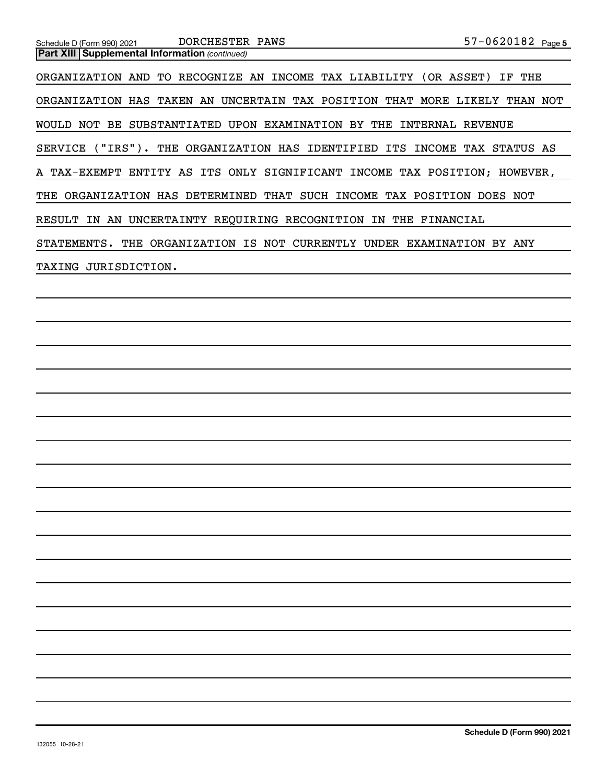| DORCHESTER PAWS<br>Schedule D (Form 990) 2021                              | $57 - 0620182$ Page 5 |
|----------------------------------------------------------------------------|-----------------------|
| <b>Part XIII   Supplemental Information (continued)</b>                    |                       |
| ORGANIZATION AND TO RECOGNIZE AN INCOME TAX LIABILITY (OR ASSET)           | THE<br>IF             |
| ORGANIZATION HAS TAKEN AN UNCERTAIN TAX POSITION THAT MORE LIKELY THAN NOT |                       |
| WOULD NOT BE SUBSTANTIATED UPON EXAMINATION BY THE INTERNAL REVENUE        |                       |
| SERVICE ("IRS"). THE ORGANIZATION HAS IDENTIFIED ITS INCOME TAX STATUS AS  |                       |
| A TAX-EXEMPT ENTITY AS ITS ONLY SIGNIFICANT INCOME TAX POSITION; HOWEVER,  |                       |
| THE ORGANIZATION HAS DETERMINED THAT SUCH INCOME TAX POSITION DOES NOT     |                       |
| RESULT IN AN UNCERTAINTY REQUIRING RECOGNITION IN THE FINANCIAL            |                       |
| STATEMENTS. THE ORGANIZATION IS NOT CURRENTLY UNDER EXAMINATION BY ANY     |                       |
| TAXING JURISDICTION.                                                       |                       |
|                                                                            |                       |
|                                                                            |                       |
|                                                                            |                       |
|                                                                            |                       |
|                                                                            |                       |
|                                                                            |                       |
|                                                                            |                       |
|                                                                            |                       |
|                                                                            |                       |
|                                                                            |                       |
|                                                                            |                       |
|                                                                            |                       |
|                                                                            |                       |
|                                                                            |                       |
|                                                                            |                       |
|                                                                            |                       |
|                                                                            |                       |
|                                                                            |                       |
|                                                                            |                       |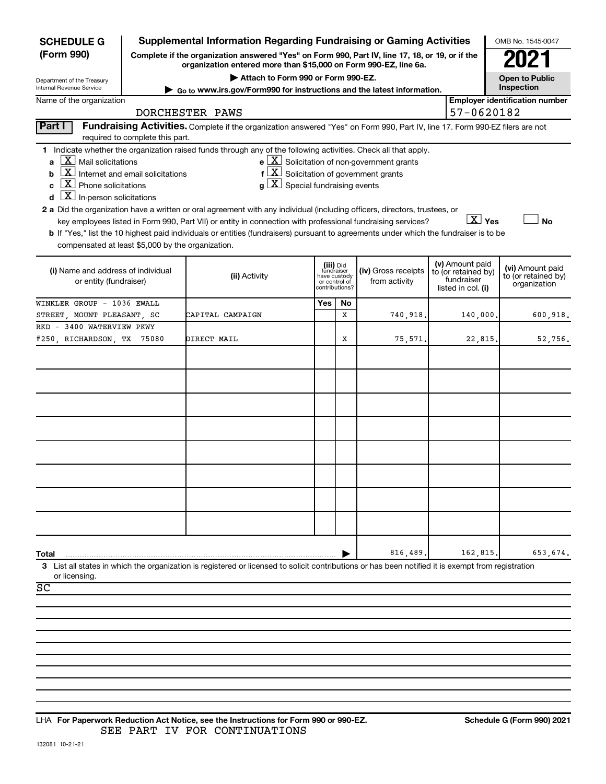| <b>SCHEDULE G</b>                                            |                                                                                                                                                                     | <b>Supplemental Information Regarding Fundraising or Gaming Activities</b>                                                                         |     |                                         |                                                                         |                     |                                  | OMB No. 1545-0047                       |
|--------------------------------------------------------------|---------------------------------------------------------------------------------------------------------------------------------------------------------------------|----------------------------------------------------------------------------------------------------------------------------------------------------|-----|-----------------------------------------|-------------------------------------------------------------------------|---------------------|----------------------------------|-----------------------------------------|
| (Form 990)                                                   | Complete if the organization answered "Yes" on Form 990, Part IV, line 17, 18, or 19, or if the<br>organization entered more than \$15,000 on Form 990-EZ, line 6a. |                                                                                                                                                    |     |                                         |                                                                         |                     |                                  |                                         |
| Department of the Treasury                                   |                                                                                                                                                                     | Attach to Form 990 or Form 990-EZ.                                                                                                                 |     |                                         |                                                                         |                     |                                  | <b>Open to Public</b>                   |
| Internal Revenue Service                                     |                                                                                                                                                                     | Go to www.irs.gov/Form990 for instructions and the latest information.                                                                             |     |                                         |                                                                         |                     |                                  | Inspection                              |
| Name of the organization                                     |                                                                                                                                                                     | DORCHESTER PAWS                                                                                                                                    |     |                                         |                                                                         |                     | 57-0620182                       | <b>Employer identification number</b>   |
| Part I                                                       |                                                                                                                                                                     | Fundraising Activities. Complete if the organization answered "Yes" on Form 990, Part IV, line 17. Form 990-EZ filers are not                      |     |                                         |                                                                         |                     |                                  |                                         |
|                                                              | required to complete this part.                                                                                                                                     |                                                                                                                                                    |     |                                         |                                                                         |                     |                                  |                                         |
|                                                              |                                                                                                                                                                     | 1 Indicate whether the organization raised funds through any of the following activities. Check all that apply.                                    |     |                                         |                                                                         |                     |                                  |                                         |
| $X$ Mail solicitations                                       |                                                                                                                                                                     |                                                                                                                                                    |     |                                         | $\mathbf{e}$ $\boxed{\mathbf{X}}$ Solicitation of non-government grants |                     |                                  |                                         |
| b                                                            | $\boxed{\text{X}}$ Internet and email solicitations                                                                                                                 | $f\left[\frac{X}{X}\right]$ Solicitation of government grants                                                                                      |     |                                         |                                                                         |                     |                                  |                                         |
| $X$ Phone solicitations<br>C                                 |                                                                                                                                                                     | $g\mid X$ Special fundraising events                                                                                                               |     |                                         |                                                                         |                     |                                  |                                         |
| $ \mathbf{X} $ In-person solicitations                       |                                                                                                                                                                     |                                                                                                                                                    |     |                                         |                                                                         |                     |                                  |                                         |
|                                                              |                                                                                                                                                                     | 2 a Did the organization have a written or oral agreement with any individual (including officers, directors, trustees, or                         |     |                                         |                                                                         |                     |                                  |                                         |
|                                                              |                                                                                                                                                                     | key employees listed in Form 990, Part VII) or entity in connection with professional fundraising services?                                        |     |                                         |                                                                         |                     | $\overline{\text{X}}$ Yes        | <b>No</b>                               |
|                                                              |                                                                                                                                                                     | b If "Yes," list the 10 highest paid individuals or entities (fundraisers) pursuant to agreements under which the fundraiser is to be              |     |                                         |                                                                         |                     |                                  |                                         |
| compensated at least \$5,000 by the organization.            |                                                                                                                                                                     |                                                                                                                                                    |     |                                         |                                                                         |                     |                                  |                                         |
|                                                              |                                                                                                                                                                     |                                                                                                                                                    |     |                                         |                                                                         |                     | (v) Amount paid                  |                                         |
| (i) Name and address of individual<br>or entity (fundraiser) |                                                                                                                                                                     | (ii) Activity                                                                                                                                      |     | (iii) Did<br>fundraiser<br>have custody | (iv) Gross receipts                                                     | to (or retained by) |                                  | (vi) Amount paid<br>to (or retained by) |
|                                                              |                                                                                                                                                                     |                                                                                                                                                    |     | or control of<br>contributions?         | from activity                                                           |                     | fundraiser<br>listed in col. (i) | organization                            |
| WINKLER GROUP - 1036 EWALL                                   |                                                                                                                                                                     |                                                                                                                                                    | Yes | No                                      |                                                                         |                     |                                  |                                         |
| STREET, MOUNT PLEASANT, SC                                   |                                                                                                                                                                     | CAPITAL CAMPAIGN                                                                                                                                   |     | x                                       | 740,918                                                                 |                     | 140,000,                         | 600,918.                                |
| RKD - 3400 WATERVIEW PKWY                                    |                                                                                                                                                                     |                                                                                                                                                    |     |                                         |                                                                         |                     |                                  |                                         |
| #250, RICHARDSON, TX                                         | 75080                                                                                                                                                               | DIRECT MAIL                                                                                                                                        |     | х                                       | 75,571                                                                  |                     | 22,815.                          | 52,756.                                 |
|                                                              |                                                                                                                                                                     |                                                                                                                                                    |     |                                         |                                                                         |                     |                                  |                                         |
|                                                              |                                                                                                                                                                     |                                                                                                                                                    |     |                                         |                                                                         |                     |                                  |                                         |
|                                                              |                                                                                                                                                                     |                                                                                                                                                    |     |                                         |                                                                         |                     |                                  |                                         |
|                                                              |                                                                                                                                                                     |                                                                                                                                                    |     |                                         |                                                                         |                     |                                  |                                         |
|                                                              |                                                                                                                                                                     |                                                                                                                                                    |     |                                         |                                                                         |                     |                                  |                                         |
|                                                              |                                                                                                                                                                     |                                                                                                                                                    |     |                                         |                                                                         |                     |                                  |                                         |
|                                                              |                                                                                                                                                                     |                                                                                                                                                    |     |                                         |                                                                         |                     |                                  |                                         |
|                                                              |                                                                                                                                                                     |                                                                                                                                                    |     |                                         |                                                                         |                     |                                  |                                         |
|                                                              |                                                                                                                                                                     |                                                                                                                                                    |     |                                         |                                                                         |                     |                                  |                                         |
|                                                              |                                                                                                                                                                     |                                                                                                                                                    |     |                                         |                                                                         |                     |                                  |                                         |
|                                                              |                                                                                                                                                                     |                                                                                                                                                    |     |                                         |                                                                         |                     |                                  |                                         |
|                                                              |                                                                                                                                                                     |                                                                                                                                                    |     |                                         |                                                                         |                     |                                  |                                         |
|                                                              |                                                                                                                                                                     |                                                                                                                                                    |     |                                         |                                                                         |                     |                                  |                                         |
|                                                              |                                                                                                                                                                     |                                                                                                                                                    |     |                                         |                                                                         |                     |                                  |                                         |
|                                                              |                                                                                                                                                                     |                                                                                                                                                    |     |                                         |                                                                         |                     |                                  |                                         |
|                                                              |                                                                                                                                                                     |                                                                                                                                                    |     |                                         |                                                                         |                     |                                  |                                         |
| Total                                                        |                                                                                                                                                                     |                                                                                                                                                    |     |                                         | 816,489                                                                 |                     | 162,815                          | 653,674.                                |
|                                                              |                                                                                                                                                                     | 3 List all states in which the organization is registered or licensed to solicit contributions or has been notified it is exempt from registration |     |                                         |                                                                         |                     |                                  |                                         |
| or licensing                                                 |                                                                                                                                                                     |                                                                                                                                                    |     |                                         |                                                                         |                     |                                  |                                         |
| $\overline{SC}$                                              |                                                                                                                                                                     |                                                                                                                                                    |     |                                         |                                                                         |                     |                                  |                                         |
|                                                              |                                                                                                                                                                     |                                                                                                                                                    |     |                                         |                                                                         |                     |                                  |                                         |
|                                                              |                                                                                                                                                                     |                                                                                                                                                    |     |                                         |                                                                         |                     |                                  |                                         |
|                                                              |                                                                                                                                                                     |                                                                                                                                                    |     |                                         |                                                                         |                     |                                  |                                         |
|                                                              |                                                                                                                                                                     |                                                                                                                                                    |     |                                         |                                                                         |                     |                                  |                                         |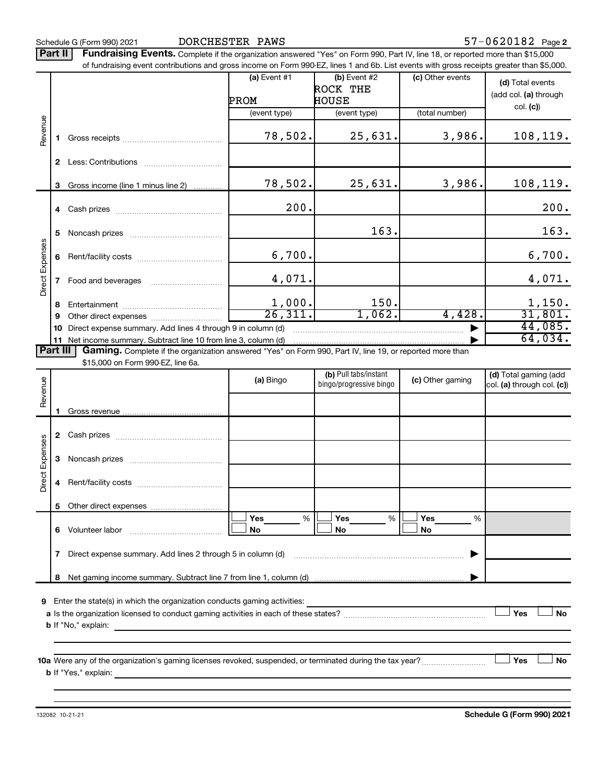Schedule G (Form 990) 2021 DORCHESTER PAWS 57-0620182 Page

57-0620182 Page 2

Part II | Fundraising Events. Complete if the organization answered "Yes" on Form 990, Part IV, line 18, or reported more than \$15,000 of fundraising event contributions and gross income on Form 990-EZ, lines 1 and 6b. List events with gross receipts greater than \$5,000.

|                        |    |                                                                                                                                                                                      | (a) Event $#1$<br>PROM | $(b)$ Event #2<br>ROCK THE<br>HOUSE | (c) Other events | (d) Total events<br>(add col. (a) through<br>col. (c) |  |
|------------------------|----|--------------------------------------------------------------------------------------------------------------------------------------------------------------------------------------|------------------------|-------------------------------------|------------------|-------------------------------------------------------|--|
|                        |    |                                                                                                                                                                                      | (event type)           | (event type)                        | (total number)   |                                                       |  |
| Revenue                |    |                                                                                                                                                                                      | 78,502.                | 25,631.                             | 3,986.           | 108, 119.                                             |  |
|                        | 2  |                                                                                                                                                                                      |                        |                                     |                  |                                                       |  |
|                        | 3  | Gross income (line 1 minus line 2)                                                                                                                                                   | 78,502.                | 25,631.                             | 3,986.           | 108, 119.                                             |  |
|                        |    |                                                                                                                                                                                      | 200.                   |                                     |                  | 200.                                                  |  |
|                        | 5  |                                                                                                                                                                                      |                        | 163.                                |                  | 163.                                                  |  |
| <b>Direct Expenses</b> | 6  |                                                                                                                                                                                      | 6,700.                 |                                     |                  | 6,700.                                                |  |
|                        |    | Food and beverages                                                                                                                                                                   | 4,071.                 |                                     |                  | 4,071.                                                |  |
|                        | 8  |                                                                                                                                                                                      | 1,000.                 | 150.                                |                  |                                                       |  |
|                        | 9  | Other direct expenses                                                                                                                                                                | 26,311.                | 1,062.                              | 4,428.           | 31,801.                                               |  |
|                        | 10 | Direct expense summary. Add lines 4 through 9 in column (d)                                                                                                                          |                        |                                     |                  | 44,085.                                               |  |
|                        |    | 11 Net income summary. Subtract line 10 from line 3, column (d)<br>Part III Gaming. Complete if the organization answered "Yes" on Form 990, Part IV, line 19, or reported more than |                        |                                     |                  | 64,034.                                               |  |

\$15,000 on Form 990-EZ, line 6a.

| Revenue         |                                                                                                                               | (a) Bingo             | (b) Pull tabs/instant<br>bingo/progressive bingo | (c) Other gaming                      | (d) Total gaming (add<br>col. (a) through col. (c)) |  |  |  |
|-----------------|-------------------------------------------------------------------------------------------------------------------------------|-----------------------|--------------------------------------------------|---------------------------------------|-----------------------------------------------------|--|--|--|
|                 |                                                                                                                               |                       |                                                  |                                       |                                                     |  |  |  |
|                 | $\mathbf{2}$                                                                                                                  |                       |                                                  |                                       |                                                     |  |  |  |
|                 | 3                                                                                                                             |                       |                                                  |                                       |                                                     |  |  |  |
| Direct Expenses | 4                                                                                                                             |                       |                                                  |                                       |                                                     |  |  |  |
|                 | 5                                                                                                                             |                       |                                                  |                                       |                                                     |  |  |  |
|                 | 6                                                                                                                             | Yes<br>%<br><b>No</b> | Yes $\qquad \qquad \qquad$<br>%<br><b>No</b>     | Yes $\qquad \qquad$<br>%<br><b>No</b> |                                                     |  |  |  |
|                 | 7                                                                                                                             |                       |                                                  |                                       |                                                     |  |  |  |
|                 | 8                                                                                                                             |                       |                                                  |                                       |                                                     |  |  |  |
| 9               |                                                                                                                               |                       |                                                  |                                       |                                                     |  |  |  |
|                 |                                                                                                                               |                       |                                                  |                                       | Yes<br><b>No</b>                                    |  |  |  |
|                 |                                                                                                                               |                       |                                                  |                                       |                                                     |  |  |  |
|                 | Yes<br><b>No</b><br>10a Were any of the organization's gaming licenses revoked, suspended, or terminated during the tax year? |                       |                                                  |                                       |                                                     |  |  |  |
|                 |                                                                                                                               |                       |                                                  |                                       |                                                     |  |  |  |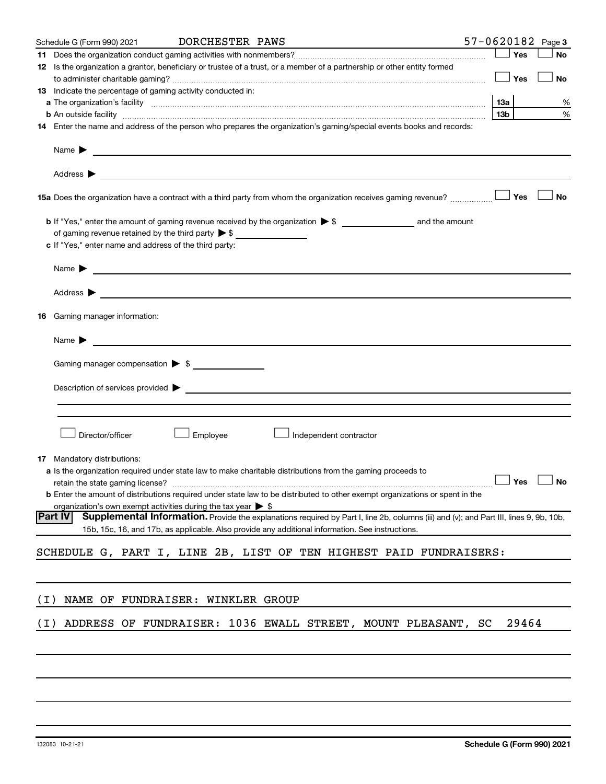|       | Schedule G (Form 990) 2021                                                   | DORCHESTER PAWS                                                                                                 |                                                                                                                                                                                   | $57 - 0620182$ Page 3 |                 |       |           |
|-------|------------------------------------------------------------------------------|-----------------------------------------------------------------------------------------------------------------|-----------------------------------------------------------------------------------------------------------------------------------------------------------------------------------|-----------------------|-----------------|-------|-----------|
|       |                                                                              |                                                                                                                 |                                                                                                                                                                                   |                       |                 | Yes   | <b>No</b> |
|       |                                                                              |                                                                                                                 | 12 Is the organization a grantor, beneficiary or trustee of a trust, or a member of a partnership or other entity formed                                                          |                       |                 |       |           |
|       |                                                                              |                                                                                                                 |                                                                                                                                                                                   |                       |                 | Yes   | <b>No</b> |
|       | 13 Indicate the percentage of gaming activity conducted in:                  |                                                                                                                 |                                                                                                                                                                                   |                       |                 |       |           |
|       |                                                                              |                                                                                                                 |                                                                                                                                                                                   |                       |                 |       | %         |
|       |                                                                              |                                                                                                                 |                                                                                                                                                                                   |                       | 13 <sub>b</sub> |       | %         |
|       |                                                                              |                                                                                                                 | 14 Enter the name and address of the person who prepares the organization's gaming/special events books and records:                                                              |                       |                 |       |           |
|       |                                                                              |                                                                                                                 |                                                                                                                                                                                   |                       |                 |       |           |
|       |                                                                              |                                                                                                                 |                                                                                                                                                                                   |                       |                 |       |           |
|       |                                                                              |                                                                                                                 |                                                                                                                                                                                   |                       |                 | Yes   | <b>No</b> |
|       |                                                                              |                                                                                                                 |                                                                                                                                                                                   |                       |                 |       |           |
|       | of gaming revenue retained by the third party $\triangleright$ \$            |                                                                                                                 |                                                                                                                                                                                   |                       |                 |       |           |
|       | c If "Yes," enter name and address of the third party:                       |                                                                                                                 |                                                                                                                                                                                   |                       |                 |       |           |
|       | Name $\blacktriangleright$ $\lrcorner$                                       |                                                                                                                 |                                                                                                                                                                                   |                       |                 |       |           |
|       |                                                                              |                                                                                                                 |                                                                                                                                                                                   |                       |                 |       |           |
|       |                                                                              |                                                                                                                 |                                                                                                                                                                                   |                       |                 |       |           |
|       | 16 Gaming manager information:                                               |                                                                                                                 |                                                                                                                                                                                   |                       |                 |       |           |
|       | Name $\blacktriangleright$                                                   | <u> 1990 - Johann Barbara, martin amerikan basal dan bahasa dan bahasa dalam basal dan bahasa dan bahasa da</u> |                                                                                                                                                                                   |                       |                 |       |           |
|       | Gaming manager compensation > \$                                             |                                                                                                                 |                                                                                                                                                                                   |                       |                 |       |           |
|       |                                                                              |                                                                                                                 | Description of services provided > The Communication of Services and Theorem Communication of Services provided                                                                   |                       |                 |       |           |
|       |                                                                              |                                                                                                                 |                                                                                                                                                                                   |                       |                 |       |           |
|       |                                                                              |                                                                                                                 |                                                                                                                                                                                   |                       |                 |       |           |
|       |                                                                              |                                                                                                                 |                                                                                                                                                                                   |                       |                 |       |           |
|       | Director/officer                                                             | Employee                                                                                                        | Independent contractor                                                                                                                                                            |                       |                 |       |           |
|       |                                                                              |                                                                                                                 |                                                                                                                                                                                   |                       |                 |       |           |
|       | <b>17</b> Mandatory distributions:                                           |                                                                                                                 |                                                                                                                                                                                   |                       |                 |       |           |
|       |                                                                              |                                                                                                                 | <b>a</b> Is the organization required under state law to make charitable distributions from the gaming proceeds to                                                                |                       |                 |       |           |
|       |                                                                              |                                                                                                                 | retain the state gaming license? $\Box$ No<br><b>b</b> Enter the amount of distributions required under state law to be distributed to other exempt organizations or spent in the |                       |                 |       |           |
|       | organization's own exempt activities during the tax year $\triangleright$ \$ |                                                                                                                 |                                                                                                                                                                                   |                       |                 |       |           |
|       | Part IV                                                                      |                                                                                                                 | Supplemental Information. Provide the explanations required by Part I, line 2b, columns (iii) and (v); and Part III, lines 9, 9b, 10b,                                            |                       |                 |       |           |
|       |                                                                              |                                                                                                                 | 15b, 15c, 16, and 17b, as applicable. Also provide any additional information. See instructions.                                                                                  |                       |                 |       |           |
|       |                                                                              |                                                                                                                 | SCHEDULE G, PART I, LINE 2B, LIST OF TEN HIGHEST PAID FUNDRAISERS:                                                                                                                |                       |                 |       |           |
|       |                                                                              |                                                                                                                 |                                                                                                                                                                                   |                       |                 |       |           |
| ( I ) | NAME OF FUNDRAISER: WINKLER GROUP                                            |                                                                                                                 |                                                                                                                                                                                   |                       |                 |       |           |
|       |                                                                              |                                                                                                                 |                                                                                                                                                                                   |                       |                 |       |           |
| ( I ) |                                                                              |                                                                                                                 | ADDRESS OF FUNDRAISER: 1036 EWALL STREET, MOUNT PLEASANT, SC                                                                                                                      |                       |                 | 29464 |           |
|       |                                                                              |                                                                                                                 |                                                                                                                                                                                   |                       |                 |       |           |
|       |                                                                              |                                                                                                                 |                                                                                                                                                                                   |                       |                 |       |           |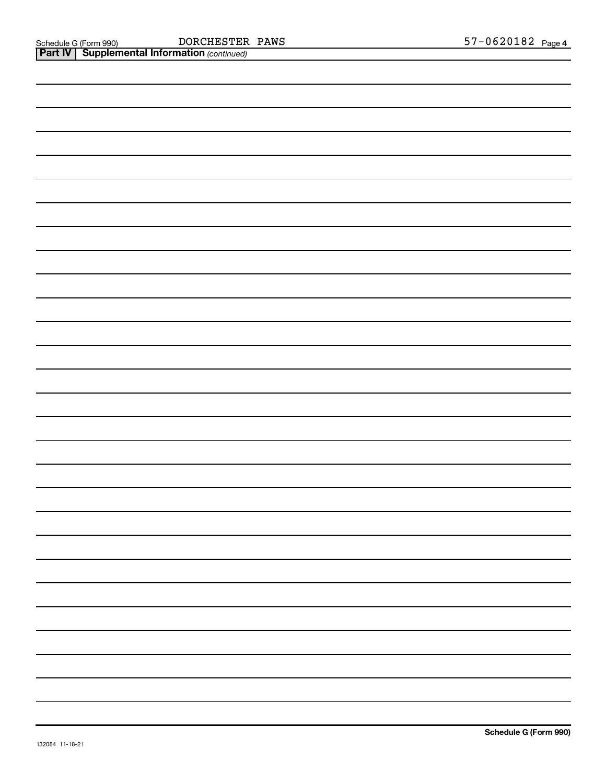| <b>Part IV   Supplemental Information (continued)</b> |
|-------------------------------------------------------|
|                                                       |
|                                                       |
|                                                       |
|                                                       |
|                                                       |
|                                                       |
|                                                       |
|                                                       |
|                                                       |
|                                                       |
|                                                       |
|                                                       |
|                                                       |
|                                                       |
|                                                       |
|                                                       |
|                                                       |
|                                                       |
|                                                       |
|                                                       |
|                                                       |
|                                                       |
|                                                       |
|                                                       |
|                                                       |
|                                                       |
|                                                       |
|                                                       |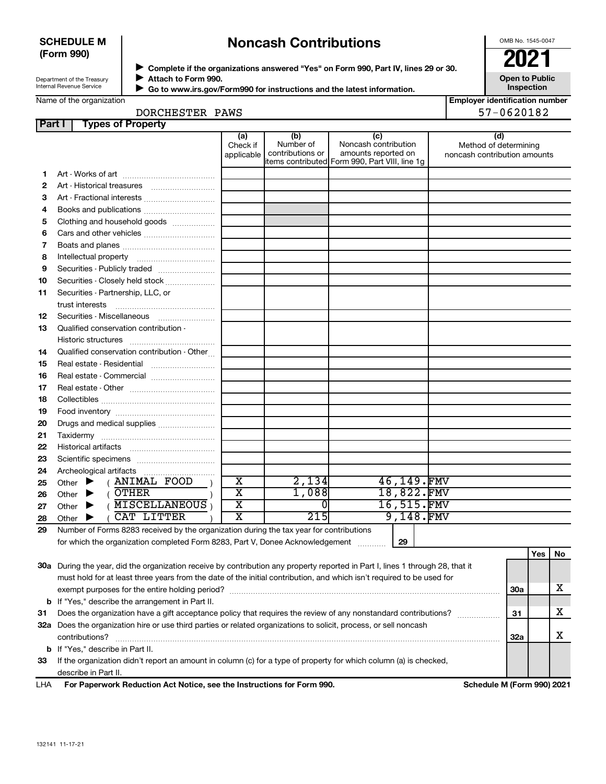#### **SCHEDULE M (Form 990)**

# **Noncash Contributions**

OMB No. 1545-0047

**Open to Public**

Department of the Treasury Internal Revenue Service

◆ Complete if the organizations answered "Yes" on Form 990, Part IV, lines 29 or 30.<br>▶ Complete if the organizations answered "Yes" on Form 990, Part IV, lines 29 or 30. **Attach to Form 990.**  $\blacktriangleright$ 

 **Go to www.irs.gov/Form990 for instructions and the latest information.** J

**Inspection Employer identification number**

| Name of the organization |  |
|--------------------------|--|
|--------------------------|--|

### DORCHESTER PAWS 37-0620182

| Part I | <b>Types of Property</b>                                                                                                    |                               |                                      |                                                                                                       |                                                              |
|--------|-----------------------------------------------------------------------------------------------------------------------------|-------------------------------|--------------------------------------|-------------------------------------------------------------------------------------------------------|--------------------------------------------------------------|
|        |                                                                                                                             | (a)<br>Check if<br>applicable | (b)<br>Number of<br>contributions or | (c)<br>Noncash contribution<br>amounts reported on<br>items contributed  Form 990, Part VIII, line 1g | (d)<br>Method of determining<br>noncash contribution amounts |
| 1.     |                                                                                                                             |                               |                                      |                                                                                                       |                                                              |
| 2      |                                                                                                                             |                               |                                      |                                                                                                       |                                                              |
| 3      | Art - Fractional interests                                                                                                  |                               |                                      |                                                                                                       |                                                              |
| 4      | Books and publications                                                                                                      |                               |                                      |                                                                                                       |                                                              |
| 5      | Clothing and household goods                                                                                                |                               |                                      |                                                                                                       |                                                              |
| 6      |                                                                                                                             |                               |                                      |                                                                                                       |                                                              |
| 7      |                                                                                                                             |                               |                                      |                                                                                                       |                                                              |
| 8      |                                                                                                                             |                               |                                      |                                                                                                       |                                                              |
| 9      | Securities - Publicly traded                                                                                                |                               |                                      |                                                                                                       |                                                              |
| 10     | Securities - Closely held stock                                                                                             |                               |                                      |                                                                                                       |                                                              |
| 11     | Securities - Partnership, LLC, or                                                                                           |                               |                                      |                                                                                                       |                                                              |
| 12     |                                                                                                                             |                               |                                      |                                                                                                       |                                                              |
| 13     | Qualified conservation contribution -                                                                                       |                               |                                      |                                                                                                       |                                                              |
|        |                                                                                                                             |                               |                                      |                                                                                                       |                                                              |
| 14     | Qualified conservation contribution - Other                                                                                 |                               |                                      |                                                                                                       |                                                              |
| 15     | Real estate - Residential                                                                                                   |                               |                                      |                                                                                                       |                                                              |
| 16     | Real estate - Commercial                                                                                                    |                               |                                      |                                                                                                       |                                                              |
| 17     |                                                                                                                             |                               |                                      |                                                                                                       |                                                              |
| 18     |                                                                                                                             |                               |                                      |                                                                                                       |                                                              |
| 19     |                                                                                                                             |                               |                                      |                                                                                                       |                                                              |
| 20     | Drugs and medical supplies                                                                                                  |                               |                                      |                                                                                                       |                                                              |
| 21     |                                                                                                                             |                               |                                      |                                                                                                       |                                                              |
| 22     |                                                                                                                             |                               |                                      |                                                                                                       |                                                              |
| 23     |                                                                                                                             |                               |                                      |                                                                                                       |                                                              |
| 24     | Archeological artifacts                                                                                                     |                               |                                      |                                                                                                       |                                                              |
| 25     | (ANIMAL FOOD<br>Other $\blacktriangleright$                                                                                 | $\overline{\text{x}}$         | 2,134                                | 46,149.FMV                                                                                            |                                                              |
| 26     | $($ OTHER<br>Other $\blacktriangleright$                                                                                    | $\overline{\text{x}}$         | 1,088                                | 18,822.FMV                                                                                            |                                                              |
| 27     | (MISCELLANEOUS)<br>Other $\blacktriangleright$                                                                              | $\overline{\text{x}}$         | $\Omega$                             | 16,515.FMV                                                                                            |                                                              |
| 28     | CAT LITTER<br>Other $\blacktriangleright$                                                                                   | $\overline{\text{x}}$         | 215                                  | 9,148.FMV                                                                                             |                                                              |
| 29     | Number of Forms 8283 received by the organization during the tax year for contributions                                     |                               |                                      |                                                                                                       |                                                              |
|        | for which the organization completed Form 8283, Part V, Donee Acknowledgement                                               |                               |                                      | 29                                                                                                    |                                                              |
|        |                                                                                                                             |                               |                                      |                                                                                                       | Yes<br><b>No</b>                                             |
|        | 200. During the year, did the examization resolve by contribution any property reported in Dart Llipes 1 through 20 that it |                               |                                      |                                                                                                       |                                                              |

| LHA | For Paperwork Reduction Act Notice, see the Instructions for Form 990.                                                         | Schedule M (Form 990) 2021 |            |  |
|-----|--------------------------------------------------------------------------------------------------------------------------------|----------------------------|------------|--|
|     | describe in Part II.                                                                                                           |                            |            |  |
| 33  | If the organization didn't report an amount in column (c) for a type of property for which column (a) is checked,              |                            |            |  |
|     | <b>b</b> If "Yes," describe in Part II.                                                                                        |                            |            |  |
|     | contributions?                                                                                                                 |                            | 32a        |  |
| 32a | Does the organization hire or use third parties or related organizations to solicit, process, or sell noncash                  |                            |            |  |
| 31  | Does the organization have a gift acceptance policy that requires the review of any nonstandard contributions?                 |                            | 31         |  |
|     | <b>b</b> If "Yes," describe the arrangement in Part II.                                                                        |                            |            |  |
|     | exempt purposes for the entire holding period?                                                                                 |                            | <b>30a</b> |  |
|     | must hold for at least three years from the date of the initial contribution, and which isn't required to be used for          |                            |            |  |
|     | 30a During the year, did the organization receive by contribution any property reported in Part I, lines 1 through 28, that it |                            |            |  |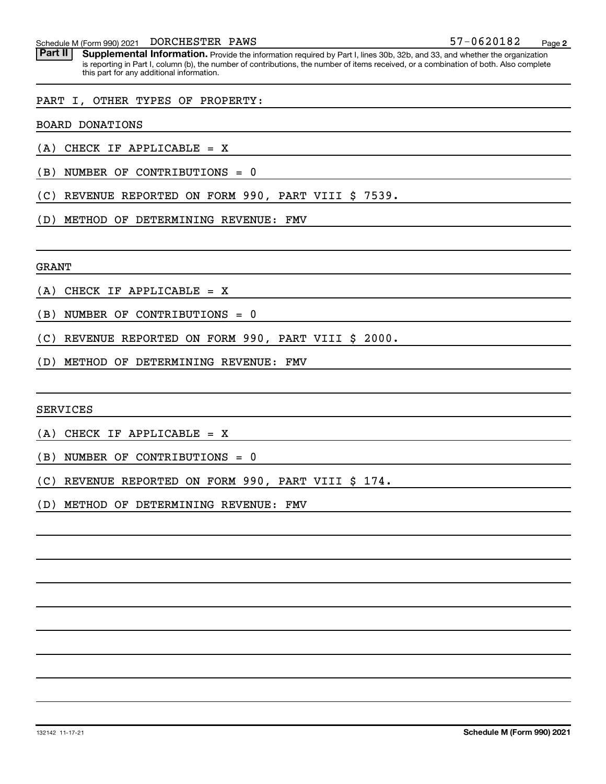Schedule M (Form 990) 2021 DORCHESTER PAWS  $57-0620182$ DORCHESTER PAWS

Part II | Supplemental Information. Provide the information required by Part I, lines 30b, 32b, and 33, and whether the organization is reporting in Part I, column (b), the number of contributions, the number of items received, or a combination of both. Also complete this part for any additional information.

#### PART I, OTHER TYPES OF PROPERTY:

BOARD DONATIONS

- (A) CHECK IF APPLICABLE = X
- (B) NUMBER OF CONTRIBUTIONS = 0
- (C) REVENUE REPORTED ON FORM 990, PART VIII \$ 7539.
- (D) METHOD OF DETERMINING REVENUE: FMV

GRANT

- (A) CHECK IF APPLICABLE = X
- (B) NUMBER OF CONTRIBUTIONS = 0
- (C) REVENUE REPORTED ON FORM 990, PART VIII \$ 2000.
- (D) METHOD OF DETERMINING REVENUE: FMV

SERVICES

(A) CHECK IF APPLICABLE = X

(B) NUMBER OF CONTRIBUTIONS = 0

(C) REVENUE REPORTED ON FORM 990, PART VIII \$ 174.

(D) METHOD OF DETERMINING REVENUE: FMV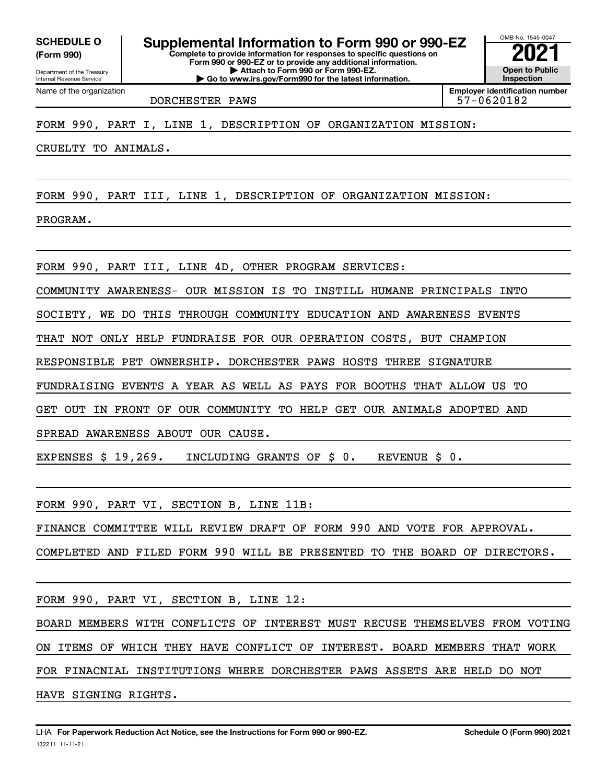**(Form 990)**

Department of the Treasury Internal Revenue Service Name of the organization

**Complete to provide information for responses to specific questions on Form 990 or 990-EZ or to provide any additional information. | Attach to Form 990 or Form 990-EZ. | Go to www.irs.gov/Form990 for the latest information. SCHEDULE O Supplemental Information to Form 990 or 990-EZ 2021**

OMB No. 1545-0047 **Open to Public Inspection Employer identification number**

DORCHESTER PAWS 57-0620182

FORM 990, PART I, LINE 1, DESCRIPTION OF ORGANIZATION MISSION:

CRUELTY TO ANIMALS.

FORM 990, PART III, LINE 1, DESCRIPTION OF ORGANIZATION MISSION:

PROGRAM.

FORM 990, PART III, LINE 4D, OTHER PROGRAM SERVICES:

COMMUNITY AWARENESS- OUR MISSION IS TO INSTILL HUMANE PRINCIPALS INTO

SOCIETY, WE DO THIS THROUGH COMMUNITY EDUCATION AND AWARENESS EVENTS

THAT NOT ONLY HELP FUNDRAISE FOR OUR OPERATION COSTS, BUT CHAMPION

RESPONSIBLE PET OWNERSHIP. DORCHESTER PAWS HOSTS THREE SIGNATURE

FUNDRAISING EVENTS A YEAR AS WELL AS PAYS FOR BOOTHS THAT ALLOW US TO

GET OUT IN FRONT OF OUR COMMUNITY TO HELP GET OUR ANIMALS ADOPTED AND

SPREAD AWARENESS ABOUT OUR CAUSE.

EXPENSES \$ 19,269. INCLUDING GRANTS OF \$ 0. REVENUE \$ 0.

FORM 990, PART VI, SECTION B, LINE 11B:

FINANCE COMMITTEE WILL REVIEW DRAFT OF FORM 990 AND VOTE FOR APPROVAL.

COMPLETED AND FILED FORM 990 WILL BE PRESENTED TO THE BOARD OF DIRECTORS.

FORM 990, PART VI, SECTION B, LINE 12:

BOARD MEMBERS WITH CONFLICTS OF INTEREST MUST RECUSE THEMSELVES FROM VOTING ON ITEMS OF WHICH THEY HAVE CONFLICT OF INTEREST. BOARD MEMBERS THAT WORK FOR FINACNIAL INSTITUTIONS WHERE DORCHESTER PAWS ASSETS ARE HELD DO NOT HAVE SIGNING RIGHTS.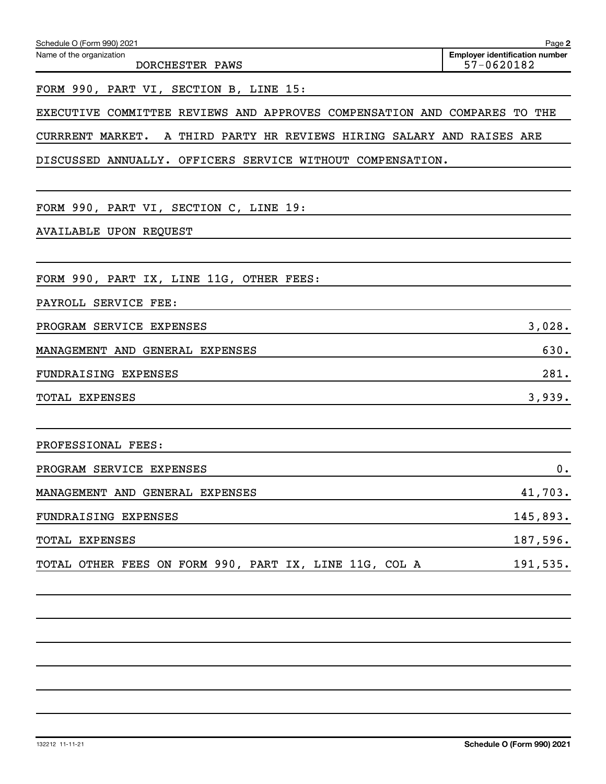| Schedule O (Form 990) 2021                                                | Page 2                                              |
|---------------------------------------------------------------------------|-----------------------------------------------------|
| Name of the organization<br>DORCHESTER PAWS                               | <b>Employer identification number</b><br>57-0620182 |
| FORM 990, PART VI, SECTION B, LINE 15:                                    |                                                     |
| EXECUTIVE COMMITTEE REVIEWS AND APPROVES COMPENSATION AND COMPARES TO THE |                                                     |
| A THIRD PARTY HR REVIEWS HIRING SALARY AND RAISES ARE<br>CURRRENT MARKET. |                                                     |
| DISCUSSED ANNUALLY. OFFICERS SERVICE WITHOUT COMPENSATION.                |                                                     |
|                                                                           |                                                     |
| FORM 990, PART VI, SECTION C, LINE 19:                                    |                                                     |
| <b>AVAILABLE UPON REQUEST</b>                                             |                                                     |
|                                                                           |                                                     |
| FORM 990, PART IX, LINE 11G, OTHER FEES:                                  |                                                     |
| PAYROLL SERVICE FEE:                                                      |                                                     |
| PROGRAM SERVICE EXPENSES                                                  | 3,028.                                              |
| MANAGEMENT AND GENERAL EXPENSES                                           | 630.                                                |
| FUNDRAISING EXPENSES                                                      | 281.                                                |
| TOTAL EXPENSES                                                            | 3,939.                                              |
|                                                                           |                                                     |
| PROFESSIONAL FEES:                                                        |                                                     |
| PROGRAM SERVICE EXPENSES                                                  | 0.                                                  |
| MANAGEMENT AND GENERAL EXPENSES                                           | 41,703.                                             |
| FUNDRAISING EXPENSES                                                      | 145,893.                                            |
| TOTAL EXPENSES                                                            | 187,596.                                            |
| TOTAL OTHER FEES ON FORM 990, PART IX, LINE 11G, COL A                    | 191,535.                                            |
|                                                                           |                                                     |
|                                                                           |                                                     |
|                                                                           |                                                     |
|                                                                           |                                                     |

132212 11-11-21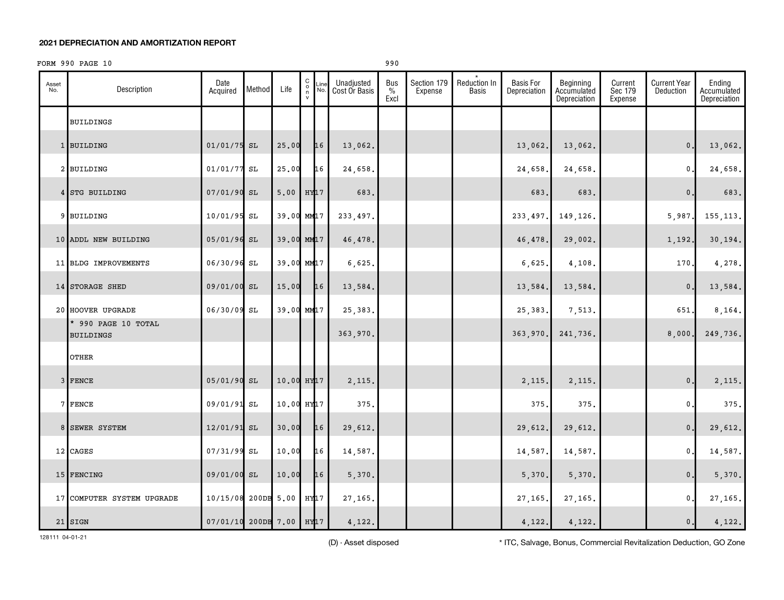#### FORM 990 PAGE 10 990

| Asset<br>No. | Description                             | Date<br>Acquired         | Method | Life                   | 0000      | Line<br>No. | Unadjusted<br>Cost Or Basis | <b>Bus</b><br>$\frac{0}{0}$<br>Excl | Section 179<br>Expense | Reduction In<br><b>Basis</b> | <b>Basis For</b><br>Depreciation | Beginning<br>Accumulated<br>Depreciation | Current<br>Sec 179<br>Expense | <b>Current Year</b><br>Deduction | Ending<br>Accumulated<br>Depreciation |
|--------------|-----------------------------------------|--------------------------|--------|------------------------|-----------|-------------|-----------------------------|-------------------------------------|------------------------|------------------------------|----------------------------------|------------------------------------------|-------------------------------|----------------------------------|---------------------------------------|
|              | <b>BUILDINGS</b>                        |                          |        |                        |           |             |                             |                                     |                        |                              |                                  |                                          |                               |                                  |                                       |
|              | 1 BUILDING                              | $01/01/75$ SL            |        | 25.00                  |           | 16          | 13,062.                     |                                     |                        |                              | 13,062.                          | 13,062.                                  |                               | $\mathbf{0}$ .                   | 13,062.                               |
|              | 2 BUILDING                              | $01/01/77$ SL            |        | 25.00                  |           | 16          | 24,658.                     |                                     |                        |                              | 24,658                           | 24,658.                                  |                               | $\mathbf 0$ .                    | 24,658.                               |
|              | 4 STG BUILDING                          | 07/01/90 SL              |        | 5.00                   | $HY$ $17$ |             | 683.                        |                                     |                        |                              | 683                              | 683.                                     |                               | $\mathbf{0}$                     | 683.                                  |
|              | 9 BUILDING                              | 10/01/95 SL              |        | 39.00 MM17             |           |             | 233, 497.                   |                                     |                        |                              | 233, 497.                        | 149,126.                                 |                               | 5,987.                           | 155, 113.                             |
|              | 10 ADDL NEW BUILDING                    | 05/01/96 SL              |        | 39.00 MM17             |           |             | 46,478.                     |                                     |                        |                              | 46,478                           | 29,002.                                  |                               | 1,192.                           | 30,194.                               |
|              | 11 BLDG IMPROVEMENTS                    | 06/30/96 SL              |        | 39.00 MM17             |           |             | 6,625.                      |                                     |                        |                              | 6,625                            | 4,108.                                   |                               | 170.                             | 4,278.                                |
|              | 14 STORAGE SHED                         | 09/01/00 SL              |        | 15.00                  |           | 16          | 13,584.                     |                                     |                        |                              | 13,584.                          | 13,584.                                  |                               | $\mathbf{0}$ .                   | 13,584.                               |
|              | 20 HOOVER UPGRADE                       | 06/30/09 SL              |        | 39.00 MM17             |           |             | 25, 383.                    |                                     |                        |                              | 25,383                           | 7,513.                                   |                               | 651,                             | 8,164.                                |
|              | * 990 PAGE 10 TOTAL<br><b>BUILDINGS</b> |                          |        |                        |           |             | 363,970.                    |                                     |                        |                              | 363,970.                         | 241,736.                                 |                               | 8,000                            | 249,736.                              |
|              | OTHER                                   |                          |        |                        |           |             |                             |                                     |                        |                              |                                  |                                          |                               |                                  |                                       |
|              | 3 FENCE                                 | 05/01/90 SL              |        | 10.00 HY <sub>17</sub> |           |             | 2,115.                      |                                     |                        |                              | 2,115.                           | 2,115.                                   |                               | $\mathbf 0$ .                    | 2,115.                                |
|              | 7 FENCE                                 | 09/01/91 SL              |        | 10.00 HY17             |           |             | 375.                        |                                     |                        |                              | 375                              | 375.                                     |                               | $\mathfrak o$ .                  | 375.                                  |
|              | 8 SEWER SYSTEM                          | 12/01/91 SL              |        | 30.00                  |           | 16          | 29,612.                     |                                     |                        |                              | 29,612.                          | 29,612.                                  |                               | $\mathbf{0}$ .                   | 29,612.                               |
|              | 12 CAGES                                | 07/31/99 SL              |        | 10.00                  |           | 16          | 14,587.                     |                                     |                        |                              | 14,587                           | 14,587.                                  |                               | 0.                               | 14,587.                               |
|              | 15 FENCING                              | 09/01/00 SL              |        | 10.00                  |           | 16          | 5,370.                      |                                     |                        |                              | 5,370.                           | 5,370.                                   |                               | $\mathbf 0$ .                    | 5,370.                                |
|              | 17 COMPUTER SYSTEM UPGRADE              | 10/15/08 200DB 5.00      |        |                        | HY17      |             | 27, 165.                    |                                     |                        |                              | 27,165                           | 27,165.                                  |                               | $\mathbf{0}$ .                   | 27,165.                               |
|              | 21 SIGN                                 | 07/01/10 200DB 7.00 HY17 |        |                        |           |             | 4,122.                      |                                     |                        |                              | 4,122.                           | 4,122.                                   |                               | 0.                               | 4,122.                                |

128111 04-01-21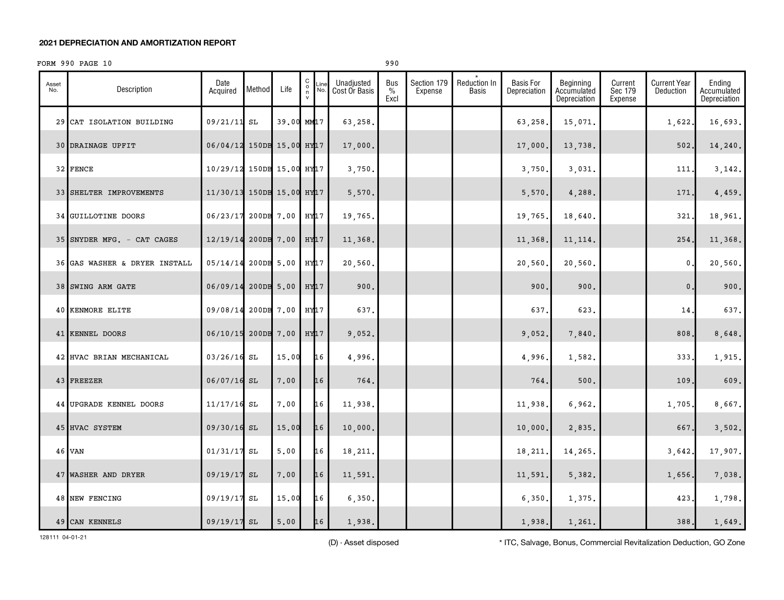#### FORM 990 PAGE 10 990

| Asset<br>No. | Description                   | Date<br>Acquired          | Method     | Life              | $\begin{matrix} 0 \\ 0 \\ n \end{matrix}$<br>Line<br>No.<br>$\mathsf{v}$ | Unadjusted<br>Cost Or Basis | Bus<br>$\%$<br>Excl | Section 179<br>Expense | Reduction In<br><b>Basis</b> | <b>Basis For</b><br>Depreciation | Beginning<br>Accumulated<br>Depreciation | Current<br>Sec 179<br>Expense | <b>Current Year</b><br>Deduction | Ending<br>Accumulated<br>Depreciation |
|--------------|-------------------------------|---------------------------|------------|-------------------|--------------------------------------------------------------------------|-----------------------------|---------------------|------------------------|------------------------------|----------------------------------|------------------------------------------|-------------------------------|----------------------------------|---------------------------------------|
|              | 29 CAT ISOLATION BUILDING     | 09/21/11 SL               |            |                   | 39.00 MM17                                                               | 63,258.                     |                     |                        |                              | 63,258                           | 15,071.                                  |                               | 1,622.                           | 16,693.                               |
|              | 30 DRAINAGE UPFIT             | 06/04/12                  |            | 150DB 15.00 HY 17 |                                                                          | 17,000.                     |                     |                        |                              | 17,000                           | 13,738.                                  |                               | 502                              | 14,240.                               |
|              | 32 FENCE                      | 10/29/12 150DB 15.00 HY17 |            |                   |                                                                          | 3,750.                      |                     |                        |                              | 3,750                            | 3,031.                                   |                               | 111                              | 3,142.                                |
|              | 33 SHELTER IMPROVEMENTS       | 11/30/13 150DB 15.00 HY17 |            |                   |                                                                          | 5,570.                      |                     |                        |                              | 5,570                            | 4,288.                                   |                               | 171                              | 4,459.                                |
|              | 34 GUILLOTINE DOORS           | 06/23/17                  |            | 200DB 7.00        | HY17                                                                     | 19,765.                     |                     |                        |                              | 19,765                           | 18,640.                                  |                               | 321                              | 18,961.                               |
|              | 35 SNYDER MFG. - CAT CAGES    | 12/19/14                  |            | 200DB 7.00        | $HY$ $17$                                                                | 11,368.                     |                     |                        |                              | 11,368                           | 11, 114.                                 |                               | 254                              | 11,368.                               |
|              | 36 GAS WASHER & DRYER INSTALL | 05/14/14                  | 200DB 5.00 |                   | HY17                                                                     | 20,560.                     |                     |                        |                              | 20,560                           | 20,560.                                  |                               | $\mathbf{0}$                     | 20,560.                               |
|              | 38 SWING ARM GATE             | 06/09/14                  |            | 200DB 5.00        | $HY$ $17$                                                                | 900.                        |                     |                        |                              | 900                              | 900.                                     |                               | $\mathbf{0}$ .                   | 900.                                  |
|              | <b>40 KENMORE ELITE</b>       | 09/08/14                  |            | 200DB 7.00        | HY17                                                                     | 637.                        |                     |                        |                              | 637                              | 623.                                     |                               | 14                               | 637.                                  |
|              | 41 KENNEL DOORS               | 06/10/15                  |            | 200DB 7.00        | HY <sub>17</sub>                                                         | 9,052.                      |                     |                        |                              | 9,052.                           | 7,840.                                   |                               | 808.                             | 8,648.                                |
|              | 42 HVAC BRIAN MECHANICAL      | $03/26/16$ SL             |            | 15.00             | 16                                                                       | 4,996.                      |                     |                        |                              | 4,996.                           | 1,582.                                   |                               | 333.                             | 1,915.                                |
|              | 43 FREEZER                    | $06/07/16$ SL             |            | 7,00              | 16                                                                       | 764.                        |                     |                        |                              | 764.                             | 500.                                     |                               | 109                              | 609.                                  |
|              | 44 UPGRADE KENNEL DOORS       | $11/17/16$ SL             |            | 7.00              | 16                                                                       | 11,938.                     |                     |                        |                              | 11,938                           | 6,962.                                   |                               | 1,705.                           | 8,667.                                |
|              | 45 HVAC SYSTEM                | 09/30/16 SL               |            | 15.00             | 16                                                                       | 10,000.                     |                     |                        |                              | 10,000                           | 2,835.                                   |                               | 667                              | 3,502.                                |
|              | 46 VAN                        | $01/31/17$ SL             |            | 5.00              | 16                                                                       | 18,211.                     |                     |                        |                              | 18,211                           | 14,265.                                  |                               | 3,642.                           | 17,907.                               |
|              | 47 WASHER AND DRYER           | 09/19/17 SL               |            | 7.00              | 16                                                                       | 11,591.                     |                     |                        |                              | 11,591                           | 5,382.                                   |                               | 1,656.                           | 7,038.                                |
|              | 48 NEW FENCING                | 09/19/17 SL               |            | 15.00             | 16                                                                       | 6,350.                      |                     |                        |                              | 6,350                            | 1,375.                                   |                               | 423                              | 1,798.                                |
|              | 49 CAN KENNELS                | 09/19/17 SL               |            | 5,00              | 16                                                                       | 1,938.                      |                     |                        |                              | 1,938.                           | 1,261.                                   |                               | 388.                             | 1,649.                                |

128111 04-01-21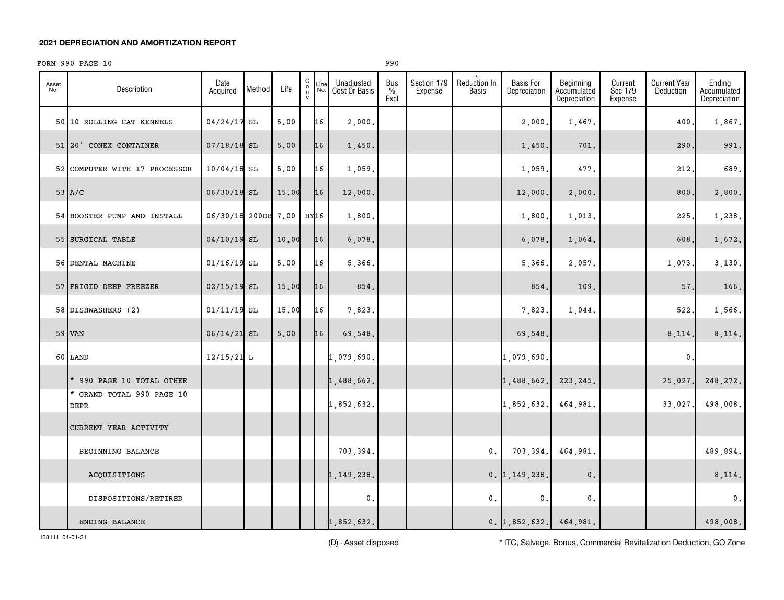#### FORM 990 PAGE 10 990

| Asset<br>No. | Description                       | Date<br>Acquired    | Method | Life  | 0000 | Line<br>No. | Unadjusted<br>Cost Or Basis | <b>Bus</b><br>$\%$<br>Excl | Section 179<br>Expense | Reduction In<br>Basis | <b>Basis For</b><br>Depreciation | Beginning<br>Accumulated<br>Depreciation | Current<br>Sec 179<br>Expense | <b>Current Year</b><br>Deduction | Ending<br>Accumulated<br>Depreciation |
|--------------|-----------------------------------|---------------------|--------|-------|------|-------------|-----------------------------|----------------------------|------------------------|-----------------------|----------------------------------|------------------------------------------|-------------------------------|----------------------------------|---------------------------------------|
|              | 50 10 ROLLING CAT KENNELS         | 04/24/17 SL         |        | 5.00  |      | 16          | 2,000.                      |                            |                        |                       | 2,000                            | 1,467.                                   |                               | 400                              | 1,867.                                |
|              | 51 20' CONEX CONTAINER            | $07/18/18$ SL       |        | 5.00  |      | 16          | 1,450.                      |                            |                        |                       | 1,450.                           | 701.                                     |                               | 290                              | 991.                                  |
|              | 52 COMPUTER WITH I7 PROCESSOR     | $10/04/18$ SL       |        | 5.00  |      | 16          | 1,059.                      |                            |                        |                       | 1,059                            | 477.                                     |                               | 212                              | 689.                                  |
|              | $53$ $A/C$                        | 06/30/18 SL         |        | 15.00 |      | 16          | 12,000.                     |                            |                        |                       | 12,000                           | 2,000.                                   |                               | 800,                             | 2,800.                                |
|              | 54 BOOSTER PUMP AND INSTALL       | 06/30/18 200DB 7.00 |        |       | HY16 |             | 1,800.                      |                            |                        |                       | 1,800                            | 1,013.                                   |                               | 225                              | 1,238.                                |
|              | 55 SURGICAL TABLE                 | $04/10/19$ SL       |        | 10.00 |      | 16          | 6,078.                      |                            |                        |                       | 6,078                            | 1,064.                                   |                               | 608                              | 1,672.                                |
|              | 56 DENTAL MACHINE                 | $01/16/19$ SL       |        | 5.00  |      | 16          | 5,366.                      |                            |                        |                       | 5,366                            | 2,057.                                   |                               | 1,073.                           | 3,130.                                |
|              | 57 FRIGID DEEP FREEZER            | $02/15/19$ SL       |        | 15.00 |      | 16          | 854.                        |                            |                        |                       | 854.                             | 109.                                     |                               | 57.                              | 166.                                  |
|              | 58 DISHWASHERS (2)                | $01/11/19$ SL       |        | 15.00 |      | 16          | 7,823.                      |                            |                        |                       | 7,823                            | 1,044.                                   |                               | 522                              | 1,566.                                |
|              | 59 VAN                            | $06/14/21$ SL       |        | 5.00  |      | 16          | 69,548.                     |                            |                        |                       | 69,548.                          |                                          |                               | 8,114.                           | 8,114.                                |
|              | 60 LAND                           | $12/15/21$ L        |        |       |      |             | 1,079,690.                  |                            |                        |                       | 1,079,690                        |                                          |                               | $\mathbf 0$                      |                                       |
|              | * 990 PAGE 10 TOTAL OTHER         |                     |        |       |      |             | 1,488,662.                  |                            |                        |                       | 1,488,662.                       | 223, 245.                                |                               | 25,027                           | 248, 272.                             |
|              | * GRAND TOTAL 990 PAGE 10<br>DEPR |                     |        |       |      |             | 1,852,632.                  |                            |                        |                       | 1,852,632.                       | 464,981.                                 |                               | 33,027                           | 498,008.                              |
|              | CURRENT YEAR ACTIVITY             |                     |        |       |      |             |                             |                            |                        |                       |                                  |                                          |                               |                                  |                                       |
|              | BEGINNING BALANCE                 |                     |        |       |      |             | 703,394.                    |                            |                        | $\mathbf 0$ .         | 703,394.                         | 464,981.                                 |                               |                                  | 489,894.                              |
|              | ACQUISITIONS                      |                     |        |       |      |             | 1,149,238.                  |                            |                        |                       | $0.$ 1, 149, 238.                | $\mathbf{0}$ .                           |                               |                                  | 8,114.                                |
|              | DISPOSITIONS/RETIRED              |                     |        |       |      |             | 0.                          |                            |                        | $\mathbf 0$ .         | $\mathbf 0$                      | $\mathfrak o$ .                          |                               |                                  | $\mathfrak{o}$ .                      |
|              | ENDING BALANCE                    |                     |        |       |      |             | 1,852,632.                  |                            |                        |                       | $0.$ 1,852,632.                  | 464,981.                                 |                               |                                  | 498,008.                              |

128111 04-01-21